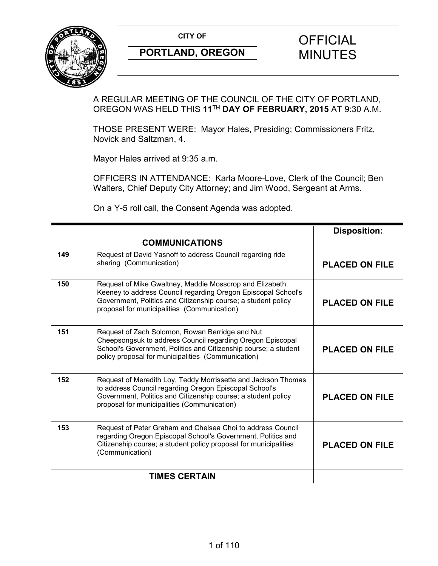

# **CITY OF CITY OF STRIPS OF FICIAL**

A REGULAR MEETING OF THE COUNCIL OF THE CITY OF PORTLAND, OREGON WAS HELD THIS **11TH DAY OF FEBRUARY, 2015** AT 9:30 A.M.

THOSE PRESENT WERE: Mayor Hales, Presiding; Commissioners Fritz, Novick and Saltzman, 4.

Mayor Hales arrived at 9:35 a.m.

OFFICERS IN ATTENDANCE: Karla Moore-Love, Clerk of the Council; Ben Walters, Chief Deputy City Attorney; and Jim Wood, Sergeant at Arms.

On a Y-5 roll call, the Consent Agenda was adopted.

|                      |                                                                                                                                                                                                                                          | <b>Disposition:</b>   |
|----------------------|------------------------------------------------------------------------------------------------------------------------------------------------------------------------------------------------------------------------------------------|-----------------------|
|                      | <b>COMMUNICATIONS</b>                                                                                                                                                                                                                    |                       |
| 149                  | Request of David Yasnoff to address Council regarding ride<br>sharing (Communication)                                                                                                                                                    | <b>PLACED ON FILE</b> |
| 150                  | Request of Mike Gwaltney, Maddie Mosscrop and Elizabeth<br>Keeney to address Council regarding Oregon Episcopal School's<br>Government, Politics and Citizenship course; a student policy<br>proposal for municipalities (Communication) | <b>PLACED ON FILE</b> |
| 151                  | Request of Zach Solomon, Rowan Berridge and Nut<br>Cheepsongsuk to address Council regarding Oregon Episcopal<br>School's Government, Politics and Citizenship course; a student<br>policy proposal for municipalities (Communication)   | <b>PLACED ON FILE</b> |
| 152                  | Request of Meredith Loy, Teddy Morrissette and Jackson Thomas<br>to address Council regarding Oregon Episcopal School's<br>Government, Politics and Citizenship course; a student policy<br>proposal for municipalities (Communication)  | <b>PLACED ON FILE</b> |
| 153                  | Request of Peter Graham and Chelsea Choi to address Council<br>regarding Oregon Episcopal School's Government, Politics and<br>Citizenship course; a student policy proposal for municipalities<br>(Communication)                       | <b>PLACED ON FILE</b> |
| <b>TIMES CERTAIN</b> |                                                                                                                                                                                                                                          |                       |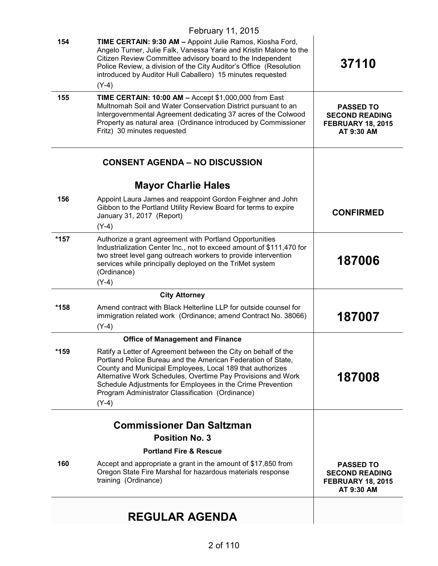|      | February 11, 2015                                                                                                                                                                                                                                                                                                                                                                        |                                                                                     |
|------|------------------------------------------------------------------------------------------------------------------------------------------------------------------------------------------------------------------------------------------------------------------------------------------------------------------------------------------------------------------------------------------|-------------------------------------------------------------------------------------|
| 154  | TIME CERTAIN: 9:30 AM - Appoint Julie Ramos, Kiosha Ford,<br>Angelo Turner, Julie Falk, Vanessa Yarie and Kristin Malone to the<br>Citizen Review Committee advisory board to the Independent<br>Police Review, a division of the City Auditor's Office (Resolution<br>introduced by Auditor Hull Caballero) 15 minutes requested                                                        | 37110                                                                               |
|      | $(Y-4)$                                                                                                                                                                                                                                                                                                                                                                                  |                                                                                     |
| 155  | TIME CERTAIN: 10:00 AM - Accept \$1,000,000 from East<br>Multnomah Soil and Water Conservation District pursuant to an<br>Intergovernmental Agreement dedicating 37 acres of the Colwood<br>Property as natural area (Ordinance introduced by Commissioner<br>Fritz) 30 minutes requested                                                                                                | <b>PASSED TO</b><br><b>SECOND READING</b><br><b>FEBRUARY 18, 2015</b><br>AT 9:30 AM |
|      | <b>CONSENT AGENDA – NO DISCUSSION</b>                                                                                                                                                                                                                                                                                                                                                    |                                                                                     |
|      | <b>Mayor Charlie Hales</b>                                                                                                                                                                                                                                                                                                                                                               |                                                                                     |
| 156  | Appoint Laura James and reappoint Gordon Feighner and John<br>Gibbon to the Portland Utility Review Board for terms to expire<br>January 31, 2017 (Report)<br>$(Y-4)$                                                                                                                                                                                                                    | <b>CONFIRMED</b>                                                                    |
| *157 | Authorize a grant agreement with Portland Opportunities<br>Industrialization Center Inc., not to exceed amount of \$111,470 for<br>two street level gang outreach workers to provide intervention<br>services while principally deployed on the TriMet system<br>(Ordinance)<br>$(Y-4)$                                                                                                  | 187006                                                                              |
|      | <b>City Attorney</b>                                                                                                                                                                                                                                                                                                                                                                     |                                                                                     |
| *158 | Amend contract with Black Helterline LLP for outside counsel for<br>immigration related work (Ordinance; amend Contract No. 38066)<br>$(Y-4)$                                                                                                                                                                                                                                            | 187007                                                                              |
|      | <b>Office of Management and Finance</b>                                                                                                                                                                                                                                                                                                                                                  |                                                                                     |
| *159 | Ratify a Letter of Agreement between the City on behalf of the<br>Portland Police Bureau and the American Federation of State,<br>County and Municipal Employees, Local 189 that authorizes<br>Alternative Work Schedules, Overtime Pay Provisions and Work<br>Schedule Adjustments for Employees in the Crime Prevention<br>Program Administrator Classification (Ordinance)<br>$(Y-4)$ | 187008                                                                              |
|      | <b>Commissioner Dan Saltzman</b>                                                                                                                                                                                                                                                                                                                                                         |                                                                                     |
|      | <b>Position No. 3</b>                                                                                                                                                                                                                                                                                                                                                                    |                                                                                     |
|      | <b>Portland Fire &amp; Rescue</b>                                                                                                                                                                                                                                                                                                                                                        |                                                                                     |
| 160  | Accept and appropriate a grant in the amount of \$17,850 from<br>Oregon State Fire Marshal for hazardous materials response<br>training (Ordinance)                                                                                                                                                                                                                                      | <b>PASSED TO</b><br><b>SECOND READING</b><br><b>FEBRUARY 18, 2015</b><br>AT 9:30 AM |
|      | <b>REGULAR AGENDA</b>                                                                                                                                                                                                                                                                                                                                                                    |                                                                                     |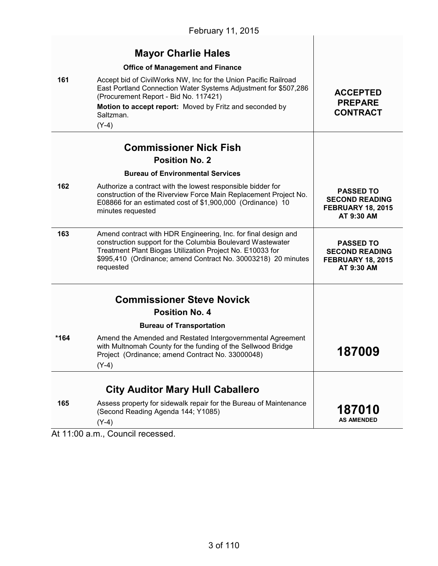|        | <b>Mayor Charlie Hales</b>                                                                                                                                                                                                                                              |                                                                                     |
|--------|-------------------------------------------------------------------------------------------------------------------------------------------------------------------------------------------------------------------------------------------------------------------------|-------------------------------------------------------------------------------------|
|        | <b>Office of Management and Finance</b>                                                                                                                                                                                                                                 |                                                                                     |
| 161    | Accept bid of CivilWorks NW, Inc for the Union Pacific Railroad<br>East Portland Connection Water Systems Adjustment for \$507,286<br>(Procurement Report - Bid No. 117421)<br>Motion to accept report: Moved by Fritz and seconded by<br>Saltzman.<br>$(Y-4)$          | <b>ACCEPTED</b><br><b>PREPARE</b><br><b>CONTRACT</b>                                |
|        | <b>Commissioner Nick Fish</b>                                                                                                                                                                                                                                           |                                                                                     |
|        | <b>Position No. 2</b>                                                                                                                                                                                                                                                   |                                                                                     |
|        | <b>Bureau of Environmental Services</b>                                                                                                                                                                                                                                 |                                                                                     |
| 162    | Authorize a contract with the lowest responsible bidder for<br>construction of the Riverview Force Main Replacement Project No.<br>E08866 for an estimated cost of \$1,900,000 (Ordinance) 10<br>minutes requested                                                      | <b>PASSED TO</b><br><b>SECOND READING</b><br><b>FEBRUARY 18, 2015</b><br>AT 9:30 AM |
| 163    | Amend contract with HDR Engineering, Inc. for final design and<br>construction support for the Columbia Boulevard Wastewater<br>Treatment Plant Biogas Utilization Project No. E10033 for<br>\$995,410 (Ordinance; amend Contract No. 30003218) 20 minutes<br>requested | <b>PASSED TO</b><br><b>SECOND READING</b><br><b>FEBRUARY 18, 2015</b><br>AT 9:30 AM |
|        | <b>Commissioner Steve Novick</b>                                                                                                                                                                                                                                        |                                                                                     |
|        | <b>Position No. 4</b>                                                                                                                                                                                                                                                   |                                                                                     |
|        | <b>Bureau of Transportation</b>                                                                                                                                                                                                                                         |                                                                                     |
| $*164$ | Amend the Amended and Restated Intergovernmental Agreement<br>with Multnomah County for the funding of the Sellwood Bridge<br>Project (Ordinance; amend Contract No. 33000048)<br>$(Y-4)$                                                                               | 187009                                                                              |
|        | <b>City Auditor Mary Hull Caballero</b>                                                                                                                                                                                                                                 |                                                                                     |
| 165    | Assess property for sidewalk repair for the Bureau of Maintenance<br>(Second Reading Agenda 144; Y1085)<br>$(Y-4)$                                                                                                                                                      | <b>187010</b><br><b>AS AMENDED</b>                                                  |

At 11:00 a.m., Council recessed.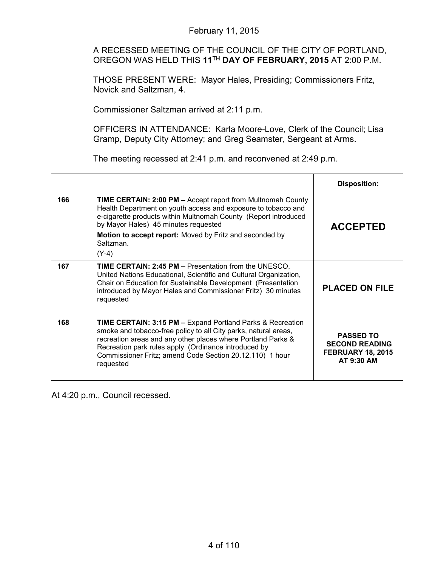A RECESSED MEETING OF THE COUNCIL OF THE CITY OF PORTLAND, OREGON WAS HELD THIS **11TH DAY OF FEBRUARY, 2015** AT 2:00 P.M.

THOSE PRESENT WERE: Mayor Hales, Presiding; Commissioners Fritz, Novick and Saltzman, 4.

Commissioner Saltzman arrived at 2:11 p.m.

OFFICERS IN ATTENDANCE: Karla Moore-Love, Clerk of the Council; Lisa Gramp, Deputy City Attorney; and Greg Seamster, Sergeant at Arms.

The meeting recessed at 2:41 p.m. and reconvened at 2:49 p.m.

|     |                                                                                                                                                                                                                                                                                                                                           | <b>Disposition:</b>                                                                 |
|-----|-------------------------------------------------------------------------------------------------------------------------------------------------------------------------------------------------------------------------------------------------------------------------------------------------------------------------------------------|-------------------------------------------------------------------------------------|
| 166 | <b>TIME CERTAIN: 2:00 PM - Accept report from Multnomah County</b><br>Health Department on youth access and exposure to tobacco and<br>e-cigarette products within Multnomah County (Report introduced<br>by Mayor Hales) 45 minutes requested                                                                                            | <b>ACCEPTED</b>                                                                     |
|     | Motion to accept report: Moved by Fritz and seconded by<br>Saltzman.<br>$(Y-4)$                                                                                                                                                                                                                                                           |                                                                                     |
|     |                                                                                                                                                                                                                                                                                                                                           |                                                                                     |
| 167 | <b>TIME CERTAIN: 2:45 PM - Presentation from the UNESCO,</b><br>United Nations Educational, Scientific and Cultural Organization,<br>Chair on Education for Sustainable Development (Presentation<br>introduced by Mayor Hales and Commissioner Fritz) 30 minutes<br>requested                                                            | <b>PLACED ON FILE</b>                                                               |
| 168 | <b>TIME CERTAIN: 3:15 PM - Expand Portland Parks &amp; Recreation</b><br>smoke and tobacco-free policy to all City parks, natural areas,<br>recreation areas and any other places where Portland Parks &<br>Recreation park rules apply (Ordinance introduced by<br>Commissioner Fritz; amend Code Section 20.12.110) 1 hour<br>requested | <b>PASSED TO</b><br><b>SECOND READING</b><br><b>FEBRUARY 18, 2015</b><br>AT 9:30 AM |

At 4:20 p.m., Council recessed.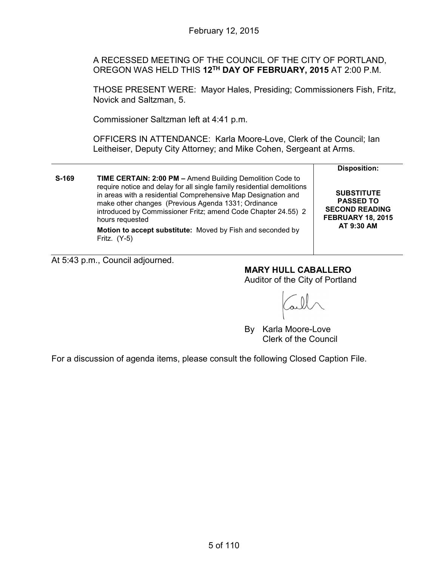A RECESSED MEETING OF THE COUNCIL OF THE CITY OF PORTLAND, OREGON WAS HELD THIS **12TH DAY OF FEBRUARY, 2015** AT 2:00 P.M.

THOSE PRESENT WERE: Mayor Hales, Presiding; Commissioners Fish, Fritz, Novick and Saltzman, 5.

Commissioner Saltzman left at 4:41 p.m.

OFFICERS IN ATTENDANCE: Karla Moore-Love, Clerk of the Council; Ian Leitheiser, Deputy City Attorney; and Mike Cohen, Sergeant at Arms.

|       |                                                                                                                                                                                                                                                                                                                                                                                                                                 | <b>Disposition:</b>                                                                                      |
|-------|---------------------------------------------------------------------------------------------------------------------------------------------------------------------------------------------------------------------------------------------------------------------------------------------------------------------------------------------------------------------------------------------------------------------------------|----------------------------------------------------------------------------------------------------------|
| S-169 | TIME CERTAIN: 2:00 PM - Amend Building Demolition Code to<br>require notice and delay for all single family residential demolitions<br>in areas with a residential Comprehensive Map Designation and<br>make other changes (Previous Agenda 1331; Ordinance<br>introduced by Commissioner Fritz; amend Code Chapter 24.55) 2<br>hours requested<br>Motion to accept substitute: Moved by Fish and seconded by<br>Fritz. $(Y-5)$ | <b>SUBSTITUTE</b><br><b>PASSED TO</b><br><b>SECOND READING</b><br><b>FEBRUARY 18, 2015</b><br>AT 9:30 AM |

At 5:43 p.m., Council adjourned.

**MARY HULL CABALLERO**

Auditor of the City of Portland

By Karla Moore-Love Clerk of the Council

For a discussion of agenda items, please consult the following Closed Caption File.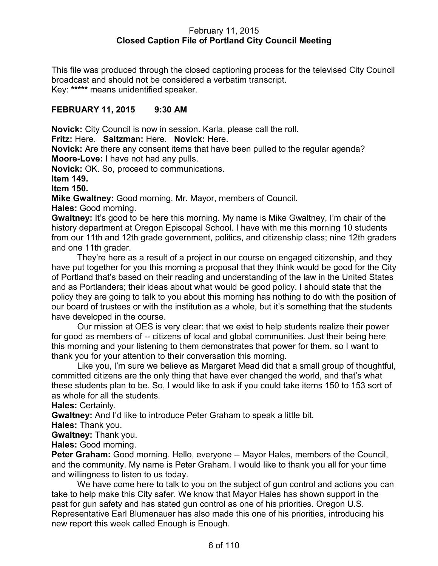### February 11, 2015 **Closed Caption File of Portland City Council Meeting**

This file was produced through the closed captioning process for the televised City Council broadcast and should not be considered a verbatim transcript. Key: **\*\*\*\*\*** means unidentified speaker.

### **FEBRUARY 11, 2015 9:30 AM**

**Novick:** City Council is now in session. Karla, please call the roll.

**Fritz:** Here. **Saltzman:** Here. **Novick:** Here.

**Novick:** Are there any consent items that have been pulled to the regular agenda? **Moore-Love:** I have not had any pulls.

**Novick:** OK. So, proceed to communications.

**Item 149.**

**Item 150.**

**Mike Gwaltney:** Good morning, Mr. Mayor, members of Council.

**Hales:** Good morning.

**Gwaltney:** It's good to be here this morning. My name is Mike Gwaltney, I'm chair of the history department at Oregon Episcopal School. I have with me this morning 10 students from our 11th and 12th grade government, politics, and citizenship class; nine 12th graders and one 11th grader.

They're here as a result of a project in our course on engaged citizenship, and they have put together for you this morning a proposal that they think would be good for the City of Portland that's based on their reading and understanding of the law in the United States and as Portlanders; their ideas about what would be good policy. I should state that the policy they are going to talk to you about this morning has nothing to do with the position of our board of trustees or with the institution as a whole, but it's something that the students have developed in the course.

Our mission at OES is very clear: that we exist to help students realize their power for good as members of -- citizens of local and global communities. Just their being here this morning and your listening to them demonstrates that power for them, so I want to thank you for your attention to their conversation this morning.

Like you, I'm sure we believe as Margaret Mead did that a small group of thoughtful, committed citizens are the only thing that have ever changed the world, and that's what these students plan to be. So, I would like to ask if you could take items 150 to 153 sort of as whole for all the students.

**Hales:** Certainly.

**Gwaltney:** And I'd like to introduce Peter Graham to speak a little bit.

**Hales:** Thank you.

**Gwaltney:** Thank you.

**Hales:** Good morning.

**Peter Graham:** Good morning. Hello, everyone -- Mayor Hales, members of the Council, and the community. My name is Peter Graham. I would like to thank you all for your time and willingness to listen to us today.

We have come here to talk to you on the subject of gun control and actions you can take to help make this City safer. We know that Mayor Hales has shown support in the past for gun safety and has stated gun control as one of his priorities. Oregon U.S. Representative Earl Blumenauer has also made this one of his priorities, introducing his new report this week called Enough is Enough.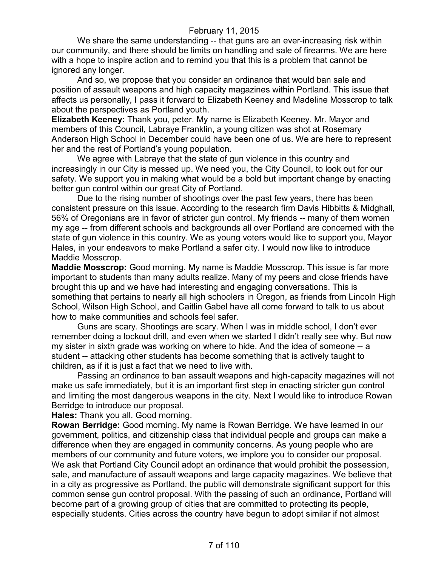We share the same understanding -- that guns are an ever-increasing risk within our community, and there should be limits on handling and sale of firearms. We are here with a hope to inspire action and to remind you that this is a problem that cannot be ignored any longer.

And so, we propose that you consider an ordinance that would ban sale and position of assault weapons and high capacity magazines within Portland. This issue that affects us personally, I pass it forward to Elizabeth Keeney and Madeline Mosscrop to talk about the perspectives as Portland youth.

**Elizabeth Keeney:** Thank you, peter. My name is Elizabeth Keeney. Mr. Mayor and members of this Council, Labraye Franklin, a young citizen was shot at Rosemary Anderson High School in December could have been one of us. We are here to represent her and the rest of Portland's young population.

We agree with Labraye that the state of gun violence in this country and increasingly in our City is messed up. We need you, the City Council, to look out for our safety. We support you in making what would be a bold but important change by enacting better gun control within our great City of Portland.

Due to the rising number of shootings over the past few years, there has been consistent pressure on this issue. According to the research firm Davis Hibbitts & Midghall, 56% of Oregonians are in favor of stricter gun control. My friends -- many of them women my age -- from different schools and backgrounds all over Portland are concerned with the state of gun violence in this country. We as young voters would like to support you, Mayor Hales, in your endeavors to make Portland a safer city. I would now like to introduce Maddie Mosscrop.

**Maddie Mosscrop:** Good morning. My name is Maddie Mosscrop. This issue is far more important to students than many adults realize. Many of my peers and close friends have brought this up and we have had interesting and engaging conversations. This is something that pertains to nearly all high schoolers in Oregon, as friends from Lincoln High School, Wilson High School, and Caitlin Gabel have all come forward to talk to us about how to make communities and schools feel safer.

Guns are scary. Shootings are scary. When I was in middle school, I don't ever remember doing a lockout drill, and even when we started I didn't really see why. But now my sister in sixth grade was working on where to hide. And the idea of someone -- a student -- attacking other students has become something that is actively taught to children, as if it is just a fact that we need to live with.

Passing an ordinance to ban assault weapons and high-capacity magazines will not make us safe immediately, but it is an important first step in enacting stricter gun control and limiting the most dangerous weapons in the city. Next I would like to introduce Rowan Berridge to introduce our proposal.

**Hales:** Thank you all. Good morning.

**Rowan Berridge:** Good morning. My name is Rowan Berridge. We have learned in our government, politics, and citizenship class that individual people and groups can make a difference when they are engaged in community concerns. As young people who are members of our community and future voters, we implore you to consider our proposal. We ask that Portland City Council adopt an ordinance that would prohibit the possession, sale, and manufacture of assault weapons and large capacity magazines. We believe that in a city as progressive as Portland, the public will demonstrate significant support for this common sense gun control proposal. With the passing of such an ordinance, Portland will become part of a growing group of cities that are committed to protecting its people, especially students. Cities across the country have begun to adopt similar if not almost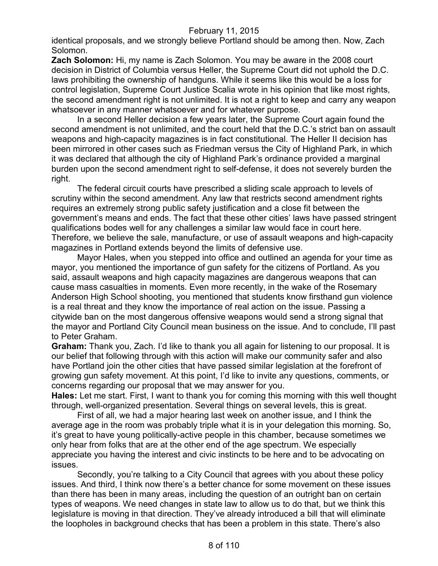identical proposals, and we strongly believe Portland should be among then. Now, Zach Solomon.

**Zach Solomon:** Hi, my name is Zach Solomon. You may be aware in the 2008 court decision in District of Columbia versus Heller, the Supreme Court did not uphold the D.C. laws prohibiting the ownership of handguns. While it seems like this would be a loss for control legislation, Supreme Court Justice Scalia wrote in his opinion that like most rights, the second amendment right is not unlimited. It is not a right to keep and carry any weapon whatsoever in any manner whatsoever and for whatever purpose.

In a second Heller decision a few years later, the Supreme Court again found the second amendment is not unlimited, and the court held that the D.C.'s strict ban on assault weapons and high-capacity magazines is in fact constitutional. The Heller II decision has been mirrored in other cases such as Friedman versus the City of Highland Park, in which it was declared that although the city of Highland Park's ordinance provided a marginal burden upon the second amendment right to self-defense, it does not severely burden the right.

The federal circuit courts have prescribed a sliding scale approach to levels of scrutiny within the second amendment. Any law that restricts second amendment rights requires an extremely strong public safety justification and a close fit between the government's means and ends. The fact that these other cities' laws have passed stringent qualifications bodes well for any challenges a similar law would face in court here. Therefore, we believe the sale, manufacture, or use of assault weapons and high-capacity magazines in Portland extends beyond the limits of defensive use.

Mayor Hales, when you stepped into office and outlined an agenda for your time as mayor, you mentioned the importance of gun safety for the citizens of Portland. As you said, assault weapons and high capacity magazines are dangerous weapons that can cause mass casualties in moments. Even more recently, in the wake of the Rosemary Anderson High School shooting, you mentioned that students know firsthand gun violence is a real threat and they know the importance of real action on the issue. Passing a citywide ban on the most dangerous offensive weapons would send a strong signal that the mayor and Portland City Council mean business on the issue. And to conclude, I'll past to Peter Graham.

**Graham:** Thank you, Zach. I'd like to thank you all again for listening to our proposal. It is our belief that following through with this action will make our community safer and also have Portland join the other cities that have passed similar legislation at the forefront of growing gun safety movement. At this point, I'd like to invite any questions, comments, or concerns regarding our proposal that we may answer for you.

**Hales:** Let me start. First, I want to thank you for coming this morning with this well thought through, well-organized presentation. Several things on several levels, this is great.

First of all, we had a major hearing last week on another issue, and I think the average age in the room was probably triple what it is in your delegation this morning. So, it's great to have young politically-active people in this chamber, because sometimes we only hear from folks that are at the other end of the age spectrum. We especially appreciate you having the interest and civic instincts to be here and to be advocating on issues.

Secondly, you're talking to a City Council that agrees with you about these policy issues. And third, I think now there's a better chance for some movement on these issues than there has been in many areas, including the question of an outright ban on certain types of weapons. We need changes in state law to allow us to do that, but we think this legislature is moving in that direction. They've already introduced a bill that will eliminate the loopholes in background checks that has been a problem in this state. There's also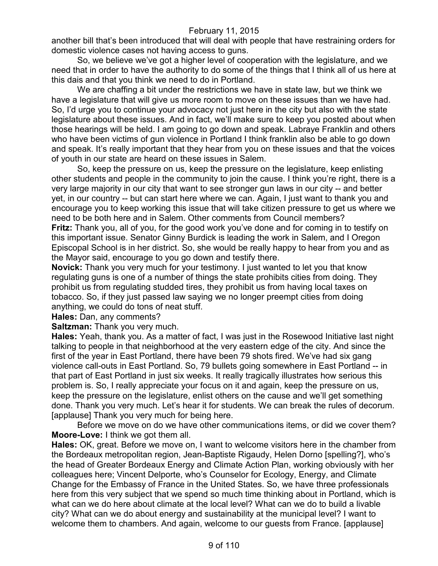another bill that's been introduced that will deal with people that have restraining orders for domestic violence cases not having access to guns.

So, we believe we've got a higher level of cooperation with the legislature, and we need that in order to have the authority to do some of the things that I think all of us here at this dais and that you think we need to do in Portland.

We are chaffing a bit under the restrictions we have in state law, but we think we have a legislature that will give us more room to move on these issues than we have had. So, I'd urge you to continue your advocacy not just here in the city but also with the state legislature about these issues. And in fact, we'll make sure to keep you posted about when those hearings will be held. I am going to go down and speak. Labraye Franklin and others who have been victims of gun violence in Portland I think franklin also be able to go down and speak. It's really important that they hear from you on these issues and that the voices of youth in our state are heard on these issues in Salem.

So, keep the pressure on us, keep the pressure on the legislature, keep enlisting other students and people in the community to join the cause. I think you're right, there is a very large majority in our city that want to see stronger gun laws in our city -- and better yet, in our country -- but can start here where we can. Again, I just want to thank you and encourage you to keep working this issue that will take citizen pressure to get us where we need to be both here and in Salem. Other comments from Council members? **Fritz:** Thank you, all of you, for the good work you've done and for coming in to testify on this important issue. Senator Ginny Burdick is leading the work in Salem, and I Oregon Episcopal School is in her district. So, she would be really happy to hear from you and as

the Mayor said, encourage to you go down and testify there. **Novick:** Thank you very much for your testimony. I just wanted to let you that know regulating guns is one of a number of things the state prohibits cities from doing. They prohibit us from regulating studded tires, they prohibit us from having local taxes on tobacco. So, if they just passed law saying we no longer preempt cities from doing anything, we could do tons of neat stuff.

**Hales:** Dan, any comments?

**Saltzman:** Thank you very much.

**Hales:** Yeah, thank you. As a matter of fact, I was just in the Rosewood Initiative last night talking to people in that neighborhood at the very eastern edge of the city. And since the first of the year in East Portland, there have been 79 shots fired. We've had six gang violence call-outs in East Portland. So, 79 bullets going somewhere in East Portland -- in that part of East Portland in just six weeks. It really tragically illustrates how serious this problem is. So, I really appreciate your focus on it and again, keep the pressure on us, keep the pressure on the legislature, enlist others on the cause and we'll get something done. Thank you very much. Let's hear it for students. We can break the rules of decorum. [applause] Thank you very much for being here.

Before we move on do we have other communications items, or did we cover them? **Moore-Love:** I think we got them all.

**Hales:** OK, great. Before we move on, I want to welcome visitors here in the chamber from the Bordeaux metropolitan region, Jean-Baptiste Rigaudy, Helen Dorno [spelling?], who's the head of Greater Bordeaux Energy and Climate Action Plan, working obviously with her colleagues here; Vincent Delporte, who's Counselor for Ecology, Energy, and Climate Change for the Embassy of France in the United States. So, we have three professionals here from this very subject that we spend so much time thinking about in Portland, which is what can we do here about climate at the local level? What can we do to build a livable city? What can we do about energy and sustainability at the municipal level? I want to welcome them to chambers. And again, welcome to our guests from France. [applause]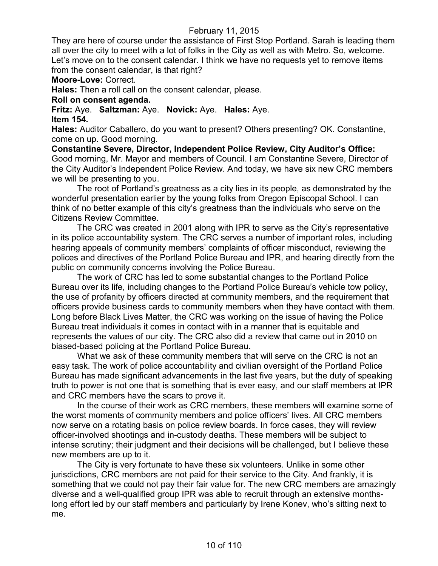They are here of course under the assistance of First Stop Portland. Sarah is leading them all over the city to meet with a lot of folks in the City as well as with Metro. So, welcome. Let's move on to the consent calendar. I think we have no requests yet to remove items from the consent calendar, is that right?

### **Moore-Love:** Correct.

**Hales:** Then a roll call on the consent calendar, please.

### **Roll on consent agenda.**

**Fritz:** Aye. **Saltzman:** Aye. **Novick:** Aye. **Hales:** Aye. **Item 154.**

**Hales:** Auditor Caballero, do you want to present? Others presenting? OK. Constantine, come on up. Good morning.

**Constantine Severe, Director, Independent Police Review, City Auditor's Office:**  Good morning, Mr. Mayor and members of Council. I am Constantine Severe, Director of the City Auditor's Independent Police Review. And today, we have six new CRC members we will be presenting to you.

The root of Portland's greatness as a city lies in its people, as demonstrated by the wonderful presentation earlier by the young folks from Oregon Episcopal School. I can think of no better example of this city's greatness than the individuals who serve on the Citizens Review Committee.

The CRC was created in 2001 along with IPR to serve as the City's representative in its police accountability system. The CRC serves a number of important roles, including hearing appeals of community members' complaints of officer misconduct, reviewing the polices and directives of the Portland Police Bureau and IPR, and hearing directly from the public on community concerns involving the Police Bureau.

The work of CRC has led to some substantial changes to the Portland Police Bureau over its life, including changes to the Portland Police Bureau's vehicle tow policy, the use of profanity by officers directed at community members, and the requirement that officers provide business cards to community members when they have contact with them. Long before Black Lives Matter, the CRC was working on the issue of having the Police Bureau treat individuals it comes in contact with in a manner that is equitable and represents the values of our city. The CRC also did a review that came out in 2010 on biased-based policing at the Portland Police Bureau.

What we ask of these community members that will serve on the CRC is not an easy task. The work of police accountability and civilian oversight of the Portland Police Bureau has made significant advancements in the last five years, but the duty of speaking truth to power is not one that is something that is ever easy, and our staff members at IPR and CRC members have the scars to prove it.

In the course of their work as CRC members, these members will examine some of the worst moments of community members and police officers' lives. All CRC members now serve on a rotating basis on police review boards. In force cases, they will review officer-involved shootings and in-custody deaths. These members will be subject to intense scrutiny; their judgment and their decisions will be challenged, but I believe these new members are up to it.

The City is very fortunate to have these six volunteers. Unlike in some other jurisdictions, CRC members are not paid for their service to the City. And frankly, it is something that we could not pay their fair value for. The new CRC members are amazingly diverse and a well-qualified group IPR was able to recruit through an extensive monthslong effort led by our staff members and particularly by Irene Konev, who's sitting next to me.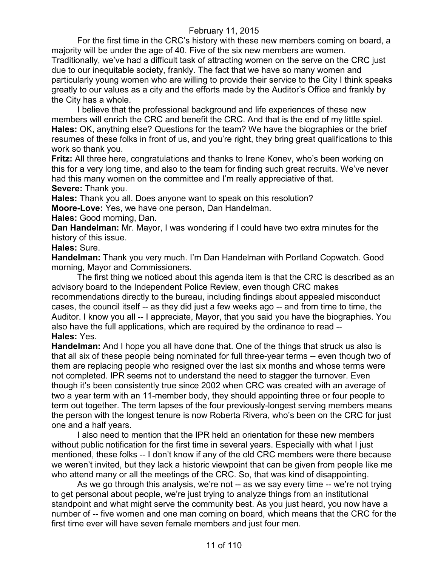For the first time in the CRC's history with these new members coming on board, a majority will be under the age of 40. Five of the six new members are women. Traditionally, we've had a difficult task of attracting women on the serve on the CRC just due to our inequitable society, frankly. The fact that we have so many women and particularly young women who are willing to provide their service to the City I think speaks greatly to our values as a city and the efforts made by the Auditor's Office and frankly by the City has a whole.

I believe that the professional background and life experiences of these new members will enrich the CRC and benefit the CRC. And that is the end of my little spiel. **Hales:** OK, anything else? Questions for the team? We have the biographies or the brief resumes of these folks in front of us, and you're right, they bring great qualifications to this work so thank you.

**Fritz:** All three here, congratulations and thanks to Irene Konev, who's been working on this for a very long time, and also to the team for finding such great recruits. We've never had this many women on the committee and I'm really appreciative of that. **Severe:** Thank you.

**Hales:** Thank you all. Does anyone want to speak on this resolution?

**Moore-Love:** Yes, we have one person, Dan Handelman.

**Hales:** Good morning, Dan.

**Dan Handelman:** Mr. Mayor, I was wondering if I could have two extra minutes for the history of this issue.

**Hales:** Sure.

**Handelman:** Thank you very much. I'm Dan Handelman with Portland Copwatch. Good morning, Mayor and Commissioners.

The first thing we noticed about this agenda item is that the CRC is described as an advisory board to the Independent Police Review, even though CRC makes recommendations directly to the bureau, including findings about appealed misconduct cases, the council itself -- as they did just a few weeks ago -- and from time to time, the Auditor. I know you all -- I appreciate, Mayor, that you said you have the biographies. You also have the full applications, which are required by the ordinance to read -- **Hales:** Yes.

**Handelman:** And I hope you all have done that. One of the things that struck us also is that all six of these people being nominated for full three-year terms -- even though two of them are replacing people who resigned over the last six months and whose terms were not completed. IPR seems not to understand the need to stagger the turnover. Even though it's been consistently true since 2002 when CRC was created with an average of two a year term with an 11-member body, they should appointing three or four people to term out together. The term lapses of the four previously-longest serving members means the person with the longest tenure is now Roberta Rivera, who's been on the CRC for just one and a half years.

I also need to mention that the IPR held an orientation for these new members without public notification for the first time in several years. Especially with what I just mentioned, these folks -- I don't know if any of the old CRC members were there because we weren't invited, but they lack a historic viewpoint that can be given from people like me who attend many or all the meetings of the CRC. So, that was kind of disappointing.

As we go through this analysis, we're not -- as we say every time -- we're not trying to get personal about people, we're just trying to analyze things from an institutional standpoint and what might serve the community best. As you just heard, you now have a number of -- five women and one man coming on board, which means that the CRC for the first time ever will have seven female members and just four men.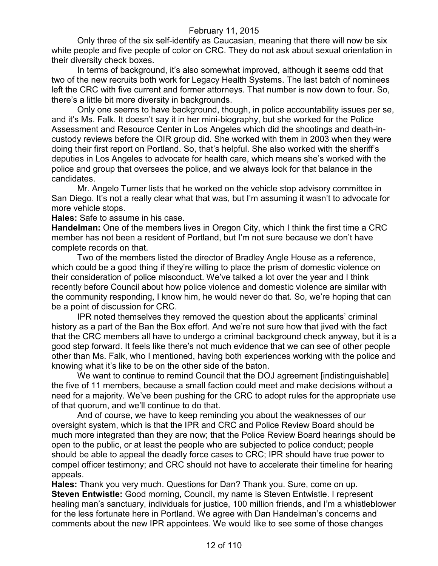Only three of the six self-identify as Caucasian, meaning that there will now be six white people and five people of color on CRC. They do not ask about sexual orientation in their diversity check boxes.

In terms of background, it's also somewhat improved, although it seems odd that two of the new recruits both work for Legacy Health Systems. The last batch of nominees left the CRC with five current and former attorneys. That number is now down to four. So, there's a little bit more diversity in backgrounds.

Only one seems to have background, though, in police accountability issues per se, and it's Ms. Falk. It doesn't say it in her mini-biography, but she worked for the Police Assessment and Resource Center in Los Angeles which did the shootings and death-incustody reviews before the OIR group did. She worked with them in 2003 when they were doing their first report on Portland. So, that's helpful. She also worked with the sheriff's deputies in Los Angeles to advocate for health care, which means she's worked with the police and group that oversees the police, and we always look for that balance in the candidates.

Mr. Angelo Turner lists that he worked on the vehicle stop advisory committee in San Diego. It's not a really clear what that was, but I'm assuming it wasn't to advocate for more vehicle stops.

**Hales:** Safe to assume in his case.

**Handelman:** One of the members lives in Oregon City, which I think the first time a CRC member has not been a resident of Portland, but I'm not sure because we don't have complete records on that.

Two of the members listed the director of Bradley Angle House as a reference, which could be a good thing if they're willing to place the prism of domestic violence on their consideration of police misconduct. We've talked a lot over the year and I think recently before Council about how police violence and domestic violence are similar with the community responding, I know him, he would never do that. So, we're hoping that can be a point of discussion for CRC.

IPR noted themselves they removed the question about the applicants' criminal history as a part of the Ban the Box effort. And we're not sure how that jived with the fact that the CRC members all have to undergo a criminal background check anyway, but it is a good step forward. It feels like there's not much evidence that we can see of other people other than Ms. Falk, who I mentioned, having both experiences working with the police and knowing what it's like to be on the other side of the baton.

We want to continue to remind Council that the DOJ agreement [indistinguishable] the five of 11 members, because a small faction could meet and make decisions without a need for a majority. We've been pushing for the CRC to adopt rules for the appropriate use of that quorum, and we'll continue to do that.

And of course, we have to keep reminding you about the weaknesses of our oversight system, which is that the IPR and CRC and Police Review Board should be much more integrated than they are now; that the Police Review Board hearings should be open to the public, or at least the people who are subjected to police conduct; people should be able to appeal the deadly force cases to CRC; IPR should have true power to compel officer testimony; and CRC should not have to accelerate their timeline for hearing appeals.

**Hales:** Thank you very much. Questions for Dan? Thank you. Sure, come on up. **Steven Entwistle:** Good morning, Council, my name is Steven Entwistle. I represent healing man's sanctuary, individuals for justice, 100 million friends, and I'm a whistleblower for the less fortunate here in Portland. We agree with Dan Handelman's concerns and comments about the new IPR appointees. We would like to see some of those changes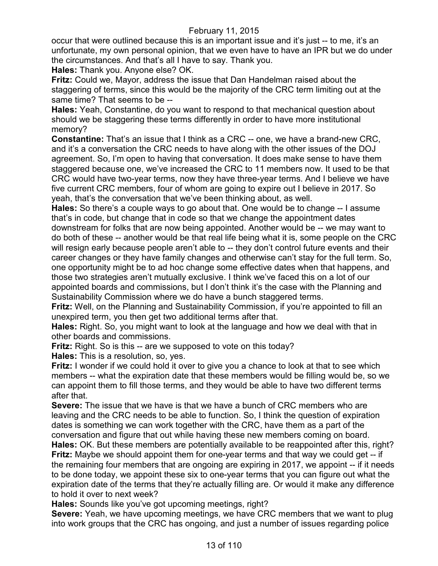occur that were outlined because this is an important issue and it's just -- to me, it's an unfortunate, my own personal opinion, that we even have to have an IPR but we do under the circumstances. And that's all I have to say. Thank you.

**Hales:** Thank you. Anyone else? OK.

**Fritz:** Could we, Mayor, address the issue that Dan Handelman raised about the staggering of terms, since this would be the majority of the CRC term limiting out at the same time? That seems to be --

**Hales:** Yeah, Constantine, do you want to respond to that mechanical question about should we be staggering these terms differently in order to have more institutional memory?

**Constantine:** That's an issue that I think as a CRC -- one, we have a brand-new CRC, and it's a conversation the CRC needs to have along with the other issues of the DOJ agreement. So, I'm open to having that conversation. It does make sense to have them staggered because one, we've increased the CRC to 11 members now. It used to be that CRC would have two-year terms, now they have three-year terms. And I believe we have five current CRC members, four of whom are going to expire out I believe in 2017. So yeah, that's the conversation that we've been thinking about, as well.

**Hales:** So there's a couple ways to go about that. One would be to change -- I assume that's in code, but change that in code so that we change the appointment dates downstream for folks that are now being appointed. Another would be -- we may want to do both of these -- another would be that real life being what it is, some people on the CRC will resign early because people aren't able to -- they don't control future events and their career changes or they have family changes and otherwise can't stay for the full term. So, one opportunity might be to ad hoc change some effective dates when that happens, and those two strategies aren't mutually exclusive. I think we've faced this on a lot of our appointed boards and commissions, but I don't think it's the case with the Planning and Sustainability Commission where we do have a bunch staggered terms.

Fritz: Well, on the Planning and Sustainability Commission, if you're appointed to fill an unexpired term, you then get two additional terms after that.

**Hales:** Right. So, you might want to look at the language and how we deal with that in other boards and commissions.

**Fritz:** Right. So is this -- are we supposed to vote on this today?

**Hales:** This is a resolution, so, yes.

**Fritz:** I wonder if we could hold it over to give you a chance to look at that to see which members -- what the expiration date that these members would be filling would be, so we can appoint them to fill those terms, and they would be able to have two different terms after that.

**Severe:** The issue that we have is that we have a bunch of CRC members who are leaving and the CRC needs to be able to function. So, I think the question of expiration dates is something we can work together with the CRC, have them as a part of the conversation and figure that out while having these new members coming on board.

**Hales:** OK. But these members are potentially available to be reappointed after this, right? **Fritz:** Maybe we should appoint them for one-year terms and that way we could get -- if the remaining four members that are ongoing are expiring in 2017, we appoint -- if it needs to be done today, we appoint these six to one-year terms that you can figure out what the expiration date of the terms that they're actually filling are. Or would it make any difference to hold it over to next week?

**Hales:** Sounds like you've got upcoming meetings, right?

**Severe:** Yeah, we have upcoming meetings, we have CRC members that we want to plug into work groups that the CRC has ongoing, and just a number of issues regarding police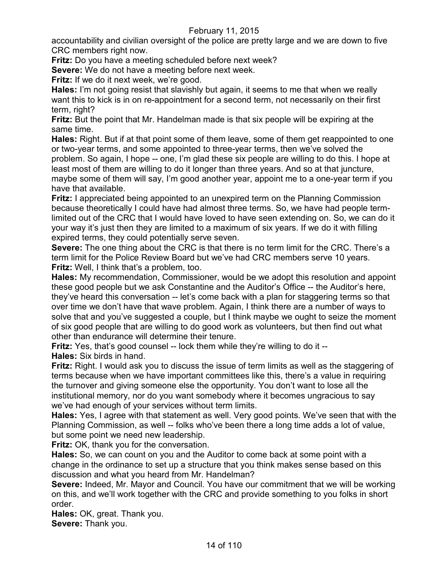accountability and civilian oversight of the police are pretty large and we are down to five CRC members right now.

**Fritz:** Do you have a meeting scheduled before next week?

**Severe:** We do not have a meeting before next week.

**Fritz:** If we do it next week, we're good.

**Hales:** I'm not going resist that slavishly but again, it seems to me that when we really want this to kick is in on re-appointment for a second term, not necessarily on their first term, right?

**Fritz:** But the point that Mr. Handelman made is that six people will be expiring at the same time.

**Hales:** Right. But if at that point some of them leave, some of them get reappointed to one or two-year terms, and some appointed to three-year terms, then we've solved the problem. So again, I hope -- one, I'm glad these six people are willing to do this. I hope at least most of them are willing to do it longer than three years. And so at that juncture, maybe some of them will say, I'm good another year, appoint me to a one-year term if you have that available.

**Fritz:** I appreciated being appointed to an unexpired term on the Planning Commission because theoretically I could have had almost three terms. So, we have had people termlimited out of the CRC that I would have loved to have seen extending on. So, we can do it your way it's just then they are limited to a maximum of six years. If we do it with filling expired terms, they could potentially serve seven.

**Severe:** The one thing about the CRC is that there is no term limit for the CRC. There's a term limit for the Police Review Board but we've had CRC members serve 10 years. **Fritz:** Well, I think that's a problem, too.

**Hales:** My recommendation, Commissioner, would be we adopt this resolution and appoint these good people but we ask Constantine and the Auditor's Office -- the Auditor's here, they've heard this conversation -- let's come back with a plan for staggering terms so that over time we don't have that wave problem. Again, I think there are a number of ways to solve that and you've suggested a couple, but I think maybe we ought to seize the moment of six good people that are willing to do good work as volunteers, but then find out what other than endurance will determine their tenure.

**Fritz:** Yes, that's good counsel -- lock them while they're willing to do it --**Hales:** Six birds in hand.

**Fritz:** Right. I would ask you to discuss the issue of term limits as well as the staggering of terms because when we have important committees like this, there's a value in requiring the turnover and giving someone else the opportunity. You don't want to lose all the institutional memory, nor do you want somebody where it becomes ungracious to say we've had enough of your services without term limits.

**Hales:** Yes, I agree with that statement as well. Very good points. We've seen that with the Planning Commission, as well -- folks who've been there a long time adds a lot of value, but some point we need new leadership.

**Fritz:** OK, thank you for the conversation.

**Hales:** So, we can count on you and the Auditor to come back at some point with a change in the ordinance to set up a structure that you think makes sense based on this discussion and what you heard from Mr. Handelman?

**Severe:** Indeed, Mr. Mayor and Council. You have our commitment that we will be working on this, and we'll work together with the CRC and provide something to you folks in short order.

**Hales:** OK, great. Thank you.

**Severe:** Thank you.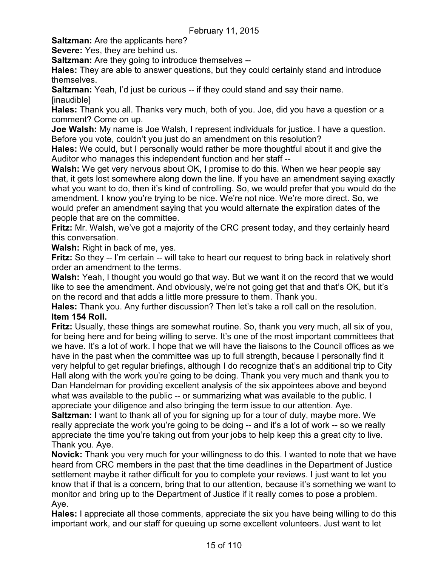**Saltzman:** Are the applicants here?

**Severe:** Yes, they are behind us.

**Saltzman:** Are they going to introduce themselves --

**Hales:** They are able to answer questions, but they could certainly stand and introduce themselves.

**Saltzman:** Yeah, I'd just be curious -- if they could stand and say their name. [inaudible]

**Hales:** Thank you all. Thanks very much, both of you. Joe, did you have a question or a comment? Come on up.

**Joe Walsh:** My name is Joe Walsh, I represent individuals for justice. I have a question. Before you vote, couldn't you just do an amendment on this resolution?

**Hales:** We could, but I personally would rather be more thoughtful about it and give the Auditor who manages this independent function and her staff --

**Walsh:** We get very nervous about OK, I promise to do this. When we hear people say that, it gets lost somewhere along down the line. If you have an amendment saying exactly what you want to do, then it's kind of controlling. So, we would prefer that you would do the amendment. I know you're trying to be nice. We're not nice. We're more direct. So, we would prefer an amendment saying that you would alternate the expiration dates of the people that are on the committee.

**Fritz:** Mr. Walsh, we've got a majority of the CRC present today, and they certainly heard this conversation.

**Walsh:** Right in back of me, yes.

**Fritz:** So they -- I'm certain -- will take to heart our request to bring back in relatively short order an amendment to the terms.

**Walsh:** Yeah, I thought you would go that way. But we want it on the record that we would like to see the amendment. And obviously, we're not going get that and that's OK, but it's on the record and that adds a little more pressure to them. Thank you.

**Hales:** Thank you. Any further discussion? Then let's take a roll call on the resolution. **Item 154 Roll.**

**Fritz:** Usually, these things are somewhat routine. So, thank you very much, all six of you, for being here and for being willing to serve. It's one of the most important committees that we have. It's a lot of work. I hope that we will have the liaisons to the Council offices as we have in the past when the committee was up to full strength, because I personally find it very helpful to get regular briefings, although I do recognize that's an additional trip to City Hall along with the work you're going to be doing. Thank you very much and thank you to Dan Handelman for providing excellent analysis of the six appointees above and beyond what was available to the public -- or summarizing what was available to the public. I appreciate your diligence and also bringing the term issue to our attention. Aye.

**Saltzman:** I want to thank all of you for signing up for a tour of duty, maybe more. We really appreciate the work you're going to be doing -- and it's a lot of work -- so we really appreciate the time you're taking out from your jobs to help keep this a great city to live. Thank you. Aye.

**Novick:** Thank you very much for your willingness to do this. I wanted to note that we have heard from CRC members in the past that the time deadlines in the Department of Justice settlement maybe it rather difficult for you to complete your reviews. I just want to let you know that if that is a concern, bring that to our attention, because it's something we want to monitor and bring up to the Department of Justice if it really comes to pose a problem. Aye.

**Hales:** I appreciate all those comments, appreciate the six you have being willing to do this important work, and our staff for queuing up some excellent volunteers. Just want to let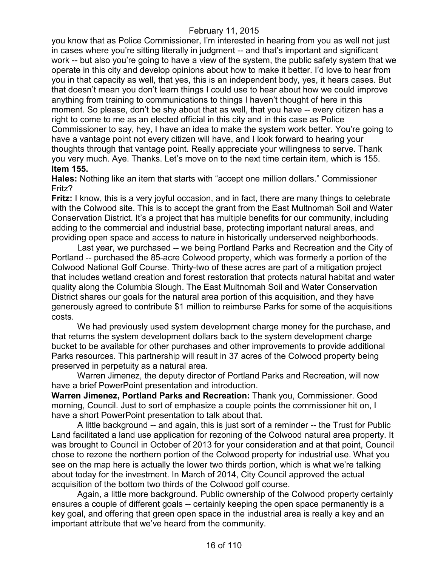you know that as Police Commissioner, I'm interested in hearing from you as well not just in cases where you're sitting literally in judgment -- and that's important and significant work -- but also you're going to have a view of the system, the public safety system that we operate in this city and develop opinions about how to make it better. I'd love to hear from you in that capacity as well, that yes, this is an independent body, yes, it hears cases. But that doesn't mean you don't learn things I could use to hear about how we could improve anything from training to communications to things I haven't thought of here in this moment. So please, don't be shy about that as well, that you have -- every citizen has a right to come to me as an elected official in this city and in this case as Police Commissioner to say, hey, I have an idea to make the system work better. You're going to have a vantage point not every citizen will have, and I look forward to hearing your thoughts through that vantage point. Really appreciate your willingness to serve. Thank you very much. Aye. Thanks. Let's move on to the next time certain item, which is 155. **Item 155.**

**Hales:** Nothing like an item that starts with "accept one million dollars." Commissioner Fritz?

**Fritz:** I know, this is a very joyful occasion, and in fact, there are many things to celebrate with the Colwood site. This is to accept the grant from the East Multnomah Soil and Water Conservation District. It's a project that has multiple benefits for our community, including adding to the commercial and industrial base, protecting important natural areas, and providing open space and access to nature in historically underserved neighborhoods.

Last year, we purchased -- we being Portland Parks and Recreation and the City of Portland -- purchased the 85-acre Colwood property, which was formerly a portion of the Colwood National Golf Course. Thirty-two of these acres are part of a mitigation project that includes wetland creation and forest restoration that protects natural habitat and water quality along the Columbia Slough. The East Multnomah Soil and Water Conservation District shares our goals for the natural area portion of this acquisition, and they have generously agreed to contribute \$1 million to reimburse Parks for some of the acquisitions costs.

We had previously used system development charge money for the purchase, and that returns the system development dollars back to the system development charge bucket to be available for other purchases and other improvements to provide additional Parks resources. This partnership will result in 37 acres of the Colwood property being preserved in perpetuity as a natural area.

Warren Jimenez, the deputy director of Portland Parks and Recreation, will now have a brief PowerPoint presentation and introduction.

**Warren Jimenez, Portland Parks and Recreation:** Thank you, Commissioner. Good morning, Council. Just to sort of emphasize a couple points the commissioner hit on, I have a short PowerPoint presentation to talk about that.

A little background -- and again, this is just sort of a reminder -- the Trust for Public Land facilitated a land use application for rezoning of the Colwood natural area property. It was brought to Council in October of 2013 for your consideration and at that point, Council chose to rezone the northern portion of the Colwood property for industrial use. What you see on the map here is actually the lower two thirds portion, which is what we're talking about today for the investment. In March of 2014, City Council approved the actual acquisition of the bottom two thirds of the Colwood golf course.

Again, a little more background. Public ownership of the Colwood property certainly ensures a couple of different goals -- certainly keeping the open space permanently is a key goal, and offering that green open space in the industrial area is really a key and an important attribute that we've heard from the community.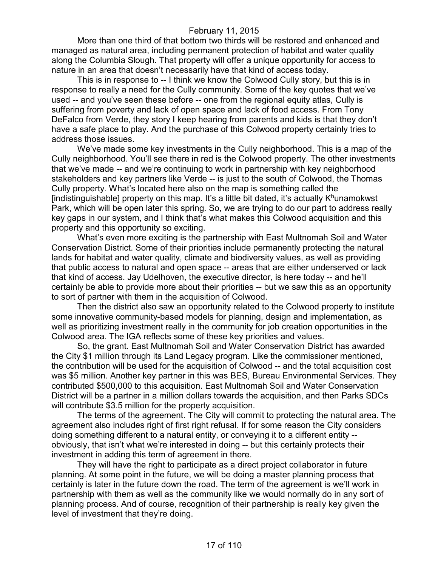More than one third of that bottom two thirds will be restored and enhanced and managed as natural area, including permanent protection of habitat and water quality along the Columbia Slough. That property will offer a unique opportunity for access to nature in an area that doesn't necessarily have that kind of access today.

This is in response to -- I think we know the Colwood Cully story, but this is in response to really a need for the Cully community. Some of the key quotes that we've used -- and you've seen these before -- one from the regional equity atlas, Cully is suffering from poverty and lack of open space and lack of food access. From Tony DeFalco from Verde, they story I keep hearing from parents and kids is that they don't have a safe place to play. And the purchase of this Colwood property certainly tries to address those issues.

We've made some key investments in the Cully neighborhood. This is a map of the Cully neighborhood. You'll see there in red is the Colwood property. The other investments that we've made -- and we're continuing to work in partnership with key neighborhood stakeholders and key partners like Verde -- is just to the south of Colwood, the Thomas Cully property. What's located here also on the map is something called the [indistinguishable] property on this map. It's a little bit dated, it's actually  $K<sup>h</sup>$ unamokwst Park, which will be open later this spring. So, we are trying to do our part to address really key gaps in our system, and I think that's what makes this Colwood acquisition and this property and this opportunity so exciting.

What's even more exciting is the partnership with East Multnomah Soil and Water Conservation District. Some of their priorities include permanently protecting the natural lands for habitat and water quality, climate and biodiversity values, as well as providing that public access to natural and open space -- areas that are either underserved or lack that kind of access. Jay Udelhoven, the executive director, is here today -- and he'll certainly be able to provide more about their priorities -- but we saw this as an opportunity to sort of partner with them in the acquisition of Colwood.

Then the district also saw an opportunity related to the Colwood property to institute some innovative community-based models for planning, design and implementation, as well as prioritizing investment really in the community for job creation opportunities in the Colwood area. The IGA reflects some of these key priorities and values.

So, the grant. East Multnomah Soil and Water Conservation District has awarded the City \$1 million through its Land Legacy program. Like the commissioner mentioned, the contribution will be used for the acquisition of Colwood -- and the total acquisition cost was \$5 million. Another key partner in this was BES, Bureau Environmental Services. They contributed \$500,000 to this acquisition. East Multnomah Soil and Water Conservation District will be a partner in a million dollars towards the acquisition, and then Parks SDCs will contribute \$3.5 million for the property acquisition.

The terms of the agreement. The City will commit to protecting the natural area. The agreement also includes right of first right refusal. If for some reason the City considers doing something different to a natural entity, or conveying it to a different entity - obviously, that isn't what we're interested in doing -- but this certainly protects their investment in adding this term of agreement in there.

They will have the right to participate as a direct project collaborator in future planning. At some point in the future, we will be doing a master planning process that certainly is later in the future down the road. The term of the agreement is we'll work in partnership with them as well as the community like we would normally do in any sort of planning process. And of course, recognition of their partnership is really key given the level of investment that they're doing.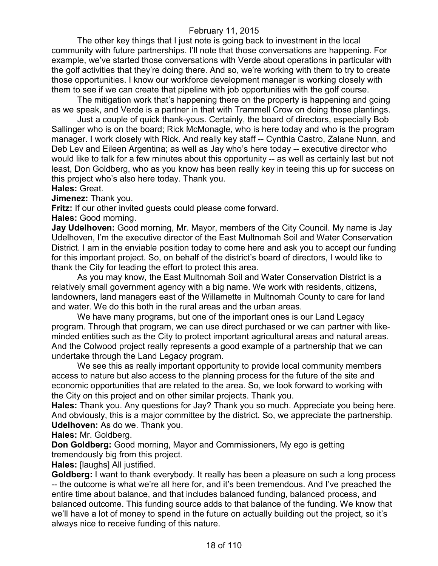The other key things that I just note is going back to investment in the local community with future partnerships. I'll note that those conversations are happening. For example, we've started those conversations with Verde about operations in particular with the golf activities that they're doing there. And so, we're working with them to try to create those opportunities. I know our workforce development manager is working closely with them to see if we can create that pipeline with job opportunities with the golf course.

The mitigation work that's happening there on the property is happening and going as we speak, and Verde is a partner in that with Trammell Crow on doing those plantings.

Just a couple of quick thank-yous. Certainly, the board of directors, especially Bob Sallinger who is on the board; Rick McMonagle, who is here today and who is the program manager. I work closely with Rick. And really key staff -- Cynthia Castro, Zalane Nunn, and Deb Lev and Eileen Argentina; as well as Jay who's here today -- executive director who would like to talk for a few minutes about this opportunity -- as well as certainly last but not least, Don Goldberg, who as you know has been really key in teeing this up for success on this project who's also here today. Thank you.

# **Hales:** Great.

**Jimenez:** Thank you.

**Fritz:** If our other invited guests could please come forward.

**Hales:** Good morning.

**Jay Udelhoven:** Good morning, Mr. Mayor, members of the City Council. My name is Jay Udelhoven, I'm the executive director of the East Multnomah Soil and Water Conservation District. I am in the enviable position today to come here and ask you to accept our funding for this important project. So, on behalf of the district's board of directors, I would like to thank the City for leading the effort to protect this area.

As you may know, the East Multnomah Soil and Water Conservation District is a relatively small government agency with a big name. We work with residents, citizens, landowners, land managers east of the Willamette in Multnomah County to care for land and water. We do this both in the rural areas and the urban areas.

We have many programs, but one of the important ones is our Land Legacy program. Through that program, we can use direct purchased or we can partner with likeminded entities such as the City to protect important agricultural areas and natural areas. And the Colwood project really represents a good example of a partnership that we can undertake through the Land Legacy program.

We see this as really important opportunity to provide local community members access to nature but also access to the planning process for the future of the site and economic opportunities that are related to the area. So, we look forward to working with the City on this project and on other similar projects. Thank you.

**Hales:** Thank you. Any questions for Jay? Thank you so much. Appreciate you being here. And obviously, this is a major committee by the district. So, we appreciate the partnership. **Udelhoven:** As do we. Thank you.

**Hales:** Mr. Goldberg.

**Don Goldberg:** Good morning, Mayor and Commissioners, My ego is getting tremendously big from this project.

**Hales:** [laughs] All justified.

**Goldberg:** I want to thank everybody. It really has been a pleasure on such a long process -- the outcome is what we're all here for, and it's been tremendous. And I've preached the entire time about balance, and that includes balanced funding, balanced process, and balanced outcome. This funding source adds to that balance of the funding. We know that we'll have a lot of money to spend in the future on actually building out the project, so it's always nice to receive funding of this nature.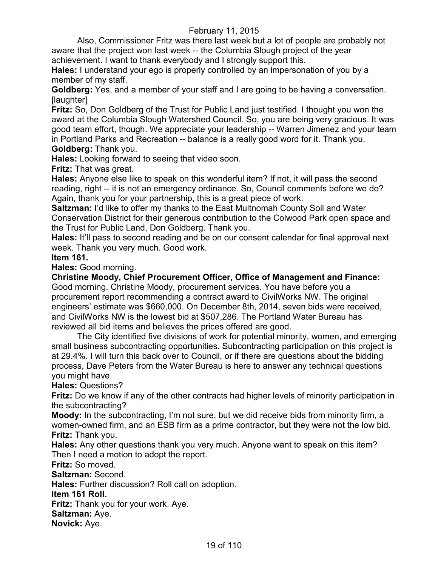Also, Commissioner Fritz was there last week but a lot of people are probably not aware that the project won last week -- the Columbia Slough project of the year achievement. I want to thank everybody and I strongly support this.

**Hales:** I understand your ego is properly controlled by an impersonation of you by a member of my staff.

**Goldberg:** Yes, and a member of your staff and I are going to be having a conversation. [laughter]

**Fritz:** So, Don Goldberg of the Trust for Public Land just testified. I thought you won the award at the Columbia Slough Watershed Council. So, you are being very gracious. It was good team effort, though. We appreciate your leadership -- Warren Jimenez and your team in Portland Parks and Recreation -- balance is a really good word for it. Thank you.

**Goldberg:** Thank you.

**Hales:** Looking forward to seeing that video soon.

**Fritz:** That was great.

**Hales:** Anyone else like to speak on this wonderful item? If not, it will pass the second reading, right -- it is not an emergency ordinance. So, Council comments before we do? Again, thank you for your partnership, this is a great piece of work.

**Saltzman:** I'd like to offer my thanks to the East Multnomah County Soil and Water Conservation District for their generous contribution to the Colwood Park open space and the Trust for Public Land, Don Goldberg. Thank you.

**Hales:** It'll pass to second reading and be on our consent calendar for final approval next week. Thank you very much. Good work.

# **Item 161.**

**Hales:** Good morning.

**Christine Moody, Chief Procurement Officer, Office of Management and Finance:**  Good morning. Christine Moody, procurement services. You have before you a procurement report recommending a contract award to CivilWorks NW. The original engineers' estimate was \$660,000. On December 8th, 2014, seven bids were received, and CivilWorks NW is the lowest bid at \$507,286. The Portland Water Bureau has reviewed all bid items and believes the prices offered are good.

The City identified five divisions of work for potential minority, women, and emerging small business subcontracting opportunities. Subcontracting participation on this project is at 29.4%. I will turn this back over to Council, or if there are questions about the bidding process, Dave Peters from the Water Bureau is here to answer any technical questions you might have.

**Hales:** Questions?

**Fritz:** Do we know if any of the other contracts had higher levels of minority participation in the subcontracting?

**Moody:** In the subcontracting, I'm not sure, but we did receive bids from minority firm, a women-owned firm, and an ESB firm as a prime contractor, but they were not the low bid. **Fritz:** Thank you.

**Hales:** Any other questions thank you very much. Anyone want to speak on this item? Then I need a motion to adopt the report.

**Fritz:** So moved.

**Saltzman:** Second.

**Hales:** Further discussion? Roll call on adoption.

**Item 161 Roll.**

**Fritz:** Thank you for your work. Aye.

**Saltzman:** Aye.

**Novick:** Aye.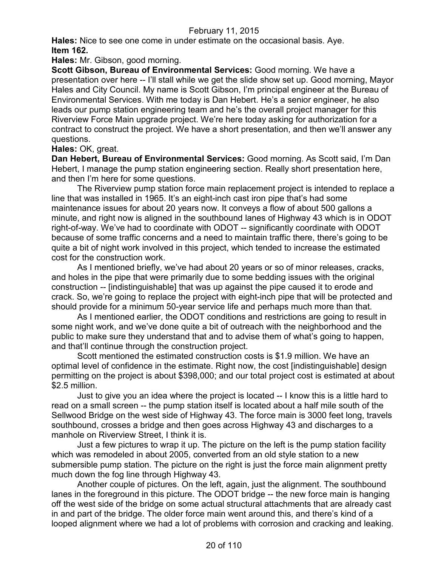**Hales:** Nice to see one come in under estimate on the occasional basis. Aye. **Item 162.**

**Hales:** Mr. Gibson, good morning.

**Scott Gibson, Bureau of Environmental Services:** Good morning. We have a presentation over here -- I'll stall while we get the slide show set up. Good morning, Mayor Hales and City Council. My name is Scott Gibson, I'm principal engineer at the Bureau of Environmental Services. With me today is Dan Hebert. He's a senior engineer, he also leads our pump station engineering team and he's the overall project manager for this Riverview Force Main upgrade project. We're here today asking for authorization for a contract to construct the project. We have a short presentation, and then we'll answer any questions.

# **Hales:** OK, great.

**Dan Hebert, Bureau of Environmental Services:** Good morning. As Scott said, I'm Dan Hebert, I manage the pump station engineering section. Really short presentation here, and then I'm here for some questions.

The Riverview pump station force main replacement project is intended to replace a line that was installed in 1965. It's an eight-inch cast iron pipe that's had some maintenance issues for about 20 years now. It conveys a flow of about 500 gallons a minute, and right now is aligned in the southbound lanes of Highway 43 which is in ODOT right-of-way. We've had to coordinate with ODOT -- significantly coordinate with ODOT because of some traffic concerns and a need to maintain traffic there, there's going to be quite a bit of night work involved in this project, which tended to increase the estimated cost for the construction work.

As I mentioned briefly, we've had about 20 years or so of minor releases, cracks, and holes in the pipe that were primarily due to some bedding issues with the original construction -- [indistinguishable] that was up against the pipe caused it to erode and crack. So, we're going to replace the project with eight-inch pipe that will be protected and should provide for a minimum 50-year service life and perhaps much more than that.

As I mentioned earlier, the ODOT conditions and restrictions are going to result in some night work, and we've done quite a bit of outreach with the neighborhood and the public to make sure they understand that and to advise them of what's going to happen, and that'll continue through the construction project.

Scott mentioned the estimated construction costs is \$1.9 million. We have an optimal level of confidence in the estimate. Right now, the cost [indistinguishable] design permitting on the project is about \$398,000; and our total project cost is estimated at about \$2.5 million.

Just to give you an idea where the project is located -- I know this is a little hard to read on a small screen -- the pump station itself is located about a half mile south of the Sellwood Bridge on the west side of Highway 43. The force main is 3000 feet long, travels southbound, crosses a bridge and then goes across Highway 43 and discharges to a manhole on Riverview Street, I think it is.

Just a few pictures to wrap it up. The picture on the left is the pump station facility which was remodeled in about 2005, converted from an old style station to a new submersible pump station. The picture on the right is just the force main alignment pretty much down the fog line through Highway 43.

Another couple of pictures. On the left, again, just the alignment. The southbound lanes in the foreground in this picture. The ODOT bridge -- the new force main is hanging off the west side of the bridge on some actual structural attachments that are already cast in and part of the bridge. The older force main went around this, and there's kind of a looped alignment where we had a lot of problems with corrosion and cracking and leaking.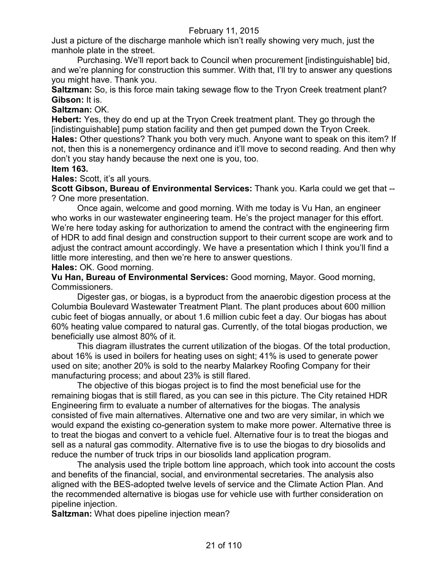Just a picture of the discharge manhole which isn't really showing very much, just the manhole plate in the street.

Purchasing. We'll report back to Council when procurement [indistinguishable] bid, and we're planning for construction this summer. With that, I'll try to answer any questions you might have. Thank you.

**Saltzman:** So, is this force main taking sewage flow to the Tryon Creek treatment plant? **Gibson:** It is.

**Saltzman:** OK.

**Hebert:** Yes, they do end up at the Tryon Creek treatment plant. They go through the [indistinguishable] pump station facility and then get pumped down the Tryon Creek. **Hales:** Other questions? Thank you both very much. Anyone want to speak on this item? If not, then this is a nonemergency ordinance and it'll move to second reading. And then why don't you stay handy because the next one is you, too.

# **Item 163.**

**Hales:** Scott, it's all yours.

**Scott Gibson, Bureau of Environmental Services:** Thank you. Karla could we get that -- ? One more presentation.

Once again, welcome and good morning. With me today is Vu Han, an engineer who works in our wastewater engineering team. He's the project manager for this effort. We're here today asking for authorization to amend the contract with the engineering firm of HDR to add final design and construction support to their current scope are work and to adjust the contract amount accordingly. We have a presentation which I think you'll find a little more interesting, and then we're here to answer questions.

**Hales:** OK. Good morning.

**Vu Han, Bureau of Environmental Services:** Good morning, Mayor. Good morning, Commissioners.

Digester gas, or biogas, is a byproduct from the anaerobic digestion process at the Columbia Boulevard Wastewater Treatment Plant. The plant produces about 600 million cubic feet of biogas annually, or about 1.6 million cubic feet a day. Our biogas has about 60% heating value compared to natural gas. Currently, of the total biogas production, we beneficially use almost 80% of it.

This diagram illustrates the current utilization of the biogas. Of the total production, about 16% is used in boilers for heating uses on sight; 41% is used to generate power used on site; another 20% is sold to the nearby Malarkey Roofing Company for their manufacturing process; and about 23% is still flared.

The objective of this biogas project is to find the most beneficial use for the remaining biogas that is still flared, as you can see in this picture. The City retained HDR Engineering firm to evaluate a number of alternatives for the biogas. The analysis consisted of five main alternatives. Alternative one and two are very similar, in which we would expand the existing co-generation system to make more power. Alternative three is to treat the biogas and convert to a vehicle fuel. Alternative four is to treat the biogas and sell as a natural gas commodity. Alternative five is to use the biogas to dry biosolids and reduce the number of truck trips in our biosolids land application program.

The analysis used the triple bottom line approach, which took into account the costs and benefits of the financial, social, and environmental secretaries. The analysis also aligned with the BES-adopted twelve levels of service and the Climate Action Plan. And the recommended alternative is biogas use for vehicle use with further consideration on pipeline injection.

**Saltzman:** What does pipeline injection mean?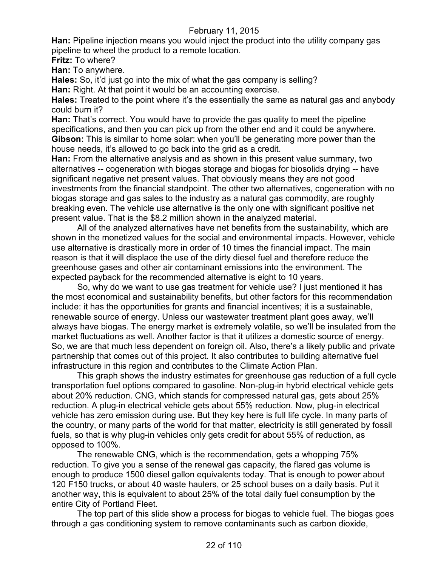**Han:** Pipeline injection means you would inject the product into the utility company gas pipeline to wheel the product to a remote location.

**Fritz:** To where?

**Han:** To anywhere.

**Hales:** So, it'd just go into the mix of what the gas company is selling? **Han:** Right. At that point it would be an accounting exercise.

**Hales:** Treated to the point where it's the essentially the same as natural gas and anybody could burn it?

**Han:** That's correct. You would have to provide the gas quality to meet the pipeline specifications, and then you can pick up from the other end and it could be anywhere. **Gibson:** This is similar to home solar: when you'll be generating more power than the house needs, it's allowed to go back into the grid as a credit.

**Han:** From the alternative analysis and as shown in this present value summary, two alternatives -- cogeneration with biogas storage and biogas for biosolids drying -- have significant negative net present values. That obviously means they are not good investments from the financial standpoint. The other two alternatives, cogeneration with no biogas storage and gas sales to the industry as a natural gas commodity, are roughly breaking even. The vehicle use alternative is the only one with significant positive net present value. That is the \$8.2 million shown in the analyzed material.

All of the analyzed alternatives have net benefits from the sustainability, which are shown in the monetized values for the social and environmental impacts. However, vehicle use alternative is drastically more in order of 10 times the financial impact. The main reason is that it will displace the use of the dirty diesel fuel and therefore reduce the greenhouse gases and other air contaminant emissions into the environment. The expected payback for the recommended alternative is eight to 10 years.

So, why do we want to use gas treatment for vehicle use? I just mentioned it has the most economical and sustainability benefits, but other factors for this recommendation include: it has the opportunities for grants and financial incentives; it is a sustainable, renewable source of energy. Unless our wastewater treatment plant goes away, we'll always have biogas. The energy market is extremely volatile, so we'll be insulated from the market fluctuations as well. Another factor is that it utilizes a domestic source of energy. So, we are that much less dependent on foreign oil. Also, there's a likely public and private partnership that comes out of this project. It also contributes to building alternative fuel infrastructure in this region and contributes to the Climate Action Plan.

This graph shows the industry estimates for greenhouse gas reduction of a full cycle transportation fuel options compared to gasoline. Non-plug-in hybrid electrical vehicle gets about 20% reduction. CNG, which stands for compressed natural gas, gets about 25% reduction. A plug-in electrical vehicle gets about 55% reduction. Now, plug-in electrical vehicle has zero emission during use. But they key here is full life cycle. In many parts of the country, or many parts of the world for that matter, electricity is still generated by fossil fuels, so that is why plug-in vehicles only gets credit for about 55% of reduction, as opposed to 100%.

The renewable CNG, which is the recommendation, gets a whopping 75% reduction. To give you a sense of the renewal gas capacity, the flared gas volume is enough to produce 1500 diesel gallon equivalents today. That is enough to power about 120 F150 trucks, or about 40 waste haulers, or 25 school buses on a daily basis. Put it another way, this is equivalent to about 25% of the total daily fuel consumption by the entire City of Portland Fleet.

The top part of this slide show a process for biogas to vehicle fuel. The biogas goes through a gas conditioning system to remove contaminants such as carbon dioxide,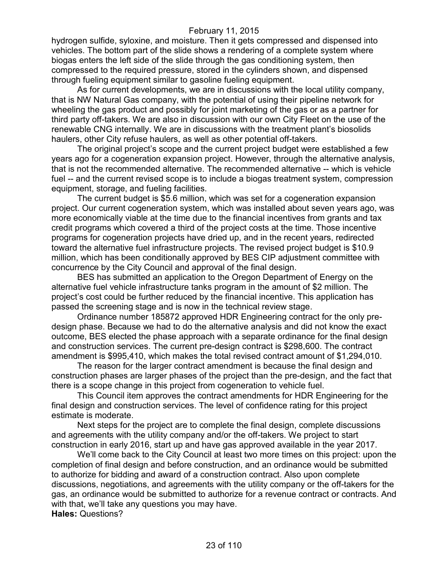hydrogen sulfide, syloxine, and moisture. Then it gets compressed and dispensed into vehicles. The bottom part of the slide shows a rendering of a complete system where biogas enters the left side of the slide through the gas conditioning system, then compressed to the required pressure, stored in the cylinders shown, and dispensed through fueling equipment similar to gasoline fueling equipment.

As for current developments, we are in discussions with the local utility company, that is NW Natural Gas company, with the potential of using their pipeline network for wheeling the gas product and possibly for joint marketing of the gas or as a partner for third party off-takers. We are also in discussion with our own City Fleet on the use of the renewable CNG internally. We are in discussions with the treatment plant's biosolids haulers, other City refuse haulers, as well as other potential off-takers.

The original project's scope and the current project budget were established a few years ago for a cogeneration expansion project. However, through the alternative analysis, that is not the recommended alternative. The recommended alternative -- which is vehicle fuel -- and the current revised scope is to include a biogas treatment system, compression equipment, storage, and fueling facilities.

The current budget is \$5.6 million, which was set for a cogeneration expansion project. Our current cogeneration system, which was installed about seven years ago, was more economically viable at the time due to the financial incentives from grants and tax credit programs which covered a third of the project costs at the time. Those incentive programs for cogeneration projects have dried up, and in the recent years, redirected toward the alternative fuel infrastructure projects. The revised project budget is \$10.9 million, which has been conditionally approved by BES CIP adjustment committee with concurrence by the City Council and approval of the final design.

BES has submitted an application to the Oregon Department of Energy on the alternative fuel vehicle infrastructure tanks program in the amount of \$2 million. The project's cost could be further reduced by the financial incentive. This application has passed the screening stage and is now in the technical review stage.

Ordinance number 185872 approved HDR Engineering contract for the only predesign phase. Because we had to do the alternative analysis and did not know the exact outcome, BES elected the phase approach with a separate ordinance for the final design and construction services. The current pre-design contract is \$298,600. The contract amendment is \$995,410, which makes the total revised contract amount of \$1,294,010.

The reason for the larger contract amendment is because the final design and construction phases are larger phases of the project than the pre-design, and the fact that there is a scope change in this project from cogeneration to vehicle fuel.

This Council item approves the contract amendments for HDR Engineering for the final design and construction services. The level of confidence rating for this project estimate is moderate.

Next steps for the project are to complete the final design, complete discussions and agreements with the utility company and/or the off-takers. We project to start construction in early 2016, start up and have gas approved available in the year 2017.

We'll come back to the City Council at least two more times on this project: upon the completion of final design and before construction, and an ordinance would be submitted to authorize for bidding and award of a construction contract. Also upon complete discussions, negotiations, and agreements with the utility company or the off-takers for the gas, an ordinance would be submitted to authorize for a revenue contract or contracts. And with that, we'll take any questions you may have. **Hales:** Questions?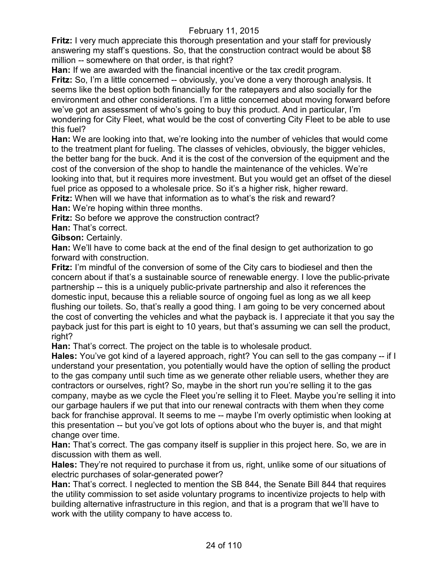**Fritz:** I very much appreciate this thorough presentation and your staff for previously answering my staff's questions. So, that the construction contract would be about \$8 million -- somewhere on that order, is that right?

**Han:** If we are awarded with the financial incentive or the tax credit program.

**Fritz:** So, I'm a little concerned -- obviously, you've done a very thorough analysis. It seems like the best option both financially for the ratepayers and also socially for the environment and other considerations. I'm a little concerned about moving forward before we've got an assessment of who's going to buy this product. And in particular, I'm wondering for City Fleet, what would be the cost of converting City Fleet to be able to use this fuel?

**Han:** We are looking into that, we're looking into the number of vehicles that would come to the treatment plant for fueling. The classes of vehicles, obviously, the bigger vehicles, the better bang for the buck. And it is the cost of the conversion of the equipment and the cost of the conversion of the shop to handle the maintenance of the vehicles. We're looking into that, but it requires more investment. But you would get an offset of the diesel fuel price as opposed to a wholesale price. So it's a higher risk, higher reward.

**Fritz:** When will we have that information as to what's the risk and reward?

**Han:** We're hoping within three months.

**Fritz:** So before we approve the construction contract?

**Han:** That's correct.

**Gibson:** Certainly.

**Han:** We'll have to come back at the end of the final design to get authorization to go forward with construction.

**Fritz:** I'm mindful of the conversion of some of the City cars to biodiesel and then the concern about if that's a sustainable source of renewable energy. I love the public-private partnership -- this is a uniquely public-private partnership and also it references the domestic input, because this a reliable source of ongoing fuel as long as we all keep flushing our toilets. So, that's really a good thing. I am going to be very concerned about the cost of converting the vehicles and what the payback is. I appreciate it that you say the payback just for this part is eight to 10 years, but that's assuming we can sell the product, right?

**Han:** That's correct. The project on the table is to wholesale product.

**Hales:** You've got kind of a layered approach, right? You can sell to the gas company -- if I understand your presentation, you potentially would have the option of selling the product to the gas company until such time as we generate other reliable users, whether they are contractors or ourselves, right? So, maybe in the short run you're selling it to the gas company, maybe as we cycle the Fleet you're selling it to Fleet. Maybe you're selling it into our garbage haulers if we put that into our renewal contracts with them when they come back for franchise approval. It seems to me -- maybe I'm overly optimistic when looking at this presentation -- but you've got lots of options about who the buyer is, and that might change over time.

**Han:** That's correct. The gas company itself is supplier in this project here. So, we are in discussion with them as well.

**Hales:** They're not required to purchase it from us, right, unlike some of our situations of electric purchases of solar-generated power?

**Han:** That's correct. I neglected to mention the SB 844, the Senate Bill 844 that requires the utility commission to set aside voluntary programs to incentivize projects to help with building alternative infrastructure in this region, and that is a program that we'll have to work with the utility company to have access to.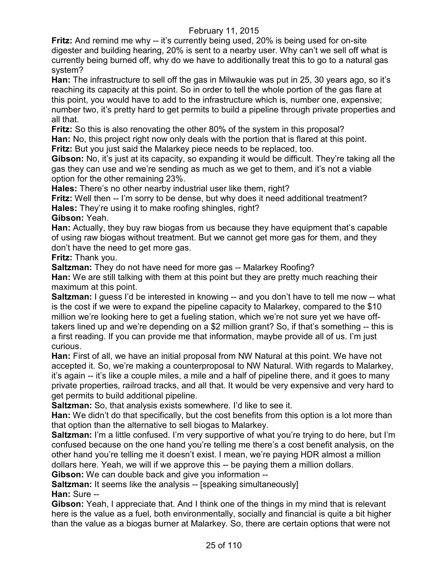**Fritz:** And remind me why -- it's currently being used, 20% is being used for on-site digester and building hearing, 20% is sent to a nearby user. Why can't we sell off what is currently being burned off, why do we have to additionally treat this to go to a natural gas system?

**Han:** The infrastructure to sell off the gas in Milwaukie was put in 25, 30 years ago, so it's reaching its capacity at this point. So in order to tell the whole portion of the gas flare at this point, you would have to add to the infrastructure which is, number one, expensive; number two, it's pretty hard to get permits to build a pipeline through private properties and all that.

**Fritz:** So this is also renovating the other 80% of the system in this proposal? **Han:** No, this project right now only deals with the portion that is flared at this point. **Fritz:** But you just said the Malarkey piece needs to be replaced, too.

**Gibson:** No, it's just at its capacity, so expanding it would be difficult. They're taking all the gas they can use and we're sending as much as we get to them, and it's not a viable option for the other remaining 23%.

**Hales:** There's no other nearby industrial user like them, right?

**Fritz:** Well then -- I'm sorry to be dense, but why does it need additional treatment? **Hales:** They're using it to make roofing shingles, right?

**Gibson:** Yeah.

**Han:** Actually, they buy raw biogas from us because they have equipment that's capable of using raw biogas without treatment. But we cannot get more gas for them, and they don't have the need to get more gas.

**Fritz:** Thank you.

**Saltzman:** They do not have need for more gas -- Malarkey Roofing?

**Han:** We are still talking with them at this point but they are pretty much reaching their maximum at this point.

**Saltzman:** I guess I'd be interested in knowing -- and you don't have to tell me now -- what is the cost if we were to expand the pipeline capacity to Malarkey, compared to the \$10 million we're looking here to get a fueling station, which we're not sure yet we have offtakers lined up and we're depending on a \$2 million grant? So, if that's something -- this is a first reading. If you can provide me that information, maybe provide all of us. I'm just curious.

**Han:** First of all, we have an initial proposal from NW Natural at this point. We have not accepted it. So, we're making a counterproposal to NW Natural. With regards to Malarkey, it's again -- it's like a couple miles, a mile and a half of pipeline there, and it goes to many private properties, railroad tracks, and all that. It would be very expensive and very hard to get permits to build additional pipeline.

**Saltzman:** So, that analysis exists somewhere. I'd like to see it.

**Han:** We didn't do that specifically, but the cost benefits from this option is a lot more than that option than the alternative to sell biogas to Malarkey.

**Saltzman:** I'm a little confused. I'm very supportive of what you're trying to do here, but I'm confused because on the one hand you're telling me there's a cost benefit analysis, on the other hand you're telling me it doesn't exist. I mean, we're paying HDR almost a million dollars here. Yeah, we will if we approve this -- be paying them a million dollars.

**Gibson:** We can double back and give you information --

**Saltzman:** It seems like the analysis -- [speaking simultaneously]

**Han:** Sure --

**Gibson:** Yeah, I appreciate that. And I think one of the things in my mind that is relevant here is the value as a fuel, both environmentally, socially and financial is quite a bit higher than the value as a biogas burner at Malarkey. So, there are certain options that were not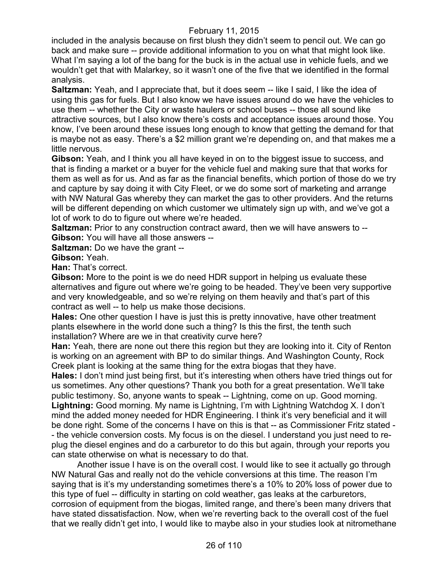included in the analysis because on first blush they didn't seem to pencil out. We can go back and make sure -- provide additional information to you on what that might look like. What I'm saying a lot of the bang for the buck is in the actual use in vehicle fuels, and we wouldn't get that with Malarkey, so it wasn't one of the five that we identified in the formal analysis.

**Saltzman:** Yeah, and I appreciate that, but it does seem -- like I said, I like the idea of using this gas for fuels. But I also know we have issues around do we have the vehicles to use them -- whether the City or waste haulers or school buses -- those all sound like attractive sources, but I also know there's costs and acceptance issues around those. You know, I've been around these issues long enough to know that getting the demand for that is maybe not as easy. There's a \$2 million grant we're depending on, and that makes me a little nervous.

**Gibson:** Yeah, and I think you all have keyed in on to the biggest issue to success, and that is finding a market or a buyer for the vehicle fuel and making sure that that works for them as well as for us. And as far as the financial benefits, which portion of those do we try and capture by say doing it with City Fleet, or we do some sort of marketing and arrange with NW Natural Gas whereby they can market the gas to other providers. And the returns will be different depending on which customer we ultimately sign up with, and we've got a lot of work to do to figure out where we're headed.

**Saltzman:** Prior to any construction contract award, then we will have answers to -- **Gibson:** You will have all those answers --

**Saltzman:** Do we have the grant --

### **Gibson:** Yeah.

**Han:** That's correct.

**Gibson:** More to the point is we do need HDR support in helping us evaluate these alternatives and figure out where we're going to be headed. They've been very supportive and very knowledgeable, and so we're relying on them heavily and that's part of this contract as well -- to help us make those decisions.

**Hales:** One other question I have is just this is pretty innovative, have other treatment plants elsewhere in the world done such a thing? Is this the first, the tenth such installation? Where are we in that creativity curve here?

**Han:** Yeah, there are none out there this region but they are looking into it. City of Renton is working on an agreement with BP to do similar things. And Washington County, Rock Creek plant is looking at the same thing for the extra biogas that they have.

**Hales:** I don't mind just being first, but it's interesting when others have tried things out for us sometimes. Any other questions? Thank you both for a great presentation. We'll take public testimony. So, anyone wants to speak -- Lightning, come on up. Good morning. **Lightning:** Good morning. My name is Lightning, I'm with Lightning Watchdog X. I don't mind the added money needed for HDR Engineering. I think it's very beneficial and it will be done right. Some of the concerns I have on this is that -- as Commissioner Fritz stated - - the vehicle conversion costs. My focus is on the diesel. I understand you just need to replug the diesel engines and do a carburetor to do this but again, through your reports you can state otherwise on what is necessary to do that.

Another issue I have is on the overall cost. I would like to see it actually go through NW Natural Gas and really not do the vehicle conversions at this time. The reason I'm saying that is it's my understanding sometimes there's a 10% to 20% loss of power due to this type of fuel -- difficulty in starting on cold weather, gas leaks at the carburetors, corrosion of equipment from the biogas, limited range, and there's been many drivers that have stated dissatisfaction. Now, when we're reverting back to the overall cost of the fuel that we really didn't get into, I would like to maybe also in your studies look at nitromethane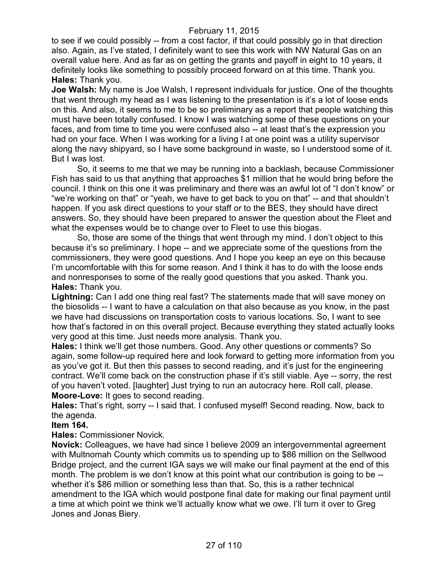to see if we could possibly -- from a cost factor, if that could possibly go in that direction also. Again, as I've stated, I definitely want to see this work with NW Natural Gas on an overall value here. And as far as on getting the grants and payoff in eight to 10 years, it definitely looks like something to possibly proceed forward on at this time. Thank you. **Hales:** Thank you.

**Joe Walsh:** My name is Joe Walsh, I represent individuals for justice. One of the thoughts that went through my head as I was listening to the presentation is it's a lot of loose ends on this. And also, it seems to me to be so preliminary as a report that people watching this must have been totally confused. I know I was watching some of these questions on your faces, and from time to time you were confused also -- at least that's the expression you had on your face. When I was working for a living I at one point was a utility supervisor along the navy shipyard, so I have some background in waste, so I understood some of it. But I was lost.

So, it seems to me that we may be running into a backlash, because Commissioner Fish has said to us that anything that approaches \$1 million that he would bring before the council. I think on this one it was preliminary and there was an awful lot of "I don't know" or "we're working on that" or "yeah, we have to get back to you on that" -- and that shouldn't happen. If you ask direct questions to your staff or to the BES, they should have direct answers. So, they should have been prepared to answer the question about the Fleet and what the expenses would be to change over to Fleet to use this biogas.

So, those are some of the things that went through my mind. I don't object to this because it's so preliminary. I hope -- and we appreciate some of the questions from the commissioners, they were good questions. And I hope you keep an eye on this because I'm uncomfortable with this for some reason. And I think it has to do with the loose ends and nonresponses to some of the really good questions that you asked. Thank you. **Hales:** Thank you.

**Lightning:** Can I add one thing real fast? The statements made that will save money on the biosolids -- I want to have a calculation on that also because as you know, in the past we have had discussions on transportation costs to various locations. So, I want to see how that's factored in on this overall project. Because everything they stated actually looks very good at this time. Just needs more analysis. Thank you.

**Hales:** I think we'll get those numbers. Good. Any other questions or comments? So again, some follow-up required here and look forward to getting more information from you as you've got it. But then this passes to second reading, and it's just for the engineering contract. We'll come back on the construction phase if it's still viable. Aye -- sorry, the rest of you haven't voted. [laughter] Just trying to run an autocracy here. Roll call, please. **Moore-Love:** It goes to second reading.

**Hales:** That's right, sorry -- I said that. I confused myself! Second reading. Now, back to the agenda.

# **Item 164.**

**Hales:** Commissioner Novick.

**Novick:** Colleagues, we have had since I believe 2009 an intergovernmental agreement with Multnomah County which commits us to spending up to \$86 million on the Sellwood Bridge project, and the current IGA says we will make our final payment at the end of this month. The problem is we don't know at this point what our contribution is going to be - whether it's \$86 million or something less than that. So, this is a rather technical amendment to the IGA which would postpone final date for making our final payment until a time at which point we think we'll actually know what we owe. I'll turn it over to Greg Jones and Jonas Biery.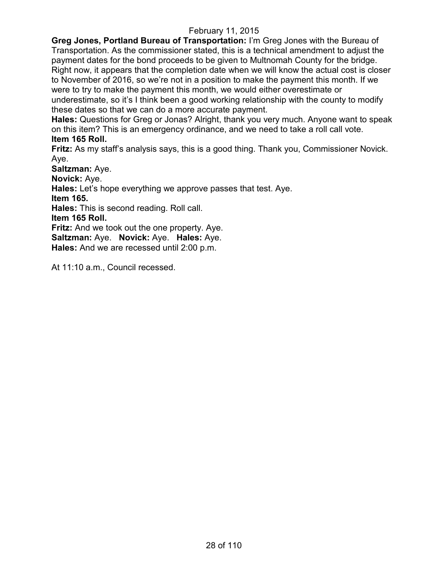**Greg Jones, Portland Bureau of Transportation:** I'm Greg Jones with the Bureau of Transportation. As the commissioner stated, this is a technical amendment to adjust the payment dates for the bond proceeds to be given to Multnomah County for the bridge. Right now, it appears that the completion date when we will know the actual cost is closer to November of 2016, so we're not in a position to make the payment this month. If we were to try to make the payment this month, we would either overestimate or

underestimate, so it's I think been a good working relationship with the county to modify these dates so that we can do a more accurate payment.

**Hales:** Questions for Greg or Jonas? Alright, thank you very much. Anyone want to speak on this item? This is an emergency ordinance, and we need to take a roll call vote. **Item 165 Roll.**

**Fritz:** As my staff's analysis says, this is a good thing. Thank you, Commissioner Novick. Aye.

**Saltzman:** Aye.

**Novick:** Aye.

**Hales:** Let's hope everything we approve passes that test. Aye.

**Item 165.**

**Hales:** This is second reading. Roll call.

**Item 165 Roll.**

**Fritz:** And we took out the one property. Aye.

**Saltzman:** Aye. **Novick:** Aye. **Hales:** Aye.

**Hales:** And we are recessed until 2:00 p.m.

At 11:10 a.m., Council recessed.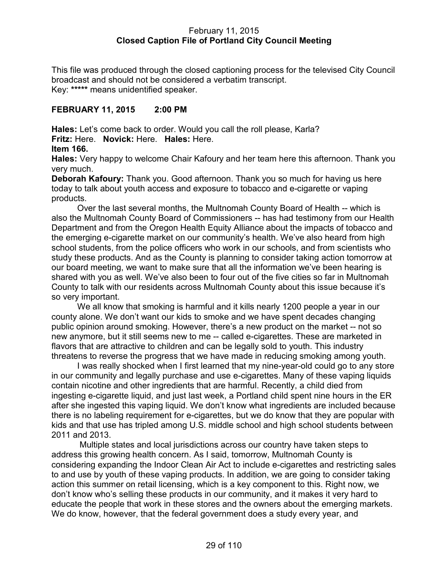### February 11, 2015 **Closed Caption File of Portland City Council Meeting**

This file was produced through the closed captioning process for the televised City Council broadcast and should not be considered a verbatim transcript. Key: **\*\*\*\*\*** means unidentified speaker.

# **FEBRUARY 11, 2015 2:00 PM**

**Hales:** Let's come back to order. Would you call the roll please, Karla? **Fritz:** Here. **Novick:** Here. **Hales:** Here.

### **Item 166.**

**Hales:** Very happy to welcome Chair Kafoury and her team here this afternoon. Thank you very much.

**Deborah Kafoury:** Thank you. Good afternoon. Thank you so much for having us here today to talk about youth access and exposure to tobacco and e-cigarette or vaping products.

Over the last several months, the Multnomah County Board of Health -- which is also the Multnomah County Board of Commissioners -- has had testimony from our Health Department and from the Oregon Health Equity Alliance about the impacts of tobacco and the emerging e-cigarette market on our community's health. We've also heard from high school students, from the police officers who work in our schools, and from scientists who study these products. And as the County is planning to consider taking action tomorrow at our board meeting, we want to make sure that all the information we've been hearing is shared with you as well. We've also been to four out of the five cities so far in Multnomah County to talk with our residents across Multnomah County about this issue because it's so very important.

We all know that smoking is harmful and it kills nearly 1200 people a year in our county alone. We don't want our kids to smoke and we have spent decades changing public opinion around smoking. However, there's a new product on the market -- not so new anymore, but it still seems new to me -- called e-cigarettes. These are marketed in flavors that are attractive to children and can be legally sold to youth. This industry threatens to reverse the progress that we have made in reducing smoking among youth.

I was really shocked when I first learned that my nine-year-old could go to any store in our community and legally purchase and use e-cigarettes. Many of these vaping liquids contain nicotine and other ingredients that are harmful. Recently, a child died from ingesting e-cigarette liquid, and just last week, a Portland child spent nine hours in the ER after she ingested this vaping liquid. We don't know what ingredients are included because there is no labeling requirement for e-cigarettes, but we do know that they are popular with kids and that use has tripled among U.S. middle school and high school students between 2011 and 2013.

Multiple states and local jurisdictions across our country have taken steps to address this growing health concern. As I said, tomorrow, Multnomah County is considering expanding the Indoor Clean Air Act to include e-cigarettes and restricting sales to and use by youth of these vaping products. In addition, we are going to consider taking action this summer on retail licensing, which is a key component to this. Right now, we don't know who's selling these products in our community, and it makes it very hard to educate the people that work in these stores and the owners about the emerging markets. We do know, however, that the federal government does a study every year, and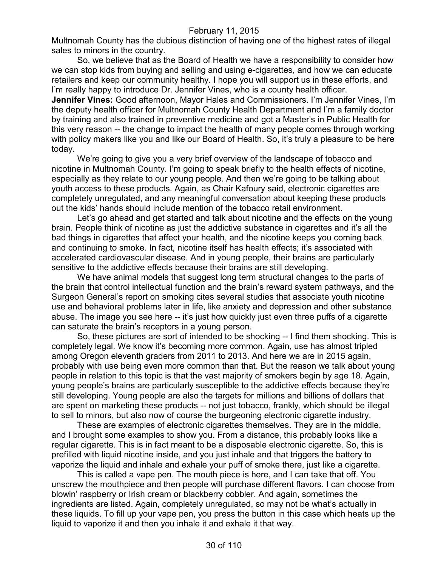Multnomah County has the dubious distinction of having one of the highest rates of illegal sales to minors in the country.

So, we believe that as the Board of Health we have a responsibility to consider how we can stop kids from buying and selling and using e-cigarettes, and how we can educate retailers and keep our community healthy. I hope you will support us in these efforts, and I'm really happy to introduce Dr. Jennifer Vines, who is a county health officer.

**Jennifer Vines:** Good afternoon, Mayor Hales and Commissioners. I'm Jennifer Vines, I'm the deputy health officer for Multnomah County Health Department and I'm a family doctor by training and also trained in preventive medicine and got a Master's in Public Health for this very reason -- the change to impact the health of many people comes through working with policy makers like you and like our Board of Health. So, it's truly a pleasure to be here today.

We're going to give you a very brief overview of the landscape of tobacco and nicotine in Multnomah County. I'm going to speak briefly to the health effects of nicotine, especially as they relate to our young people. And then we're going to be talking about youth access to these products. Again, as Chair Kafoury said, electronic cigarettes are completely unregulated, and any meaningful conversation about keeping these products out the kids' hands should include mention of the tobacco retail environment.

Let's go ahead and get started and talk about nicotine and the effects on the young brain. People think of nicotine as just the addictive substance in cigarettes and it's all the bad things in cigarettes that affect your health, and the nicotine keeps you coming back and continuing to smoke. In fact, nicotine itself has health effects; it's associated with accelerated cardiovascular disease. And in young people, their brains are particularly sensitive to the addictive effects because their brains are still developing.

We have animal models that suggest long term structural changes to the parts of the brain that control intellectual function and the brain's reward system pathways, and the Surgeon General's report on smoking cites several studies that associate youth nicotine use and behavioral problems later in life, like anxiety and depression and other substance abuse. The image you see here -- it's just how quickly just even three puffs of a cigarette can saturate the brain's receptors in a young person.

So, these pictures are sort of intended to be shocking -- I find them shocking. This is completely legal. We know it's becoming more common. Again, use has almost tripled among Oregon eleventh graders from 2011 to 2013. And here we are in 2015 again, probably with use being even more common than that. But the reason we talk about young people in relation to this topic is that the vast majority of smokers begin by age 18. Again, young people's brains are particularly susceptible to the addictive effects because they're still developing. Young people are also the targets for millions and billions of dollars that are spent on marketing these products -- not just tobacco, frankly, which should be illegal to sell to minors, but also now of course the burgeoning electronic cigarette industry.

These are examples of electronic cigarettes themselves. They are in the middle, and I brought some examples to show you. From a distance, this probably looks like a regular cigarette. This is in fact meant to be a disposable electronic cigarette. So, this is prefilled with liquid nicotine inside, and you just inhale and that triggers the battery to vaporize the liquid and inhale and exhale your puff of smoke there, just like a cigarette.

This is called a vape pen. The mouth piece is here, and I can take that off. You unscrew the mouthpiece and then people will purchase different flavors. I can choose from blowin' raspberry or Irish cream or blackberry cobbler. And again, sometimes the ingredients are listed. Again, completely unregulated, so may not be what's actually in these liquids. To fill up your vape pen, you press the button in this case which heats up the liquid to vaporize it and then you inhale it and exhale it that way.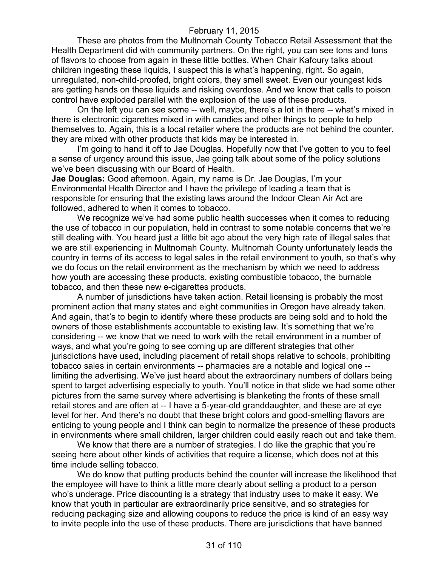These are photos from the Multnomah County Tobacco Retail Assessment that the Health Department did with community partners. On the right, you can see tons and tons of flavors to choose from again in these little bottles. When Chair Kafoury talks about children ingesting these liquids, I suspect this is what's happening, right. So again, unregulated, non-child-proofed, bright colors, they smell sweet. Even our youngest kids are getting hands on these liquids and risking overdose. And we know that calls to poison control have exploded parallel with the explosion of the use of these products.

On the left you can see some -- well, maybe, there's a lot in there -- what's mixed in there is electronic cigarettes mixed in with candies and other things to people to help themselves to. Again, this is a local retailer where the products are not behind the counter, they are mixed with other products that kids may be interested in.

I'm going to hand it off to Jae Douglas. Hopefully now that I've gotten to you to feel a sense of urgency around this issue, Jae going talk about some of the policy solutions we've been discussing with our Board of Health.

**Jae Douglas:** Good afternoon. Again, my name is Dr. Jae Douglas, I'm your Environmental Health Director and I have the privilege of leading a team that is responsible for ensuring that the existing laws around the Indoor Clean Air Act are followed, adhered to when it comes to tobacco.

We recognize we've had some public health successes when it comes to reducing the use of tobacco in our population, held in contrast to some notable concerns that we're still dealing with. You heard just a little bit ago about the very high rate of illegal sales that we are still experiencing in Multnomah County. Multnomah County unfortunately leads the country in terms of its access to legal sales in the retail environment to youth, so that's why we do focus on the retail environment as the mechanism by which we need to address how youth are accessing these products, existing combustible tobacco, the burnable tobacco, and then these new e-cigarettes products.

A number of jurisdictions have taken action. Retail licensing is probably the most prominent action that many states and eight communities in Oregon have already taken. And again, that's to begin to identify where these products are being sold and to hold the owners of those establishments accountable to existing law. It's something that we're considering -- we know that we need to work with the retail environment in a number of ways, and what you're going to see coming up are different strategies that other jurisdictions have used, including placement of retail shops relative to schools, prohibiting tobacco sales in certain environments -- pharmacies are a notable and logical one - limiting the advertising. We've just heard about the extraordinary numbers of dollars being spent to target advertising especially to youth. You'll notice in that slide we had some other pictures from the same survey where advertising is blanketing the fronts of these small retail stores and are often at -- I have a 5-year-old granddaughter, and these are at eye level for her. And there's no doubt that these bright colors and good-smelling flavors are enticing to young people and I think can begin to normalize the presence of these products in environments where small children, larger children could easily reach out and take them.

We know that there are a number of strategies. I do like the graphic that you're seeing here about other kinds of activities that require a license, which does not at this time include selling tobacco.

We do know that putting products behind the counter will increase the likelihood that the employee will have to think a little more clearly about selling a product to a person who's underage. Price discounting is a strategy that industry uses to make it easy. We know that youth in particular are extraordinarily price sensitive, and so strategies for reducing packaging size and allowing coupons to reduce the price is kind of an easy way to invite people into the use of these products. There are jurisdictions that have banned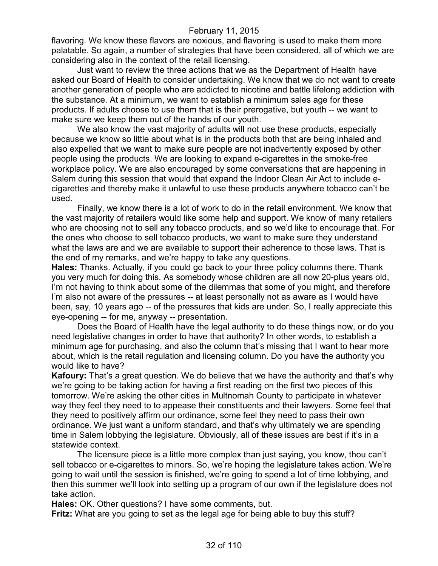flavoring. We know these flavors are noxious, and flavoring is used to make them more palatable. So again, a number of strategies that have been considered, all of which we are considering also in the context of the retail licensing.

Just want to review the three actions that we as the Department of Health have asked our Board of Health to consider undertaking. We know that we do not want to create another generation of people who are addicted to nicotine and battle lifelong addiction with the substance. At a minimum, we want to establish a minimum sales age for these products. If adults choose to use them that is their prerogative, but youth -- we want to make sure we keep them out of the hands of our youth.

We also know the vast majority of adults will not use these products, especially because we know so little about what is in the products both that are being inhaled and also expelled that we want to make sure people are not inadvertently exposed by other people using the products. We are looking to expand e-cigarettes in the smoke-free workplace policy. We are also encouraged by some conversations that are happening in Salem during this session that would that expand the Indoor Clean Air Act to include ecigarettes and thereby make it unlawful to use these products anywhere tobacco can't be used.

Finally, we know there is a lot of work to do in the retail environment. We know that the vast majority of retailers would like some help and support. We know of many retailers who are choosing not to sell any tobacco products, and so we'd like to encourage that. For the ones who choose to sell tobacco products, we want to make sure they understand what the laws are and we are available to support their adherence to those laws. That is the end of my remarks, and we're happy to take any questions.

**Hales:** Thanks. Actually, if you could go back to your three policy columns there. Thank you very much for doing this. As somebody whose children are all now 20-plus years old, I'm not having to think about some of the dilemmas that some of you might, and therefore I'm also not aware of the pressures -- at least personally not as aware as I would have been, say, 10 years ago -- of the pressures that kids are under. So, I really appreciate this eye-opening -- for me, anyway -- presentation.

Does the Board of Health have the legal authority to do these things now, or do you need legislative changes in order to have that authority? In other words, to establish a minimum age for purchasing, and also the column that's missing that I want to hear more about, which is the retail regulation and licensing column. Do you have the authority you would like to have?

**Kafoury:** That's a great question. We do believe that we have the authority and that's why we're going to be taking action for having a first reading on the first two pieces of this tomorrow. We're asking the other cities in Multnomah County to participate in whatever way they feel they need to to appease their constituents and their lawyers. Some feel that they need to positively affirm our ordinance, some feel they need to pass their own ordinance. We just want a uniform standard, and that's why ultimately we are spending time in Salem lobbying the legislature. Obviously, all of these issues are best if it's in a statewide context.

The licensure piece is a little more complex than just saying, you know, thou can't sell tobacco or e-cigarettes to minors. So, we're hoping the legislature takes action. We're going to wait until the session is finished, we're going to spend a lot of time lobbying, and then this summer we'll look into setting up a program of our own if the legislature does not take action.

**Hales:** OK. Other questions? I have some comments, but.

**Fritz:** What are you going to set as the legal age for being able to buy this stuff?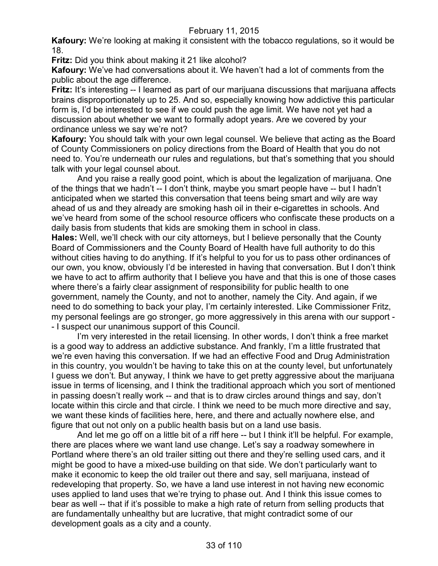**Kafoury:** We're looking at making it consistent with the tobacco regulations, so it would be 18.

**Fritz:** Did you think about making it 21 like alcohol?

**Kafoury:** We've had conversations about it. We haven't had a lot of comments from the public about the age difference.

**Fritz:** It's interesting -- I learned as part of our marijuana discussions that marijuana affects brains disproportionately up to 25. And so, especially knowing how addictive this particular form is, I'd be interested to see if we could push the age limit. We have not yet had a discussion about whether we want to formally adopt years. Are we covered by your ordinance unless we say we're not?

**Kafoury:** You should talk with your own legal counsel. We believe that acting as the Board of County Commissioners on policy directions from the Board of Health that you do not need to. You're underneath our rules and regulations, but that's something that you should talk with your legal counsel about.

And you raise a really good point, which is about the legalization of marijuana. One of the things that we hadn't -- I don't think, maybe you smart people have -- but I hadn't anticipated when we started this conversation that teens being smart and wily are way ahead of us and they already are smoking hash oil in their e-cigarettes in schools. And we've heard from some of the school resource officers who confiscate these products on a daily basis from students that kids are smoking them in school in class.

**Hales:** Well, we'll check with our city attorneys, but I believe personally that the County Board of Commissioners and the County Board of Health have full authority to do this without cities having to do anything. If it's helpful to you for us to pass other ordinances of our own, you know, obviously I'd be interested in having that conversation. But I don't think we have to act to affirm authority that I believe you have and that this is one of those cases where there's a fairly clear assignment of responsibility for public health to one government, namely the County, and not to another, namely the City. And again, if we need to do something to back your play, I'm certainly interested. Like Commissioner Fritz, my personal feelings are go stronger, go more aggressively in this arena with our support - - I suspect our unanimous support of this Council.

I'm very interested in the retail licensing. In other words, I don't think a free market is a good way to address an addictive substance. And frankly, I'm a little frustrated that we're even having this conversation. If we had an effective Food and Drug Administration in this country, you wouldn't be having to take this on at the county level, but unfortunately I guess we don't. But anyway, I think we have to get pretty aggressive about the marijuana issue in terms of licensing, and I think the traditional approach which you sort of mentioned in passing doesn't really work -- and that is to draw circles around things and say, don't locate within this circle and that circle. I think we need to be much more directive and say, we want these kinds of facilities here, here, and there and actually nowhere else, and figure that out not only on a public health basis but on a land use basis.

And let me go off on a little bit of a riff here -- but I think it'll be helpful. For example, there are places where we want land use change. Let's say a roadway somewhere in Portland where there's an old trailer sitting out there and they're selling used cars, and it might be good to have a mixed-use building on that side. We don't particularly want to make it economic to keep the old trailer out there and say, sell marijuana, instead of redeveloping that property. So, we have a land use interest in not having new economic uses applied to land uses that we're trying to phase out. And I think this issue comes to bear as well -- that if it's possible to make a high rate of return from selling products that are fundamentally unhealthy but are lucrative, that might contradict some of our development goals as a city and a county.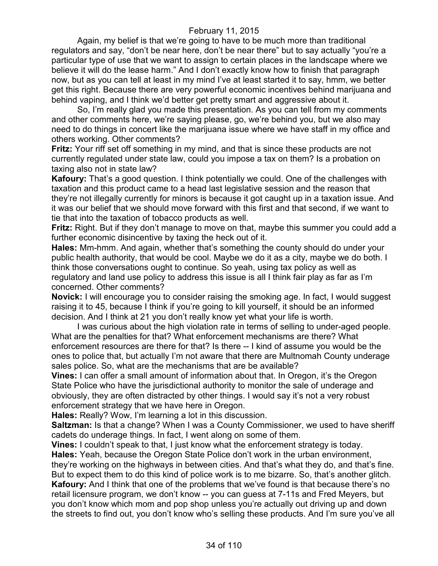Again, my belief is that we're going to have to be much more than traditional regulators and say, "don't be near here, don't be near there" but to say actually "you're a particular type of use that we want to assign to certain places in the landscape where we believe it will do the lease harm." And I don't exactly know how to finish that paragraph now, but as you can tell at least in my mind I've at least started it to say, hmm, we better get this right. Because there are very powerful economic incentives behind marijuana and behind vaping, and I think we'd better get pretty smart and aggressive about it.

So, I'm really glad you made this presentation. As you can tell from my comments and other comments here, we're saying please, go, we're behind you, but we also may need to do things in concert like the marijuana issue where we have staff in my office and others working. Other comments?

**Fritz:** Your riff set off something in my mind, and that is since these products are not currently regulated under state law, could you impose a tax on them? Is a probation on taxing also not in state law?

**Kafoury:** That's a good question. I think potentially we could. One of the challenges with taxation and this product came to a head last legislative session and the reason that they're not illegally currently for minors is because it got caught up in a taxation issue. And it was our belief that we should move forward with this first and that second, if we want to tie that into the taxation of tobacco products as well.

**Fritz:** Right. But if they don't manage to move on that, maybe this summer you could add a further economic disincentive by taxing the heck out of it.

**Hales:** Mm-hmm. And again, whether that's something the county should do under your public health authority, that would be cool. Maybe we do it as a city, maybe we do both. I think those conversations ought to continue. So yeah, using tax policy as well as regulatory and land use policy to address this issue is all I think fair play as far as I'm concerned. Other comments?

**Novick:** I will encourage you to consider raising the smoking age. In fact, I would suggest raising it to 45, because I think if you're going to kill yourself, it should be an informed decision. And I think at 21 you don't really know yet what your life is worth.

I was curious about the high violation rate in terms of selling to under-aged people. What are the penalties for that? What enforcement mechanisms are there? What enforcement resources are there for that? Is there -- I kind of assume you would be the ones to police that, but actually I'm not aware that there are Multnomah County underage sales police. So, what are the mechanisms that are be available?

**Vines:** I can offer a small amount of information about that. In Oregon, it's the Oregon State Police who have the jurisdictional authority to monitor the sale of underage and obviously, they are often distracted by other things. I would say it's not a very robust enforcement strategy that we have here in Oregon.

**Hales:** Really? Wow, I'm learning a lot in this discussion.

**Saltzman:** Is that a change? When I was a County Commissioner, we used to have sheriff cadets do underage things. In fact, I went along on some of them.

**Vines:** I couldn't speak to that, I just know what the enforcement strategy is today. **Hales:** Yeah, because the Oregon State Police don't work in the urban environment, they're working on the highways in between cities. And that's what they do, and that's fine. But to expect them to do this kind of police work is to me bizarre. So, that's another glitch. **Kafoury:** And I think that one of the problems that we've found is that because there's no retail licensure program, we don't know -- you can guess at 7-11s and Fred Meyers, but you don't know which mom and pop shop unless you're actually out driving up and down the streets to find out, you don't know who's selling these products. And I'm sure you've all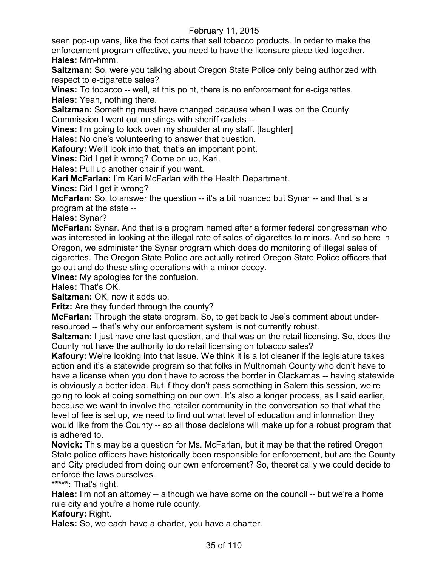seen pop-up vans, like the foot carts that sell tobacco products. In order to make the enforcement program effective, you need to have the licensure piece tied together. **Hales:** Mm-hmm.

**Saltzman:** So, were you talking about Oregon State Police only being authorized with respect to e-cigarette sales?

**Vines:** To tobacco -- well, at this point, there is no enforcement for e-cigarettes. **Hales:** Yeah, nothing there.

**Saltzman:** Something must have changed because when I was on the County Commission I went out on stings with sheriff cadets --

**Vines:** I'm going to look over my shoulder at my staff. [laughter]

**Hales:** No one's volunteering to answer that question.

**Kafoury:** We'll look into that, that's an important point.

**Vines:** Did I get it wrong? Come on up, Kari.

**Hales:** Pull up another chair if you want.

**Kari McFarlan:** I'm Kari McFarlan with the Health Department.

**Vines:** Did I get it wrong?

**McFarlan:** So, to answer the question -- it's a bit nuanced but Synar -- and that is a program at the state --

**Hales:** Synar?

**McFarlan:** Synar. And that is a program named after a former federal congressman who was interested in looking at the illegal rate of sales of cigarettes to minors. And so here in Oregon, we administer the Synar program which does do monitoring of illegal sales of cigarettes. The Oregon State Police are actually retired Oregon State Police officers that go out and do these sting operations with a minor decoy.

**Vines:** My apologies for the confusion.

**Hales:** That's OK.

**Saltzman:** OK, now it adds up.

**Fritz:** Are they funded through the county?

**McFarlan:** Through the state program. So, to get back to Jae's comment about underresourced -- that's why our enforcement system is not currently robust.

**Saltzman:** I just have one last question, and that was on the retail licensing. So, does the County not have the authority to do retail licensing on tobacco sales?

**Kafoury:** We're looking into that issue. We think it is a lot cleaner if the legislature takes action and it's a statewide program so that folks in Multnomah County who don't have to have a license when you don't have to across the border in Clackamas -- having statewide is obviously a better idea. But if they don't pass something in Salem this session, we're going to look at doing something on our own. It's also a longer process, as I said earlier, because we want to involve the retailer community in the conversation so that what the level of fee is set up, we need to find out what level of education and information they would like from the County -- so all those decisions will make up for a robust program that is adhered to.

**Novick:** This may be a question for Ms. McFarlan, but it may be that the retired Oregon State police officers have historically been responsible for enforcement, but are the County and City precluded from doing our own enforcement? So, theoretically we could decide to enforce the laws ourselves.

**\*\*\*\*\*:** That's right.

**Hales:** I'm not an attorney -- although we have some on the council -- but we're a home rule city and you're a home rule county.

**Kafoury:** Right.

**Hales:** So, we each have a charter, you have a charter.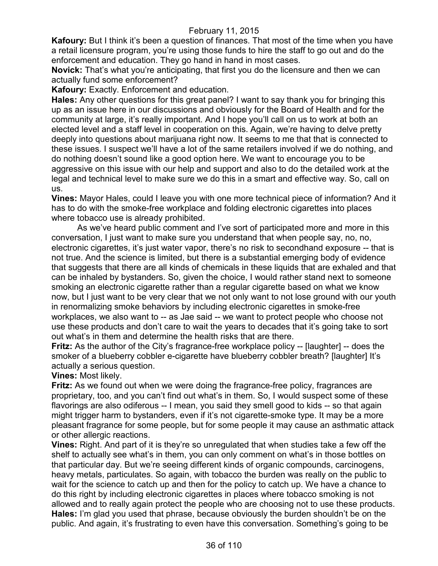**Kafoury:** But I think it's been a question of finances. That most of the time when you have a retail licensure program, you're using those funds to hire the staff to go out and do the enforcement and education. They go hand in hand in most cases.

**Novick:** That's what you're anticipating, that first you do the licensure and then we can actually fund some enforcement?

**Kafoury:** Exactly. Enforcement and education.

**Hales:** Any other questions for this great panel? I want to say thank you for bringing this up as an issue here in our discussions and obviously for the Board of Health and for the community at large, it's really important. And I hope you'll call on us to work at both an elected level and a staff level in cooperation on this. Again, we're having to delve pretty deeply into questions about marijuana right now. It seems to me that that is connected to these issues. I suspect we'll have a lot of the same retailers involved if we do nothing, and do nothing doesn't sound like a good option here. We want to encourage you to be aggressive on this issue with our help and support and also to do the detailed work at the legal and technical level to make sure we do this in a smart and effective way. So, call on us.

**Vines:** Mayor Hales, could I leave you with one more technical piece of information? And it has to do with the smoke-free workplace and folding electronic cigarettes into places where tobacco use is already prohibited.

As we've heard public comment and I've sort of participated more and more in this conversation, I just want to make sure you understand that when people say, no, no, electronic cigarettes, it's just water vapor, there's no risk to secondhand exposure -- that is not true. And the science is limited, but there is a substantial emerging body of evidence that suggests that there are all kinds of chemicals in these liquids that are exhaled and that can be inhaled by bystanders. So, given the choice, I would rather stand next to someone smoking an electronic cigarette rather than a regular cigarette based on what we know now, but I just want to be very clear that we not only want to not lose ground with our youth in renormalizing smoke behaviors by including electronic cigarettes in smoke-free workplaces, we also want to -- as Jae said -- we want to protect people who choose not use these products and don't care to wait the years to decades that it's going take to sort out what's in them and determine the health risks that are there.

**Fritz:** As the author of the City's fragrance-free workplace policy -- [laughter] -- does the smoker of a blueberry cobbler e-cigarette have blueberry cobbler breath? [laughter] It's actually a serious question.

#### **Vines:** Most likely.

**Fritz:** As we found out when we were doing the fragrance-free policy, fragrances are proprietary, too, and you can't find out what's in them. So, I would suspect some of these flavorings are also odiferous -- I mean, you said they smell good to kids -- so that again might trigger harm to bystanders, even if it's not cigarette-smoke type. It may be a more pleasant fragrance for some people, but for some people it may cause an asthmatic attack or other allergic reactions.

**Vines:** Right. And part of it is they're so unregulated that when studies take a few off the shelf to actually see what's in them, you can only comment on what's in those bottles on that particular day. But we're seeing different kinds of organic compounds, carcinogens, heavy metals, particulates. So again, with tobacco the burden was really on the public to wait for the science to catch up and then for the policy to catch up. We have a chance to do this right by including electronic cigarettes in places where tobacco smoking is not allowed and to really again protect the people who are choosing not to use these products. **Hales:** I'm glad you used that phrase, because obviously the burden shouldn't be on the public. And again, it's frustrating to even have this conversation. Something's going to be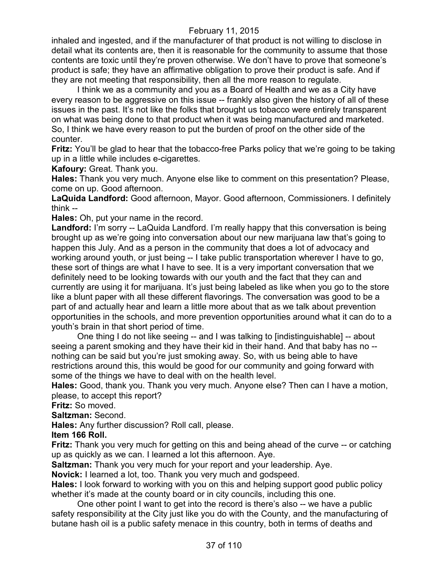inhaled and ingested, and if the manufacturer of that product is not willing to disclose in detail what its contents are, then it is reasonable for the community to assume that those contents are toxic until they're proven otherwise. We don't have to prove that someone's product is safe; they have an affirmative obligation to prove their product is safe. And if they are not meeting that responsibility, then all the more reason to regulate.

I think we as a community and you as a Board of Health and we as a City have every reason to be aggressive on this issue -- frankly also given the history of all of these issues in the past. It's not like the folks that brought us tobacco were entirely transparent on what was being done to that product when it was being manufactured and marketed. So, I think we have every reason to put the burden of proof on the other side of the counter.

**Fritz:** You'll be glad to hear that the tobacco-free Parks policy that we're going to be taking up in a little while includes e-cigarettes.

**Kafoury:** Great. Thank you.

**Hales:** Thank you very much. Anyone else like to comment on this presentation? Please, come on up. Good afternoon.

**LaQuida Landford:** Good afternoon, Mayor. Good afternoon, Commissioners. I definitely think --

**Hales:** Oh, put your name in the record.

**Landford:** I'm sorry -- LaQuida Landford. I'm really happy that this conversation is being brought up as we're going into conversation about our new marijuana law that's going to happen this July. And as a person in the community that does a lot of advocacy and working around youth, or just being -- I take public transportation wherever I have to go, these sort of things are what I have to see. It is a very important conversation that we definitely need to be looking towards with our youth and the fact that they can and currently are using it for marijuana. It's just being labeled as like when you go to the store like a blunt paper with all these different flavorings. The conversation was good to be a part of and actually hear and learn a little more about that as we talk about prevention opportunities in the schools, and more prevention opportunities around what it can do to a youth's brain in that short period of time.

One thing I do not like seeing -- and I was talking to [indistinguishable] -- about seeing a parent smoking and they have their kid in their hand. And that baby has no - nothing can be said but you're just smoking away. So, with us being able to have restrictions around this, this would be good for our community and going forward with some of the things we have to deal with on the health level.

**Hales:** Good, thank you. Thank you very much. Anyone else? Then can I have a motion, please, to accept this report?

**Fritz:** So moved.

**Saltzman:** Second.

**Hales:** Any further discussion? Roll call, please.

## **Item 166 Roll.**

**Fritz:** Thank you very much for getting on this and being ahead of the curve -- or catching up as quickly as we can. I learned a lot this afternoon. Aye.

**Saltzman:** Thank you very much for your report and your leadership. Aye.

**Novick:** I learned a lot, too. Thank you very much and godspeed.

**Hales:** I look forward to working with you on this and helping support good public policy whether it's made at the county board or in city councils, including this one.

One other point I want to get into the record is there's also -- we have a public safety responsibility at the City just like you do with the County, and the manufacturing of butane hash oil is a public safety menace in this country, both in terms of deaths and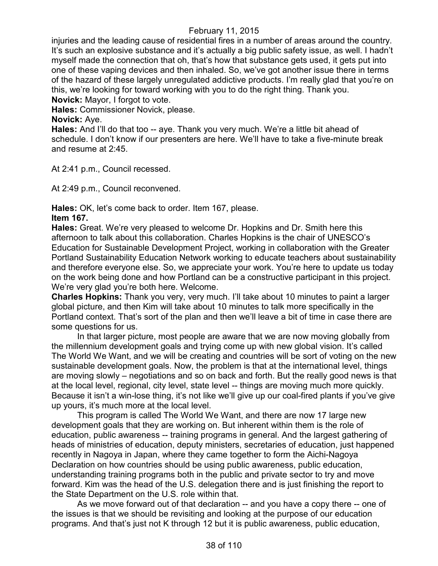injuries and the leading cause of residential fires in a number of areas around the country. It's such an explosive substance and it's actually a big public safety issue, as well. I hadn't myself made the connection that oh, that's how that substance gets used, it gets put into one of these vaping devices and then inhaled. So, we've got another issue there in terms of the hazard of these largely unregulated addictive products. I'm really glad that you're on this, we're looking for toward working with you to do the right thing. Thank you.

**Novick:** Mayor, I forgot to vote.

**Hales:** Commissioner Novick, please.

**Novick:** Aye.

**Hales:** And I'll do that too -- aye. Thank you very much. We're a little bit ahead of schedule. I don't know if our presenters are here. We'll have to take a five-minute break and resume at 2:45.

At 2:41 p.m., Council recessed.

At 2:49 p.m., Council reconvened.

**Hales:** OK, let's come back to order. Item 167, please. **Item 167.**

**Hales:** Great. We're very pleased to welcome Dr. Hopkins and Dr. Smith here this afternoon to talk about this collaboration. Charles Hopkins is the chair of UNESCO's Education for Sustainable Development Project, working in collaboration with the Greater Portland Sustainability Education Network working to educate teachers about sustainability and therefore everyone else. So, we appreciate your work. You're here to update us today on the work being done and how Portland can be a constructive participant in this project. We're very glad you're both here. Welcome.

**Charles Hopkins:** Thank you very, very much. I'll take about 10 minutes to paint a larger global picture, and then Kim will take about 10 minutes to talk more specifically in the Portland context. That's sort of the plan and then we'll leave a bit of time in case there are some questions for us.

In that larger picture, most people are aware that we are now moving globally from the millennium development goals and trying come up with new global vision. It's called The World We Want, and we will be creating and countries will be sort of voting on the new sustainable development goals. Now, the problem is that at the international level, things are moving slowly – negotiations and so on back and forth. But the really good news is that at the local level, regional, city level, state level -- things are moving much more quickly. Because it isn't a win-lose thing, it's not like we'll give up our coal-fired plants if you've give up yours, it's much more at the local level.

This program is called The World We Want, and there are now 17 large new development goals that they are working on. But inherent within them is the role of education, public awareness -- training programs in general. And the largest gathering of heads of ministries of education, deputy ministers, secretaries of education, just happened recently in Nagoya in Japan, where they came together to form the Aichi-Nagoya Declaration on how countries should be using public awareness, public education, understanding training programs both in the public and private sector to try and move forward. Kim was the head of the U.S. delegation there and is just finishing the report to the State Department on the U.S. role within that.

As we move forward out of that declaration -- and you have a copy there -- one of the issues is that we should be revisiting and looking at the purpose of our education programs. And that's just not K through 12 but it is public awareness, public education,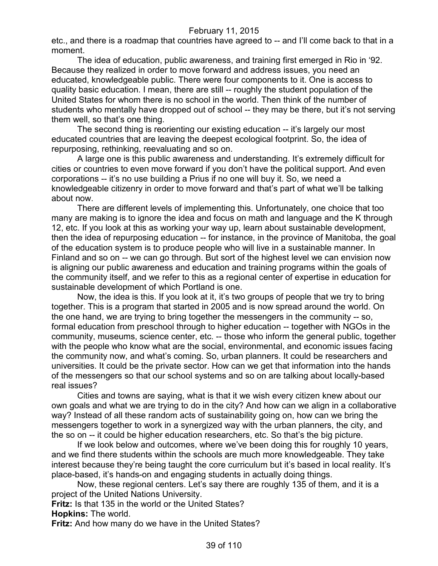etc., and there is a roadmap that countries have agreed to -- and I'll come back to that in a moment.

The idea of education, public awareness, and training first emerged in Rio in '92. Because they realized in order to move forward and address issues, you need an educated, knowledgeable public. There were four components to it. One is access to quality basic education. I mean, there are still -- roughly the student population of the United States for whom there is no school in the world. Then think of the number of students who mentally have dropped out of school -- they may be there, but it's not serving them well, so that's one thing.

The second thing is reorienting our existing education -- it's largely our most educated countries that are leaving the deepest ecological footprint. So, the idea of repurposing, rethinking, reevaluating and so on.

A large one is this public awareness and understanding. It's extremely difficult for cities or countries to even move forward if you don't have the political support. And even corporations -- it's no use building a Prius if no one will buy it. So, we need a knowledgeable citizenry in order to move forward and that's part of what we'll be talking about now.

There are different levels of implementing this. Unfortunately, one choice that too many are making is to ignore the idea and focus on math and language and the K through 12, etc. If you look at this as working your way up, learn about sustainable development, then the idea of repurposing education -- for instance, in the province of Manitoba, the goal of the education system is to produce people who will live in a sustainable manner. In Finland and so on -- we can go through. But sort of the highest level we can envision now is aligning our public awareness and education and training programs within the goals of the community itself, and we refer to this as a regional center of expertise in education for sustainable development of which Portland is one.

Now, the idea is this. If you look at it, it's two groups of people that we try to bring together. This is a program that started in 2005 and is now spread around the world. On the one hand, we are trying to bring together the messengers in the community -- so, formal education from preschool through to higher education -- together with NGOs in the community, museums, science center, etc. -- those who inform the general public, together with the people who know what are the social, environmental, and economic issues facing the community now, and what's coming. So, urban planners. It could be researchers and universities. It could be the private sector. How can we get that information into the hands of the messengers so that our school systems and so on are talking about locally-based real issues?

Cities and towns are saying, what is that it we wish every citizen knew about our own goals and what we are trying to do in the city? And how can we align in a collaborative way? Instead of all these random acts of sustainability going on, how can we bring the messengers together to work in a synergized way with the urban planners, the city, and the so on -- it could be higher education researchers, etc. So that's the big picture.

If we look below and outcomes, where we've been doing this for roughly 10 years, and we find there students within the schools are much more knowledgeable. They take interest because they're being taught the core curriculum but it's based in local reality. It's place-based, it's hands-on and engaging students in actually doing things.

Now, these regional centers. Let's say there are roughly 135 of them, and it is a project of the United Nations University.

**Fritz:** Is that 135 in the world or the United States?

**Hopkins:** The world.

**Fritz:** And how many do we have in the United States?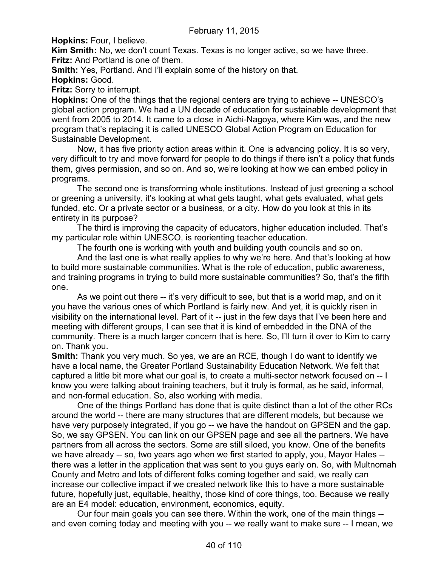**Hopkins:** Four, I believe.

**Kim Smith:** No, we don't count Texas. Texas is no longer active, so we have three. **Fritz:** And Portland is one of them.

**Smith:** Yes, Portland. And I'll explain some of the history on that.

**Hopkins:** Good.

**Fritz:** Sorry to interrupt.

**Hopkins:** One of the things that the regional centers are trying to achieve -- UNESCO's global action program. We had a UN decade of education for sustainable development that went from 2005 to 2014. It came to a close in Aichi-Nagoya, where Kim was, and the new program that's replacing it is called UNESCO Global Action Program on Education for Sustainable Development.

Now, it has five priority action areas within it. One is advancing policy. It is so very, very difficult to try and move forward for people to do things if there isn't a policy that funds them, gives permission, and so on. And so, we're looking at how we can embed policy in programs.

The second one is transforming whole institutions. Instead of just greening a school or greening a university, it's looking at what gets taught, what gets evaluated, what gets funded, etc. Or a private sector or a business, or a city. How do you look at this in its entirety in its purpose?

The third is improving the capacity of educators, higher education included. That's my particular role within UNESCO, is reorienting teacher education.

The fourth one is working with youth and building youth councils and so on.

And the last one is what really applies to why we're here. And that's looking at how to build more sustainable communities. What is the role of education, public awareness, and training programs in trying to build more sustainable communities? So, that's the fifth one.

As we point out there -- it's very difficult to see, but that is a world map, and on it you have the various ones of which Portland is fairly new. And yet, it is quickly risen in visibility on the international level. Part of it -- just in the few days that I've been here and meeting with different groups, I can see that it is kind of embedded in the DNA of the community. There is a much larger concern that is here. So, I'll turn it over to Kim to carry on. Thank you.

**Smith:** Thank you very much. So yes, we are an RCE, though I do want to identify we have a local name, the Greater Portland Sustainability Education Network. We felt that captured a little bit more what our goal is, to create a multi-sector network focused on -- I know you were talking about training teachers, but it truly is formal, as he said, informal, and non-formal education. So, also working with media.

One of the things Portland has done that is quite distinct than a lot of the other RCs around the world -- there are many structures that are different models, but because we have very purposely integrated, if you go -- we have the handout on GPSEN and the gap. So, we say GPSEN. You can link on our GPSEN page and see all the partners. We have partners from all across the sectors. Some are still siloed, you know. One of the benefits we have already -- so, two years ago when we first started to apply, you, Mayor Hales - there was a letter in the application that was sent to you guys early on. So, with Multnomah County and Metro and lots of different folks coming together and said, we really can increase our collective impact if we created network like this to have a more sustainable future, hopefully just, equitable, healthy, those kind of core things, too. Because we really are an E4 model: education, environment, economics, equity.

Our four main goals you can see there. Within the work, one of the main things - and even coming today and meeting with you -- we really want to make sure -- I mean, we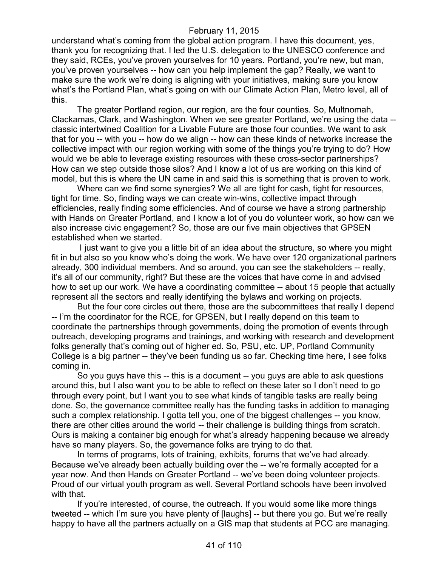understand what's coming from the global action program. I have this document, yes, thank you for recognizing that. I led the U.S. delegation to the UNESCO conference and they said, RCEs, you've proven yourselves for 10 years. Portland, you're new, but man, you've proven yourselves -- how can you help implement the gap? Really, we want to make sure the work we're doing is aligning with your initiatives, making sure you know what's the Portland Plan, what's going on with our Climate Action Plan, Metro level, all of this.

The greater Portland region, our region, are the four counties. So, Multnomah, Clackamas, Clark, and Washington. When we see greater Portland, we're using the data - classic intertwined Coalition for a Livable Future are those four counties. We want to ask that for you -- with you -- how do we align -- how can these kinds of networks increase the collective impact with our region working with some of the things you're trying to do? How would we be able to leverage existing resources with these cross-sector partnerships? How can we step outside those silos? And I know a lot of us are working on this kind of model, but this is where the UN came in and said this is something that is proven to work.

Where can we find some synergies? We all are tight for cash, tight for resources, tight for time. So, finding ways we can create win-wins, collective impact through efficiencies, really finding some efficiencies. And of course we have a strong partnership with Hands on Greater Portland, and I know a lot of you do volunteer work, so how can we also increase civic engagement? So, those are our five main objectives that GPSEN established when we started.

I just want to give you a little bit of an idea about the structure, so where you might fit in but also so you know who's doing the work. We have over 120 organizational partners already, 300 individual members. And so around, you can see the stakeholders -- really, it's all of our community, right? But these are the voices that have come in and advised how to set up our work. We have a coordinating committee -- about 15 people that actually represent all the sectors and really identifying the bylaws and working on projects.

But the four core circles out there, those are the subcommittees that really I depend -- I'm the coordinator for the RCE, for GPSEN, but I really depend on this team to coordinate the partnerships through governments, doing the promotion of events through outreach, developing programs and trainings, and working with research and development folks generally that's coming out of higher ed. So, PSU, etc. UP, Portland Community College is a big partner -- they've been funding us so far. Checking time here, I see folks coming in.

So you guys have this -- this is a document -- you guys are able to ask questions around this, but I also want you to be able to reflect on these later so I don't need to go through every point, but I want you to see what kinds of tangible tasks are really being done. So, the governance committee really has the funding tasks in addition to managing such a complex relationship. I gotta tell you, one of the biggest challenges -- you know, there are other cities around the world -- their challenge is building things from scratch. Ours is making a container big enough for what's already happening because we already have so many players. So, the governance folks are trying to do that.

In terms of programs, lots of training, exhibits, forums that we've had already. Because we've already been actually building over the -- we're formally accepted for a year now. And then Hands on Greater Portland -- we've been doing volunteer projects. Proud of our virtual youth program as well. Several Portland schools have been involved with that.

If you're interested, of course, the outreach. If you would some like more things tweeted -- which I'm sure you have plenty of [laughs] -- but there you go. But we're really happy to have all the partners actually on a GIS map that students at PCC are managing.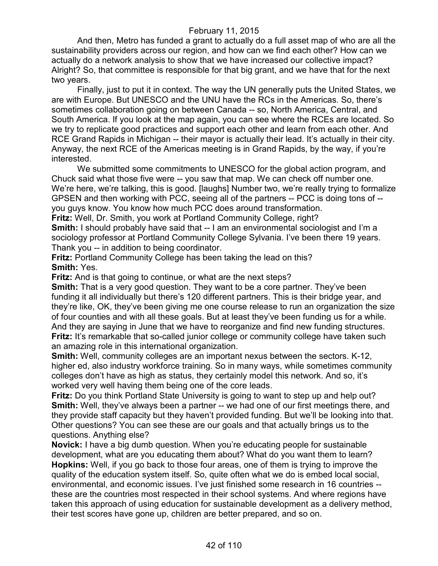And then, Metro has funded a grant to actually do a full asset map of who are all the sustainability providers across our region, and how can we find each other? How can we actually do a network analysis to show that we have increased our collective impact? Alright? So, that committee is responsible for that big grant, and we have that for the next two years.

Finally, just to put it in context. The way the UN generally puts the United States, we are with Europe. But UNESCO and the UNU have the RCs in the Americas. So, there's sometimes collaboration going on between Canada -- so, North America, Central, and South America. If you look at the map again, you can see where the RCEs are located. So we try to replicate good practices and support each other and learn from each other. And RCE Grand Rapids in Michigan -- their mayor is actually their lead. It's actually in their city. Anyway, the next RCE of the Americas meeting is in Grand Rapids, by the way, if you're interested.

We submitted some commitments to UNESCO for the global action program, and Chuck said what those five were -- you saw that map. We can check off number one. We're here, we're talking, this is good. [laughs] Number two, we're really trying to formalize GPSEN and then working with PCC, seeing all of the partners -- PCC is doing tons of - you guys know. You know how much PCC does around transformation.

**Fritz:** Well, Dr. Smith, you work at Portland Community College, right?

**Smith:** I should probably have said that -- I am an environmental sociologist and I'm a sociology professor at Portland Community College Sylvania. I've been there 19 years. Thank you -- in addition to being coordinator.

**Fritz: Portland Community College has been taking the lead on this? Smith:** Yes.

**Fritz:** And is that going to continue, or what are the next steps?

**Smith:** That is a very good question. They want to be a core partner. They've been funding it all individually but there's 120 different partners. This is their bridge year, and they're like, OK, they've been giving me one course release to run an organization the size of four counties and with all these goals. But at least they've been funding us for a while. And they are saying in June that we have to reorganize and find new funding structures. **Fritz:** It's remarkable that so-called junior college or community college have taken such an amazing role in this international organization.

**Smith:** Well, community colleges are an important nexus between the sectors. K-12, higher ed, also industry workforce training. So in many ways, while sometimes community colleges don't have as high as status, they certainly model this network. And so, it's worked very well having them being one of the core leads.

**Fritz:** Do you think Portland State University is going to want to step up and help out? **Smith:** Well, they've always been a partner -- we had one of our first meetings there, and they provide staff capacity but they haven't provided funding. But we'll be looking into that. Other questions? You can see these are our goals and that actually brings us to the questions. Anything else?

**Novick:** I have a big dumb question. When you're educating people for sustainable development, what are you educating them about? What do you want them to learn? **Hopkins:** Well, if you go back to those four areas, one of them is trying to improve the quality of the education system itself. So, quite often what we do is embed local social, environmental, and economic issues. I've just finished some research in 16 countries - these are the countries most respected in their school systems. And where regions have taken this approach of using education for sustainable development as a delivery method, their test scores have gone up, children are better prepared, and so on.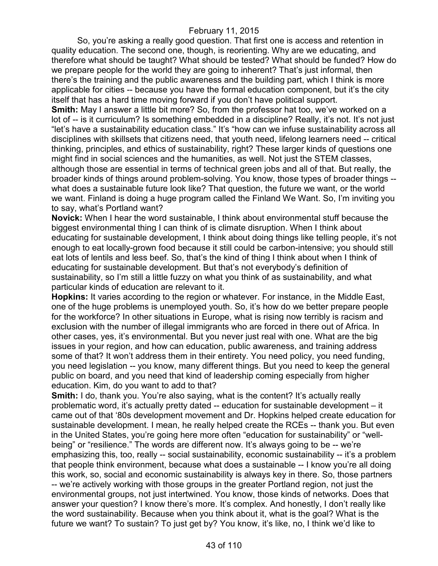So, you're asking a really good question. That first one is access and retention in quality education. The second one, though, is reorienting. Why are we educating, and therefore what should be taught? What should be tested? What should be funded? How do we prepare people for the world they are going to inherent? That's just informal, then there's the training and the public awareness and the building part, which I think is more applicable for cities -- because you have the formal education component, but it's the city itself that has a hard time moving forward if you don't have political support.

**Smith:** May I answer a little bit more? So, from the professor hat too, we've worked on a lot of -- is it curriculum? Is something embedded in a discipline? Really, it's not. It's not just "let's have a sustainability education class." It's "how can we infuse sustainability across all disciplines with skillsets that citizens need, that youth need, lifelong learners need -- critical thinking, principles, and ethics of sustainability, right? These larger kinds of questions one might find in social sciences and the humanities, as well. Not just the STEM classes, although those are essential in terms of technical green jobs and all of that. But really, the broader kinds of things around problem-solving. You know, those types of broader things - what does a sustainable future look like? That question, the future we want, or the world we want. Finland is doing a huge program called the Finland We Want. So, I'm inviting you to say, what's Portland want?

**Novick:** When I hear the word sustainable, I think about environmental stuff because the biggest environmental thing I can think of is climate disruption. When I think about educating for sustainable development, I think about doing things like telling people, it's not enough to eat locally-grown food because it still could be carbon-intensive; you should still eat lots of lentils and less beef. So, that's the kind of thing I think about when I think of educating for sustainable development. But that's not everybody's definition of sustainability, so I'm still a little fuzzy on what you think of as sustainability, and what particular kinds of education are relevant to it.

**Hopkins:** It varies according to the region or whatever. For instance, in the Middle East, one of the huge problems is unemployed youth. So, it's how do we better prepare people for the workforce? In other situations in Europe, what is rising now terribly is racism and exclusion with the number of illegal immigrants who are forced in there out of Africa. In other cases, yes, it's environmental. But you never just real with one. What are the big issues in your region, and how can education, public awareness, and training address some of that? It won't address them in their entirety. You need policy, you need funding, you need legislation -- you know, many different things. But you need to keep the general public on board, and you need that kind of leadership coming especially from higher education. Kim, do you want to add to that?

**Smith:** I do, thank you. You're also saying, what is the content? It's actually really problematic word, it's actually pretty dated -- education for sustainable development – it came out of that '80s development movement and Dr. Hopkins helped create education for sustainable development. I mean, he really helped create the RCEs -- thank you. But even in the United States, you're going here more often "education for sustainability" or "wellbeing" or "resilience." The words are different now. It's always going to be -- we're emphasizing this, too, really -- social sustainability, economic sustainability -- it's a problem that people think environment, because what does a sustainable -- I know you're all doing this work, so, social and economic sustainability is always key in there. So, those partners -- we're actively working with those groups in the greater Portland region, not just the environmental groups, not just intertwined. You know, those kinds of networks. Does that answer your question? I know there's more. It's complex. And honestly, I don't really like the word sustainability. Because when you think about it, what is the goal? What is the future we want? To sustain? To just get by? You know, it's like, no, I think we'd like to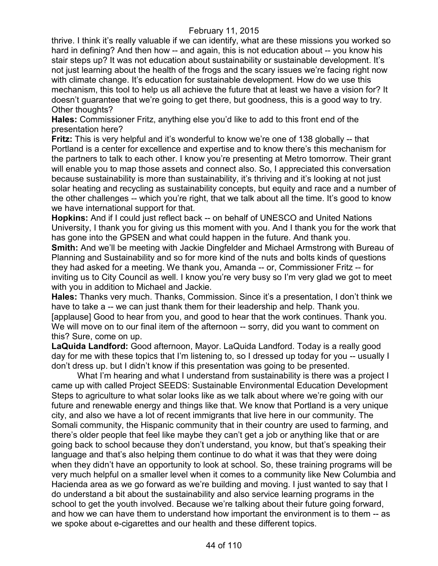thrive. I think it's really valuable if we can identify, what are these missions you worked so hard in defining? And then how -- and again, this is not education about -- you know his stair steps up? It was not education about sustainability or sustainable development. It's not just learning about the health of the frogs and the scary issues we're facing right now with climate change. It's education for sustainable development. How do we use this mechanism, this tool to help us all achieve the future that at least we have a vision for? It doesn't guarantee that we're going to get there, but goodness, this is a good way to try. Other thoughts?

**Hales:** Commissioner Fritz, anything else you'd like to add to this front end of the presentation here?

**Fritz:** This is very helpful and it's wonderful to know we're one of 138 globally -- that Portland is a center for excellence and expertise and to know there's this mechanism for the partners to talk to each other. I know you're presenting at Metro tomorrow. Their grant will enable you to map those assets and connect also. So, I appreciated this conversation because sustainability is more than sustainability, it's thriving and it's looking at not just solar heating and recycling as sustainability concepts, but equity and race and a number of the other challenges -- which you're right, that we talk about all the time. It's good to know we have international support for that.

**Hopkins:** And if I could just reflect back -- on behalf of UNESCO and United Nations University, I thank you for giving us this moment with you. And I thank you for the work that has gone into the GPSEN and what could happen in the future. And thank you.

**Smith:** And we'll be meeting with Jackie Dingfelder and Michael Armstrong with Bureau of Planning and Sustainability and so for more kind of the nuts and bolts kinds of questions they had asked for a meeting. We thank you, Amanda -- or, Commissioner Fritz -- for inviting us to City Council as well. I know you're very busy so I'm very glad we got to meet with you in addition to Michael and Jackie.

**Hales:** Thanks very much. Thanks, Commission. Since it's a presentation, I don't think we have to take a -- we can just thank them for their leadership and help. Thank you. [applause] Good to hear from you, and good to hear that the work continues. Thank you. We will move on to our final item of the afternoon -- sorry, did you want to comment on this? Sure, come on up.

**LaQuida Landford:** Good afternoon, Mayor. LaQuida Landford. Today is a really good day for me with these topics that I'm listening to, so I dressed up today for you -- usually I don't dress up. but I didn't know if this presentation was going to be presented.

What I'm hearing and what I understand from sustainability is there was a project I came up with called Project SEEDS: Sustainable Environmental Education Development Steps to agriculture to what solar looks like as we talk about where we're going with our future and renewable energy and things like that. We know that Portland is a very unique city, and also we have a lot of recent immigrants that live here in our community. The Somali community, the Hispanic community that in their country are used to farming, and there's older people that feel like maybe they can't get a job or anything like that or are going back to school because they don't understand, you know, but that's speaking their language and that's also helping them continue to do what it was that they were doing when they didn't have an opportunity to look at school. So, these training programs will be very much helpful on a smaller level when it comes to a community like New Columbia and Hacienda area as we go forward as we're building and moving. I just wanted to say that I do understand a bit about the sustainability and also service learning programs in the school to get the youth involved. Because we're talking about their future going forward, and how we can have them to understand how important the environment is to them -- as we spoke about e-cigarettes and our health and these different topics.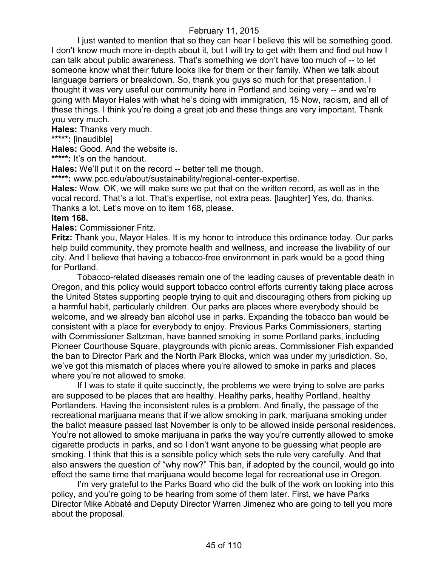I just wanted to mention that so they can hear I believe this will be something good. I don't know much more in-depth about it, but I will try to get with them and find out how I can talk about public awareness. That's something we don't have too much of -- to let someone know what their future looks like for them or their family. When we talk about language barriers or breakdown. So, thank you guys so much for that presentation. I thought it was very useful our community here in Portland and being very -- and we're going with Mayor Hales with what he's doing with immigration, 15 Now, racism, and all of these things. I think you're doing a great job and these things are very important. Thank you very much.

**Hales:** Thanks very much.

**\*\*\*\*\*:** [inaudible]

**Hales:** Good. And the website is.

**\*\*\*\*\*:** It's on the handout.

**Hales:** We'll put it on the record -- better tell me though.

**\*\*\*\*\*:** www.pcc.edu/about/sustainability/regional-center-expertise.

**Hales:** Wow. OK, we will make sure we put that on the written record, as well as in the vocal record. That's a lot. That's expertise, not extra peas. [laughter] Yes, do, thanks. Thanks a lot. Let's move on to item 168, please.

#### **Item 168.**

**Hales:** Commissioner Fritz.

**Fritz:** Thank you, Mayor Hales. It is my honor to introduce this ordinance today. Our parks help build community, they promote health and wellness, and increase the livability of our city. And I believe that having a tobacco-free environment in park would be a good thing for Portland.

Tobacco-related diseases remain one of the leading causes of preventable death in Oregon, and this policy would support tobacco control efforts currently taking place across the United States supporting people trying to quit and discouraging others from picking up a harmful habit, particularly children. Our parks are places where everybody should be welcome, and we already ban alcohol use in parks. Expanding the tobacco ban would be consistent with a place for everybody to enjoy. Previous Parks Commissioners, starting with Commissioner Saltzman, have banned smoking in some Portland parks, including Pioneer Courthouse Square, playgrounds with picnic areas. Commissioner Fish expanded the ban to Director Park and the North Park Blocks, which was under my jurisdiction. So, we've got this mismatch of places where you're allowed to smoke in parks and places where you're not allowed to smoke.

If I was to state it quite succinctly, the problems we were trying to solve are parks are supposed to be places that are healthy. Healthy parks, healthy Portland, healthy Portlanders. Having the inconsistent rules is a problem. And finally, the passage of the recreational marijuana means that if we allow smoking in park, marijuana smoking under the ballot measure passed last November is only to be allowed inside personal residences. You're not allowed to smoke marijuana in parks the way you're currently allowed to smoke cigarette products in parks, and so I don't want anyone to be guessing what people are smoking. I think that this is a sensible policy which sets the rule very carefully. And that also answers the question of "why now?" This ban, if adopted by the council, would go into effect the same time that marijuana would become legal for recreational use in Oregon.

I'm very grateful to the Parks Board who did the bulk of the work on looking into this policy, and you're going to be hearing from some of them later. First, we have Parks Director Mike Abbaté and Deputy Director Warren Jimenez who are going to tell you more about the proposal.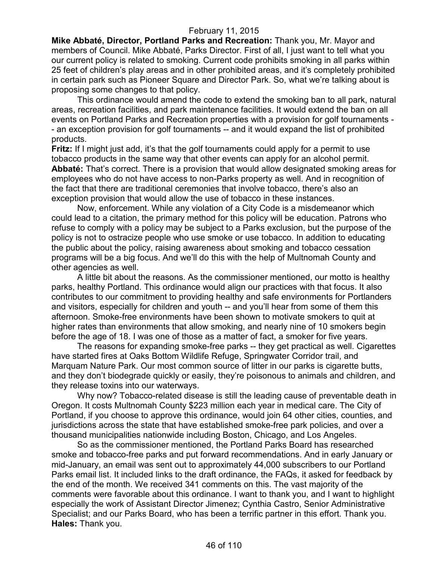**Mike Abbaté, Director, Portland Parks and Recreation:** Thank you, Mr. Mayor and members of Council. Mike Abbaté, Parks Director. First of all, I just want to tell what you our current policy is related to smoking. Current code prohibits smoking in all parks within 25 feet of children's play areas and in other prohibited areas, and it's completely prohibited in certain park such as Pioneer Square and Director Park. So, what we're talking about is proposing some changes to that policy.

This ordinance would amend the code to extend the smoking ban to all park, natural areas, recreation facilities, and park maintenance facilities. It would extend the ban on all events on Portland Parks and Recreation properties with a provision for golf tournaments - - an exception provision for golf tournaments -- and it would expand the list of prohibited products.

**Fritz:** If I might just add, it's that the golf tournaments could apply for a permit to use tobacco products in the same way that other events can apply for an alcohol permit. **Abbaté:** That's correct. There is a provision that would allow designated smoking areas for employees who do not have access to non-Parks property as well. And in recognition of the fact that there are traditional ceremonies that involve tobacco, there's also an exception provision that would allow the use of tobacco in these instances.

Now, enforcement. While any violation of a City Code is a misdemeanor which could lead to a citation, the primary method for this policy will be education. Patrons who refuse to comply with a policy may be subject to a Parks exclusion, but the purpose of the policy is not to ostracize people who use smoke or use tobacco. In addition to educating the public about the policy, raising awareness about smoking and tobacco cessation programs will be a big focus. And we'll do this with the help of Multnomah County and other agencies as well.

A little bit about the reasons. As the commissioner mentioned, our motto is healthy parks, healthy Portland. This ordinance would align our practices with that focus. It also contributes to our commitment to providing healthy and safe environments for Portlanders and visitors, especially for children and youth -- and you'll hear from some of them this afternoon. Smoke-free environments have been shown to motivate smokers to quit at higher rates than environments that allow smoking, and nearly nine of 10 smokers begin before the age of 18. I was one of those as a matter of fact, a smoker for five years.

The reasons for expanding smoke-free parks -- they get practical as well. Cigarettes have started fires at Oaks Bottom Wildlife Refuge, Springwater Corridor trail, and Marquam Nature Park. Our most common source of litter in our parks is cigarette butts, and they don't biodegrade quickly or easily, they're poisonous to animals and children, and they release toxins into our waterways.

Why now? Tobacco-related disease is still the leading cause of preventable death in Oregon. It costs Multnomah County \$223 million each year in medical care. The City of Portland, if you choose to approve this ordinance, would join 64 other cities, counties, and jurisdictions across the state that have established smoke-free park policies, and over a thousand municipalities nationwide including Boston, Chicago, and Los Angeles.

So as the commissioner mentioned, the Portland Parks Board has researched smoke and tobacco-free parks and put forward recommendations. And in early January or mid-January, an email was sent out to approximately 44,000 subscribers to our Portland Parks email list. It included links to the draft ordinance, the FAQs, it asked for feedback by the end of the month. We received 341 comments on this. The vast majority of the comments were favorable about this ordinance. I want to thank you, and I want to highlight especially the work of Assistant Director Jimenez; Cynthia Castro, Senior Administrative Specialist; and our Parks Board, who has been a terrific partner in this effort. Thank you. **Hales:** Thank you.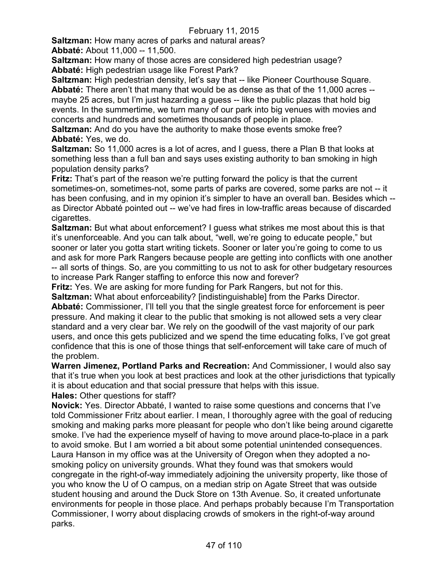**Saltzman:** How many acres of parks and natural areas? **Abbaté:** About 11,000 -- 11,500.

**Saltzman:** How many of those acres are considered high pedestrian usage? **Abbaté:** High pedestrian usage like Forest Park?

**Saltzman:** High pedestrian density, let's say that -- like Pioneer Courthouse Square. **Abbaté:** There aren't that many that would be as dense as that of the 11,000 acres - maybe 25 acres, but I'm just hazarding a guess -- like the public plazas that hold big events. In the summertime, we turn many of our park into big venues with movies and concerts and hundreds and sometimes thousands of people in place.

**Saltzman:** And do you have the authority to make those events smoke free? **Abbaté:** Yes, we do.

**Saltzman:** So 11,000 acres is a lot of acres, and I guess, there a Plan B that looks at something less than a full ban and says uses existing authority to ban smoking in high population density parks?

**Fritz:** That's part of the reason we're putting forward the policy is that the current sometimes-on, sometimes-not, some parts of parks are covered, some parks are not -- it has been confusing, and in my opinion it's simpler to have an overall ban. Besides which - as Director Abbaté pointed out -- we've had fires in low-traffic areas because of discarded cigarettes.

**Saltzman:** But what about enforcement? I guess what strikes me most about this is that it's unenforceable. And you can talk about, "well, we're going to educate people," but sooner or later you gotta start writing tickets. Sooner or later you're going to come to us and ask for more Park Rangers because people are getting into conflicts with one another -- all sorts of things. So, are you committing to us not to ask for other budgetary resources to increase Park Ranger staffing to enforce this now and forever?

**Fritz:** Yes. We are asking for more funding for Park Rangers, but not for this.

**Saltzman:** What about enforceability? [indistinguishable] from the Parks Director. **Abbaté:** Commissioner, I'll tell you that the single greatest force for enforcement is peer

pressure. And making it clear to the public that smoking is not allowed sets a very clear standard and a very clear bar. We rely on the goodwill of the vast majority of our park users, and once this gets publicized and we spend the time educating folks, I've got great confidence that this is one of those things that self-enforcement will take care of much of the problem.

**Warren Jimenez, Portland Parks and Recreation:** And Commissioner, I would also say that it's true when you look at best practices and look at the other jurisdictions that typically it is about education and that social pressure that helps with this issue.

**Hales:** Other questions for staff?

**Novick:** Yes. Director Abbaté, I wanted to raise some questions and concerns that I've told Commissioner Fritz about earlier. I mean, I thoroughly agree with the goal of reducing smoking and making parks more pleasant for people who don't like being around cigarette smoke. I've had the experience myself of having to move around place-to-place in a park to avoid smoke. But I am worried a bit about some potential unintended consequences. Laura Hanson in my office was at the University of Oregon when they adopted a nosmoking policy on university grounds. What they found was that smokers would congregate in the right-of-way immediately adjoining the university property, like those of you who know the U of O campus, on a median strip on Agate Street that was outside student housing and around the Duck Store on 13th Avenue. So, it created unfortunate environments for people in those place. And perhaps probably because I'm Transportation Commissioner, I worry about displacing crowds of smokers in the right-of-way around parks.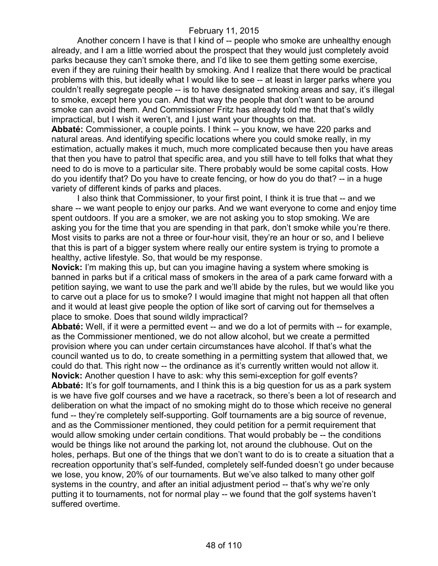Another concern I have is that I kind of -- people who smoke are unhealthy enough already, and I am a little worried about the prospect that they would just completely avoid parks because they can't smoke there, and I'd like to see them getting some exercise, even if they are ruining their health by smoking. And I realize that there would be practical problems with this, but ideally what I would like to see -- at least in larger parks where you couldn't really segregate people -- is to have designated smoking areas and say, it's illegal to smoke, except here you can. And that way the people that don't want to be around smoke can avoid them. And Commissioner Fritz has already told me that that's wildly impractical, but I wish it weren't, and I just want your thoughts on that.

**Abbaté:** Commissioner, a couple points. I think -- you know, we have 220 parks and natural areas. And identifying specific locations where you could smoke really, in my estimation, actually makes it much, much more complicated because then you have areas that then you have to patrol that specific area, and you still have to tell folks that what they need to do is move to a particular site. There probably would be some capital costs. How do you identify that? Do you have to create fencing, or how do you do that? -- in a huge variety of different kinds of parks and places.

I also think that Commissioner, to your first point, I think it is true that -- and we share -- we want people to enjoy our parks. And we want everyone to come and enjoy time spent outdoors. If you are a smoker, we are not asking you to stop smoking. We are asking you for the time that you are spending in that park, don't smoke while you're there. Most visits to parks are not a three or four-hour visit, they're an hour or so, and I believe that this is part of a bigger system where really our entire system is trying to promote a healthy, active lifestyle. So, that would be my response.

**Novick:** I'm making this up, but can you imagine having a system where smoking is banned in parks but if a critical mass of smokers in the area of a park came forward with a petition saying, we want to use the park and we'll abide by the rules, but we would like you to carve out a place for us to smoke? I would imagine that might not happen all that often and it would at least give people the option of like sort of carving out for themselves a place to smoke. Does that sound wildly impractical?

**Abbaté:** Well, if it were a permitted event -- and we do a lot of permits with -- for example, as the Commissioner mentioned, we do not allow alcohol, but we create a permitted provision where you can under certain circumstances have alcohol. If that's what the council wanted us to do, to create something in a permitting system that allowed that, we could do that. This right now -- the ordinance as it's currently written would not allow it. **Novick:** Another question I have to ask: why this semi-exception for golf events? **Abbaté:** It's for golf tournaments, and I think this is a big question for us as a park system is we have five golf courses and we have a racetrack, so there's been a lot of research and deliberation on what the impact of no smoking might do to those which receive no general fund -- they're completely self-supporting. Golf tournaments are a big source of revenue, and as the Commissioner mentioned, they could petition for a permit requirement that would allow smoking under certain conditions. That would probably be -- the conditions would be things like not around the parking lot, not around the clubhouse. Out on the holes, perhaps. But one of the things that we don't want to do is to create a situation that a recreation opportunity that's self-funded, completely self-funded doesn't go under because we lose, you know, 20% of our tournaments. But we've also talked to many other golf systems in the country, and after an initial adjustment period -- that's why we're only putting it to tournaments, not for normal play -- we found that the golf systems haven't suffered overtime.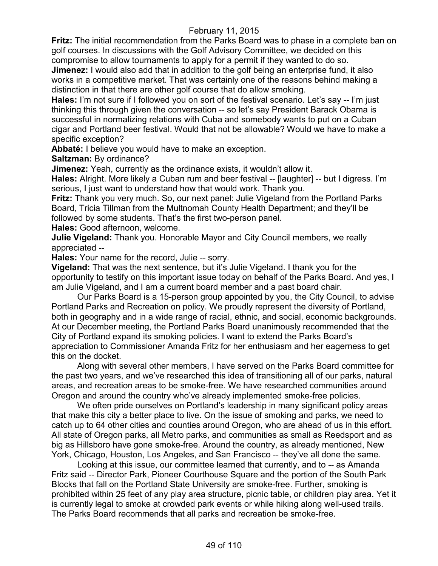**Fritz:** The initial recommendation from the Parks Board was to phase in a complete ban on golf courses. In discussions with the Golf Advisory Committee, we decided on this compromise to allow tournaments to apply for a permit if they wanted to do so.

**Jimenez:** I would also add that in addition to the golf being an enterprise fund, it also works in a competitive market. That was certainly one of the reasons behind making a distinction in that there are other golf course that do allow smoking.

**Hales:** I'm not sure if I followed you on sort of the festival scenario. Let's say -- I'm just thinking this through given the conversation -- so let's say President Barack Obama is successful in normalizing relations with Cuba and somebody wants to put on a Cuban cigar and Portland beer festival. Would that not be allowable? Would we have to make a specific exception?

**Abbaté:** I believe you would have to make an exception.

**Saltzman:** By ordinance?

**Jimenez:** Yeah, currently as the ordinance exists, it wouldn't allow it.

**Hales:** Alright. More likely a Cuban rum and beer festival -- [laughter] -- but I digress. I'm serious, I just want to understand how that would work. Thank you.

**Fritz:** Thank you very much. So, our next panel: Julie Vigeland from the Portland Parks Board, Tricia Tillman from the Multnomah County Health Department; and they'll be followed by some students. That's the first two-person panel.

**Hales:** Good afternoon, welcome.

**Julie Vigeland:** Thank you. Honorable Mayor and City Council members, we really appreciated --

**Hales:** Your name for the record, Julie -- sorry.

**Vigeland:** That was the next sentence, but it's Julie Vigeland. I thank you for the opportunity to testify on this important issue today on behalf of the Parks Board. And yes, I am Julie Vigeland, and I am a current board member and a past board chair.

Our Parks Board is a 15-person group appointed by you, the City Council, to advise Portland Parks and Recreation on policy. We proudly represent the diversity of Portland, both in geography and in a wide range of racial, ethnic, and social, economic backgrounds. At our December meeting, the Portland Parks Board unanimously recommended that the City of Portland expand its smoking policies. I want to extend the Parks Board's appreciation to Commissioner Amanda Fritz for her enthusiasm and her eagerness to get this on the docket.

Along with several other members, I have served on the Parks Board committee for the past two years, and we've researched this idea of transitioning all of our parks, natural areas, and recreation areas to be smoke-free. We have researched communities around Oregon and around the country who've already implemented smoke-free policies.

We often pride ourselves on Portland's leadership in many significant policy areas that make this city a better place to live. On the issue of smoking and parks, we need to catch up to 64 other cities and counties around Oregon, who are ahead of us in this effort. All state of Oregon parks, all Metro parks, and communities as small as Reedsport and as big as Hillsboro have gone smoke-free. Around the country, as already mentioned, New York, Chicago, Houston, Los Angeles, and San Francisco -- they've all done the same.

Looking at this issue, our committee learned that currently, and to -- as Amanda Fritz said -- Director Park, Pioneer Courthouse Square and the portion of the South Park Blocks that fall on the Portland State University are smoke-free. Further, smoking is prohibited within 25 feet of any play area structure, picnic table, or children play area. Yet it is currently legal to smoke at crowded park events or while hiking along well-used trails. The Parks Board recommends that all parks and recreation be smoke-free.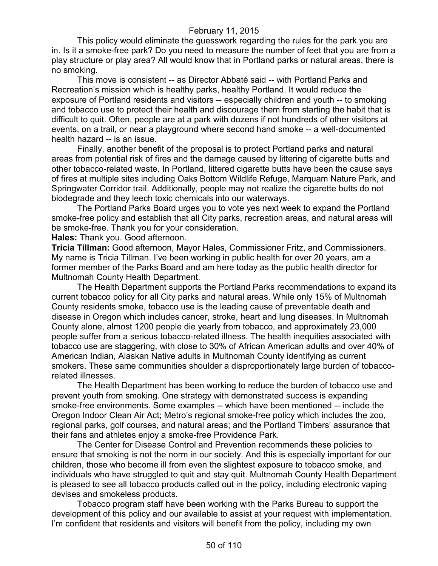This policy would eliminate the guesswork regarding the rules for the park you are in. Is it a smoke-free park? Do you need to measure the number of feet that you are from a play structure or play area? All would know that in Portland parks or natural areas, there is no smoking.

This move is consistent -- as Director Abbaté said -- with Portland Parks and Recreation's mission which is healthy parks, healthy Portland. It would reduce the exposure of Portland residents and visitors -- especially children and youth -- to smoking and tobacco use to protect their health and discourage them from starting the habit that is difficult to quit. Often, people are at a park with dozens if not hundreds of other visitors at events, on a trail, or near a playground where second hand smoke -- a well-documented health hazard -- is an issue.

Finally, another benefit of the proposal is to protect Portland parks and natural areas from potential risk of fires and the damage caused by littering of cigarette butts and other tobacco-related waste. In Portland, littered cigarette butts have been the cause says of fires at multiple sites including Oaks Bottom Wildlife Refuge, Marquam Nature Park, and Springwater Corridor trail. Additionally, people may not realize the cigarette butts do not biodegrade and they leech toxic chemicals into our waterways.

The Portland Parks Board urges you to vote yes next week to expand the Portland smoke-free policy and establish that all City parks, recreation areas, and natural areas will be smoke-free. Thank you for your consideration.

**Hales:** Thank you. Good afternoon.

**Tricia Tillman:** Good afternoon, Mayor Hales, Commissioner Fritz, and Commissioners. My name is Tricia Tillman. I've been working in public health for over 20 years, am a former member of the Parks Board and am here today as the public health director for Multnomah County Health Department.

The Health Department supports the Portland Parks recommendations to expand its current tobacco policy for all City parks and natural areas. While only 15% of Multnomah County residents smoke, tobacco use is the leading cause of preventable death and disease in Oregon which includes cancer, stroke, heart and lung diseases. In Multnomah County alone, almost 1200 people die yearly from tobacco, and approximately 23,000 people suffer from a serious tobacco-related illness. The health inequities associated with tobacco use are staggering, with close to 30% of African American adults and over 40% of American Indian, Alaskan Native adults in Multnomah County identifying as current smokers. These same communities shoulder a disproportionately large burden of tobaccorelated illnesses.

The Health Department has been working to reduce the burden of tobacco use and prevent youth from smoking. One strategy with demonstrated success is expanding smoke-free environments. Some examples -- which have been mentioned -- include the Oregon Indoor Clean Air Act; Metro's regional smoke-free policy which includes the zoo, regional parks, golf courses, and natural areas; and the Portland Timbers' assurance that their fans and athletes enjoy a smoke-free Providence Park.

The Center for Disease Control and Prevention recommends these policies to ensure that smoking is not the norm in our society. And this is especially important for our children, those who become ill from even the slightest exposure to tobacco smoke, and individuals who have struggled to quit and stay quit. Multnomah County Health Department is pleased to see all tobacco products called out in the policy, including electronic vaping devises and smokeless products.

Tobacco program staff have been working with the Parks Bureau to support the development of this policy and our available to assist at your request with implementation. I'm confident that residents and visitors will benefit from the policy, including my own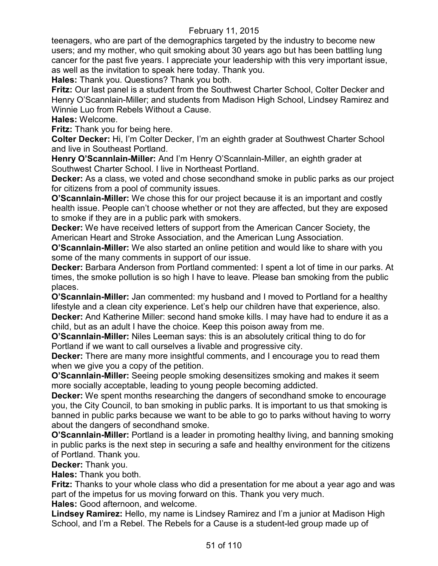teenagers, who are part of the demographics targeted by the industry to become new users; and my mother, who quit smoking about 30 years ago but has been battling lung cancer for the past five years. I appreciate your leadership with this very important issue, as well as the invitation to speak here today. Thank you.

**Hales:** Thank you. Questions? Thank you both.

**Fritz:** Our last panel is a student from the Southwest Charter School, Colter Decker and Henry O'Scannlain-Miller; and students from Madison High School, Lindsey Ramirez and Winnie Luo from Rebels Without a Cause.

**Hales:** Welcome.

**Fritz:** Thank you for being here.

**Colter Decker:** Hi, I'm Colter Decker, I'm an eighth grader at Southwest Charter School and live in Southeast Portland.

**Henry O'Scannlain-Miller:** And I'm Henry O'Scannlain-Miller, an eighth grader at Southwest Charter School. I live in Northeast Portland.

**Decker:** As a class, we voted and chose secondhand smoke in public parks as our project for citizens from a pool of community issues.

**O'Scannlain-Miller:** We chose this for our project because it is an important and costly health issue. People can't choose whether or not they are affected, but they are exposed to smoke if they are in a public park with smokers.

**Decker:** We have received letters of support from the American Cancer Society, the American Heart and Stroke Association, and the American Lung Association.

**O'Scannlain-Miller:** We also started an online petition and would like to share with you some of the many comments in support of our issue.

**Decker:** Barbara Anderson from Portland commented: I spent a lot of time in our parks. At times, the smoke pollution is so high I have to leave. Please ban smoking from the public places.

**O'Scannlain-Miller:** Jan commented: my husband and I moved to Portland for a healthy lifestyle and a clean city experience. Let's help our children have that experience, also. **Decker:** And Katherine Miller: second hand smoke kills. I may have had to endure it as a child, but as an adult I have the choice. Keep this poison away from me.

**O'Scannlain-Miller:** Niles Leeman says: this is an absolutely critical thing to do for Portland if we want to call ourselves a livable and progressive city.

**Decker:** There are many more insightful comments, and I encourage you to read them when we give you a copy of the petition.

**O'Scannlain-Miller:** Seeing people smoking desensitizes smoking and makes it seem more socially acceptable, leading to young people becoming addicted.

**Decker:** We spent months researching the dangers of secondhand smoke to encourage you, the City Council, to ban smoking in public parks. It is important to us that smoking is banned in public parks because we want to be able to go to parks without having to worry about the dangers of secondhand smoke.

**O'Scannlain-Miller:** Portland is a leader in promoting healthy living, and banning smoking in public parks is the next step in securing a safe and healthy environment for the citizens of Portland. Thank you.

**Decker:** Thank you.

**Hales:** Thank you both.

**Fritz:** Thanks to your whole class who did a presentation for me about a year ago and was part of the impetus for us moving forward on this. Thank you very much.

**Hales:** Good afternoon, and welcome.

**Lindsey Ramirez:** Hello, my name is Lindsey Ramirez and I'm a junior at Madison High School, and I'm a Rebel. The Rebels for a Cause is a student-led group made up of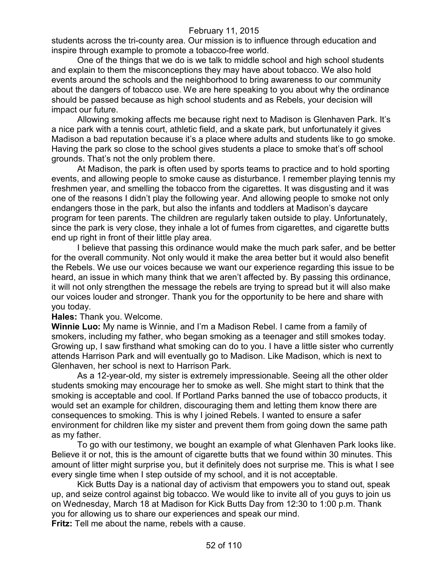students across the tri-county area. Our mission is to influence through education and inspire through example to promote a tobacco-free world.

One of the things that we do is we talk to middle school and high school students and explain to them the misconceptions they may have about tobacco. We also hold events around the schools and the neighborhood to bring awareness to our community about the dangers of tobacco use. We are here speaking to you about why the ordinance should be passed because as high school students and as Rebels, your decision will impact our future.

Allowing smoking affects me because right next to Madison is Glenhaven Park. It's a nice park with a tennis court, athletic field, and a skate park, but unfortunately it gives Madison a bad reputation because it's a place where adults and students like to go smoke. Having the park so close to the school gives students a place to smoke that's off school grounds. That's not the only problem there.

At Madison, the park is often used by sports teams to practice and to hold sporting events, and allowing people to smoke cause as disturbance. I remember playing tennis my freshmen year, and smelling the tobacco from the cigarettes. It was disgusting and it was one of the reasons I didn't play the following year. And allowing people to smoke not only endangers those in the park, but also the infants and toddlers at Madison's daycare program for teen parents. The children are regularly taken outside to play. Unfortunately, since the park is very close, they inhale a lot of fumes from cigarettes, and cigarette butts end up right in front of their little play area.

I believe that passing this ordinance would make the much park safer, and be better for the overall community. Not only would it make the area better but it would also benefit the Rebels. We use our voices because we want our experience regarding this issue to be heard, an issue in which many think that we aren't affected by. By passing this ordinance, it will not only strengthen the message the rebels are trying to spread but it will also make our voices louder and stronger. Thank you for the opportunity to be here and share with you today.

#### **Hales:** Thank you. Welcome.

**Winnie Luo:** My name is Winnie, and I'm a Madison Rebel. I came from a family of smokers, including my father, who began smoking as a teenager and still smokes today. Growing up, I saw firsthand what smoking can do to you. I have a little sister who currently attends Harrison Park and will eventually go to Madison. Like Madison, which is next to Glenhaven, her school is next to Harrison Park.

As a 12-year-old, my sister is extremely impressionable. Seeing all the other older students smoking may encourage her to smoke as well. She might start to think that the smoking is acceptable and cool. If Portland Parks banned the use of tobacco products, it would set an example for children, discouraging them and letting them know there are consequences to smoking. This is why I joined Rebels. I wanted to ensure a safer environment for children like my sister and prevent them from going down the same path as my father.

To go with our testimony, we bought an example of what Glenhaven Park looks like. Believe it or not, this is the amount of cigarette butts that we found within 30 minutes. This amount of litter might surprise you, but it definitely does not surprise me. This is what I see every single time when I step outside of my school, and it is not acceptable.

Kick Butts Day is a national day of activism that empowers you to stand out, speak up, and seize control against big tobacco. We would like to invite all of you guys to join us on Wednesday, March 18 at Madison for Kick Butts Day from 12:30 to 1:00 p.m. Thank you for allowing us to share our experiences and speak our mind.

**Fritz:** Tell me about the name, rebels with a cause.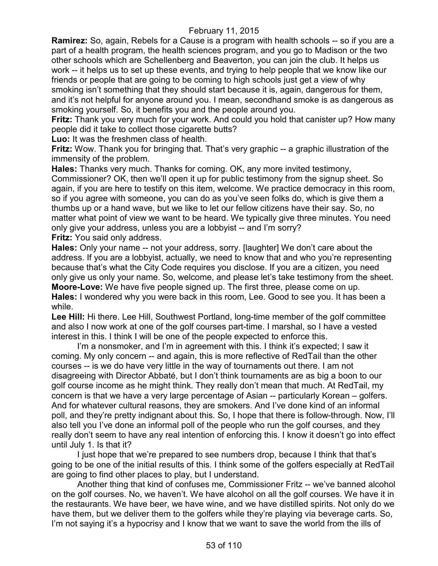**Ramirez:** So, again, Rebels for a Cause is a program with health schools -- so if you are a part of a health program, the health sciences program, and you go to Madison or the two other schools which are Schellenberg and Beaverton, you can join the club. It helps us work -- it helps us to set up these events, and trying to help people that we know like our friends or people that are going to be coming to high schools just get a view of why smoking isn't something that they should start because it is, again, dangerous for them, and it's not helpful for anyone around you. I mean, secondhand smoke is as dangerous as smoking yourself. So, it benefits you and the people around you.

**Fritz:** Thank you very much for your work. And could you hold that canister up? How many people did it take to collect those cigarette butts?

**Luo:** It was the freshmen class of health.

**Fritz:** Wow. Thank you for bringing that. That's very graphic -- a graphic illustration of the immensity of the problem.

**Hales:** Thanks very much. Thanks for coming. OK, any more invited testimony, Commissioner? OK, then we'll open it up for public testimony from the signup sheet. So again, if you are here to testify on this item, welcome. We practice democracy in this room, so if you agree with someone, you can do as you've seen folks do, which is give them a thumbs up or a hand wave, but we like to let our fellow citizens have their say. So, no matter what point of view we want to be heard. We typically give three minutes. You need only give your address, unless you are a lobbyist -- and I'm sorry?

**Fritz:** You said only address.

**Hales:** Only your name -- not your address, sorry. [laughter] We don't care about the address. If you are a lobbyist, actually, we need to know that and who you're representing because that's what the City Code requires you disclose. If you are a citizen, you need only give us only your name. So, welcome, and please let's take testimony from the sheet. **Moore-Love:** We have five people signed up. The first three, please come on up. **Hales:** I wondered why you were back in this room, Lee. Good to see you. It has been a while.

**Lee Hill:** Hi there. Lee Hill, Southwest Portland, long-time member of the golf committee and also I now work at one of the golf courses part-time. I marshal, so I have a vested interest in this. I think I will be one of the people expected to enforce this.

I'm a nonsmoker, and I'm in agreement with this. I think it's expected; I saw it coming. My only concern -- and again, this is more reflective of RedTail than the other courses -- is we do have very little in the way of tournaments out there. I am not disagreeing with Director Abbaté, but I don't think tournaments are as big a boon to our golf course income as he might think. They really don't mean that much. At RedTail, my concern is that we have a very large percentage of Asian -- particularly Korean – golfers. And for whatever cultural reasons, they are smokers. And I've done kind of an informal poll, and they're pretty indignant about this. So, I hope that there is follow-through. Now, I'll also tell you I've done an informal poll of the people who run the golf courses, and they really don't seem to have any real intention of enforcing this. I know it doesn't go into effect until July 1. Is that it?

I just hope that we're prepared to see numbers drop, because I think that that's going to be one of the initial results of this. I think some of the golfers especially at RedTail are going to find other places to play, but I understand.

Another thing that kind of confuses me, Commissioner Fritz -- we've banned alcohol on the golf courses. No, we haven't. We have alcohol on all the golf courses. We have it in the restaurants. We have beer, we have wine, and we have distilled spirits. Not only do we have them, but we deliver them to the golfers while they're playing via beverage carts. So, I'm not saying it's a hypocrisy and I know that we want to save the world from the ills of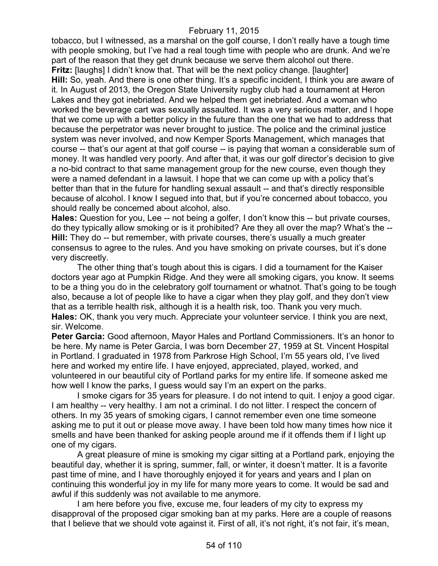tobacco, but I witnessed, as a marshal on the golf course, I don't really have a tough time with people smoking, but I've had a real tough time with people who are drunk. And we're part of the reason that they get drunk because we serve them alcohol out there. **Fritz:** [laughs] I didn't know that. That will be the next policy change. [laughter] **Hill:** So, yeah. And there is one other thing. It's a specific incident, I think you are aware of it. In August of 2013, the Oregon State University rugby club had a tournament at Heron Lakes and they got inebriated. And we helped them get inebriated. And a woman who worked the beverage cart was sexually assaulted. It was a very serious matter, and I hope that we come up with a better policy in the future than the one that we had to address that because the perpetrator was never brought to justice. The police and the criminal justice system was never involved, and now Kemper Sports Management, which manages that course -- that's our agent at that golf course -- is paying that woman a considerable sum of money. It was handled very poorly. And after that, it was our golf director's decision to give a no-bid contract to that same management group for the new course, even though they were a named defendant in a lawsuit. I hope that we can come up with a policy that's better than that in the future for handling sexual assault -- and that's directly responsible because of alcohol. I know I segued into that, but if you're concerned about tobacco, you should really be concerned about alcohol, also.

**Hales:** Question for you, Lee -- not being a golfer, I don't know this -- but private courses, do they typically allow smoking or is it prohibited? Are they all over the map? What's the -- **Hill:** They do -- but remember, with private courses, there's usually a much greater consensus to agree to the rules. And you have smoking on private courses, but it's done very discreetly.

The other thing that's tough about this is cigars. I did a tournament for the Kaiser doctors year ago at Pumpkin Ridge. And they were all smoking cigars, you know. It seems to be a thing you do in the celebratory golf tournament or whatnot. That's going to be tough also, because a lot of people like to have a cigar when they play golf, and they don't view that as a terrible health risk, although it is a health risk, too. Thank you very much. **Hales:** OK, thank you very much. Appreciate your volunteer service. I think you are next, sir. Welcome.

**Peter Garcia:** Good afternoon, Mayor Hales and Portland Commissioners. It's an honor to be here. My name is Peter Garcia, I was born December 27, 1959 at St. Vincent Hospital in Portland. I graduated in 1978 from Parkrose High School, I'm 55 years old, I've lived here and worked my entire life. I have enjoyed, appreciated, played, worked, and volunteered in our beautiful city of Portland parks for my entire life. If someone asked me how well I know the parks, I guess would say I'm an expert on the parks.

I smoke cigars for 35 years for pleasure. I do not intend to quit. I enjoy a good cigar. I am healthy -- very healthy. I am not a criminal. I do not litter. I respect the concern of others. In my 35 years of smoking cigars, I cannot remember even one time someone asking me to put it out or please move away. I have been told how many times how nice it smells and have been thanked for asking people around me if it offends them if I light up one of my cigars.

A great pleasure of mine is smoking my cigar sitting at a Portland park, enjoying the beautiful day, whether it is spring, summer, fall, or winter, it doesn't matter. It is a favorite past time of mine, and I have thoroughly enjoyed it for years and years and I plan on continuing this wonderful joy in my life for many more years to come. It would be sad and awful if this suddenly was not available to me anymore.

I am here before you five, excuse me, four leaders of my city to express my disapproval of the proposed cigar smoking ban at my parks. Here are a couple of reasons that I believe that we should vote against it. First of all, it's not right, it's not fair, it's mean,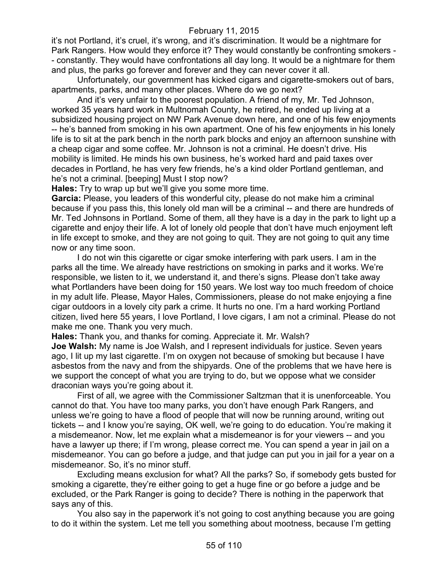it's not Portland, it's cruel, it's wrong, and it's discrimination. It would be a nightmare for Park Rangers. How would they enforce it? They would constantly be confronting smokers -- constantly. They would have confrontations all day long. It would be a nightmare for them and plus, the parks go forever and forever and they can never cover it all.

Unfortunately, our government has kicked cigars and cigarette-smokers out of bars, apartments, parks, and many other places. Where do we go next?

And it's very unfair to the poorest population. A friend of my, Mr. Ted Johnson, worked 35 years hard work in Multnomah County, he retired, he ended up living at a subsidized housing project on NW Park Avenue down here, and one of his few enjoyments -- he's banned from smoking in his own apartment. One of his few enjoyments in his lonely life is to sit at the park bench in the north park blocks and enjoy an afternoon sunshine with a cheap cigar and some coffee. Mr. Johnson is not a criminal. He doesn't drive. His mobility is limited. He minds his own business, he's worked hard and paid taxes over decades in Portland, he has very few friends, he's a kind older Portland gentleman, and he's not a criminal. [beeping] Must I stop now?

**Hales:** Try to wrap up but we'll give you some more time.

**Garcia:** Please, you leaders of this wonderful city, please do not make him a criminal because if you pass this, this lonely old man will be a criminal -- and there are hundreds of Mr. Ted Johnsons in Portland. Some of them, all they have is a day in the park to light up a cigarette and enjoy their life. A lot of lonely old people that don't have much enjoyment left in life except to smoke, and they are not going to quit. They are not going to quit any time now or any time soon.

I do not win this cigarette or cigar smoke interfering with park users. I am in the parks all the time. We already have restrictions on smoking in parks and it works. We're responsible, we listen to it, we understand it, and there's signs. Please don't take away what Portlanders have been doing for 150 years. We lost way too much freedom of choice in my adult life. Please, Mayor Hales, Commissioners, please do not make enjoying a fine cigar outdoors in a lovely city park a crime. It hurts no one. I'm a hard working Portland citizen, lived here 55 years, I love Portland, I love cigars, I am not a criminal. Please do not make me one. Thank you very much.

**Hales:** Thank you, and thanks for coming. Appreciate it. Mr. Walsh? **Joe Walsh:** My name is Joe Walsh, and I represent individuals for justice. Seven years ago, I lit up my last cigarette. I'm on oxygen not because of smoking but because I have asbestos from the navy and from the shipyards. One of the problems that we have here is we support the concept of what you are trying to do, but we oppose what we consider draconian ways you're going about it.

First of all, we agree with the Commissioner Saltzman that it is unenforceable. You cannot do that. You have too many parks, you don't have enough Park Rangers, and unless we're going to have a flood of people that will now be running around, writing out tickets -- and I know you're saying, OK well, we're going to do education. You're making it a misdemeanor. Now, let me explain what a misdemeanor is for your viewers -- and you have a lawyer up there; if I'm wrong, please correct me. You can spend a year in jail on a misdemeanor. You can go before a judge, and that judge can put you in jail for a year on a misdemeanor. So, it's no minor stuff.

Excluding means exclusion for what? All the parks? So, if somebody gets busted for smoking a cigarette, they're either going to get a huge fine or go before a judge and be excluded, or the Park Ranger is going to decide? There is nothing in the paperwork that says any of this.

You also say in the paperwork it's not going to cost anything because you are going to do it within the system. Let me tell you something about mootness, because I'm getting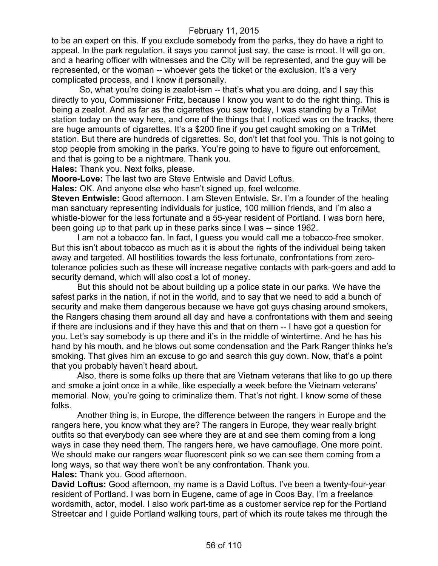to be an expert on this. If you exclude somebody from the parks, they do have a right to appeal. In the park regulation, it says you cannot just say, the case is moot. It will go on, and a hearing officer with witnesses and the City will be represented, and the guy will be represented, or the woman -- whoever gets the ticket or the exclusion. It's a very complicated process, and I know it personally.

So, what you're doing is zealot-ism -- that's what you are doing, and I say this directly to you, Commissioner Fritz, because I know you want to do the right thing. This is being a zealot. And as far as the cigarettes you saw today, I was standing by a TriMet station today on the way here, and one of the things that I noticed was on the tracks, there are huge amounts of cigarettes. It's a \$200 fine if you get caught smoking on a TriMet station. But there are hundreds of cigarettes. So, don't let that fool you. This is not going to stop people from smoking in the parks. You're going to have to figure out enforcement, and that is going to be a nightmare. Thank you.

**Hales:** Thank you. Next folks, please.

**Moore-Love:** The last two are Steve Entwisle and David Loftus.

**Hales:** OK. And anyone else who hasn't signed up, feel welcome.

**Steven Entwisle:** Good afternoon. I am Steven Entwisle, Sr. I'm a founder of the healing man sanctuary representing individuals for justice, 100 million friends, and I'm also a whistle-blower for the less fortunate and a 55-year resident of Portland. I was born here, been going up to that park up in these parks since I was -- since 1962.

I am not a tobacco fan. In fact, I guess you would call me a tobacco-free smoker. But this isn't about tobacco as much as it is about the rights of the individual being taken away and targeted. All hostilities towards the less fortunate, confrontations from zerotolerance policies such as these will increase negative contacts with park-goers and add to security demand, which will also cost a lot of money.

But this should not be about building up a police state in our parks. We have the safest parks in the nation, if not in the world, and to say that we need to add a bunch of security and make them dangerous because we have got guys chasing around smokers, the Rangers chasing them around all day and have a confrontations with them and seeing if there are inclusions and if they have this and that on them -- I have got a question for you. Let's say somebody is up there and it's in the middle of wintertime. And he has his hand by his mouth, and he blows out some condensation and the Park Ranger thinks he's smoking. That gives him an excuse to go and search this guy down. Now, that's a point that you probably haven't heard about.

Also, there is some folks up there that are Vietnam veterans that like to go up there and smoke a joint once in a while, like especially a week before the Vietnam veterans' memorial. Now, you're going to criminalize them. That's not right. I know some of these folks.

Another thing is, in Europe, the difference between the rangers in Europe and the rangers here, you know what they are? The rangers in Europe, they wear really bright outfits so that everybody can see where they are at and see them coming from a long ways in case they need them. The rangers here, we have camouflage. One more point. We should make our rangers wear fluorescent pink so we can see them coming from a long ways, so that way there won't be any confrontation. Thank you.

**Hales:** Thank you. Good afternoon.

**David Loftus:** Good afternoon, my name is a David Loftus. I've been a twenty-four-year resident of Portland. I was born in Eugene, came of age in Coos Bay, I'm a freelance wordsmith, actor, model. I also work part-time as a customer service rep for the Portland Streetcar and I guide Portland walking tours, part of which its route takes me through the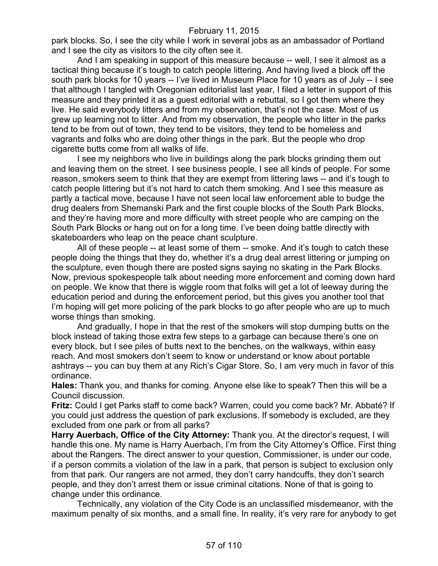park blocks. So, I see the city while I work in several jobs as an ambassador of Portland and I see the city as visitors to the city often see it.

And I am speaking in support of this measure because -- well, I see it almost as a tactical thing because it's tough to catch people littering. And having lived a block off the south park blocks for 10 years -- I've lived in Museum Place for 10 years as of July -- I see that although I tangled with Oregonian editorialist last year, I filed a letter in support of this measure and they printed it as a guest editorial with a rebuttal, so I got them where they live. He said everybody litters and from my observation, that's not the case. Most of us grew up learning not to litter. And from my observation, the people who litter in the parks tend to be from out of town, they tend to be visitors, they tend to be homeless and vagrants and folks who are doing other things in the park. But the people who drop cigarette butts come from all walks of life.

I see my neighbors who live in buildings along the park blocks grinding them out and leaving them on the street. I see business people, I see all kinds of people. For some reason, smokers seem to think that they are exempt from littering laws -- and it's tough to catch people littering but it's not hard to catch them smoking. And I see this measure as partly a tactical move, because I have not seen local law enforcement able to budge the drug dealers from Shemanski Park and the first couple blocks of the South Park Blocks, and they're having more and more difficulty with street people who are camping on the South Park Blocks or hang out on for a long time. I've been doing battle directly with skateboarders who leap on the peace chant sculpture.

All of these people -- at least some of them -- smoke. And it's tough to catch these people doing the things that they do, whether it's a drug deal arrest littering or jumping on the sculpture, even though there are posted signs saying no skating in the Park Blocks. Now, previous spokespeople talk about needing more enforcement and coming down hard on people. We know that there is wiggle room that folks will get a lot of leeway during the education period and during the enforcement period, but this gives you another tool that I'm hoping will get more policing of the park blocks to go after people who are up to much worse things than smoking.

And gradually, I hope in that the rest of the smokers will stop dumping butts on the block instead of taking those extra few steps to a garbage can because there's one on every block, but I see piles of butts next to the benches, on the walkways, within easy reach. And most smokers don't seem to know or understand or know about portable ashtrays -- you can buy them at any Rich's Cigar Store. So, I am very much in favor of this ordinance.

**Hales:** Thank you, and thanks for coming. Anyone else like to speak? Then this will be a Council discussion.

**Fritz:** Could I get Parks staff to come back? Warren, could you come back? Mr. Abbaté? If you could just address the question of park exclusions. If somebody is excluded, are they excluded from one park or from all parks?

**Harry Auerbach, Office of the City Attorney:** Thank you. At the director's request, I will handle this one. My name is Harry Auerbach, I'm from the City Attorney's Office. First thing about the Rangers. The direct answer to your question, Commissioner, is under our code, if a person commits a violation of the law in a park, that person is subject to exclusion only from that park. Our rangers are not armed, they don't carry handcuffs, they don't search people, and they don't arrest them or issue criminal citations. None of that is going to change under this ordinance.

Technically, any violation of the City Code is an unclassified misdemeanor, with the maximum penalty of six months, and a small fine. In reality, it's very rare for anybody to get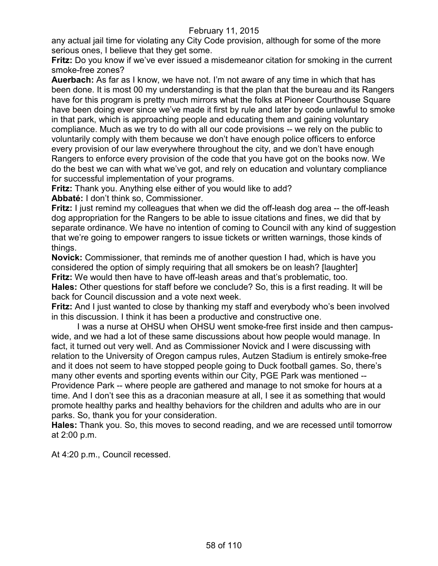any actual jail time for violating any City Code provision, although for some of the more serious ones, I believe that they get some.

**Fritz:** Do you know if we've ever issued a misdemeanor citation for smoking in the current smoke-free zones?

**Auerbach:** As far as I know, we have not. I'm not aware of any time in which that has been done. It is most 00 my understanding is that the plan that the bureau and its Rangers have for this program is pretty much mirrors what the folks at Pioneer Courthouse Square have been doing ever since we've made it first by rule and later by code unlawful to smoke in that park, which is approaching people and educating them and gaining voluntary compliance. Much as we try to do with all our code provisions -- we rely on the public to voluntarily comply with them because we don't have enough police officers to enforce every provision of our law everywhere throughout the city, and we don't have enough Rangers to enforce every provision of the code that you have got on the books now. We do the best we can with what we've got, and rely on education and voluntary compliance for successful implementation of your programs.

**Fritz:** Thank you. Anything else either of you would like to add?

**Abbaté:** I don't think so, Commissioner.

**Fritz:** I just remind my colleagues that when we did the off-leash dog area -- the off-leash dog appropriation for the Rangers to be able to issue citations and fines, we did that by separate ordinance. We have no intention of coming to Council with any kind of suggestion that we're going to empower rangers to issue tickets or written warnings, those kinds of things.

**Novick:** Commissioner, that reminds me of another question I had, which is have you considered the option of simply requiring that all smokers be on leash? [laughter] **Fritz:** We would then have to have off-leash areas and that's problematic, too. **Hales:** Other questions for staff before we conclude? So, this is a first reading. It will be back for Council discussion and a vote next week.

**Fritz:** And I just wanted to close by thanking my staff and everybody who's been involved in this discussion. I think it has been a productive and constructive one.

I was a nurse at OHSU when OHSU went smoke-free first inside and then campuswide, and we had a lot of these same discussions about how people would manage. In fact, it turned out very well. And as Commissioner Novick and I were discussing with relation to the University of Oregon campus rules, Autzen Stadium is entirely smoke-free and it does not seem to have stopped people going to Duck football games. So, there's many other events and sporting events within our City, PGE Park was mentioned -- Providence Park -- where people are gathered and manage to not smoke for hours at a time. And I don't see this as a draconian measure at all, I see it as something that would promote healthy parks and healthy behaviors for the children and adults who are in our parks. So, thank you for your consideration.

**Hales:** Thank you. So, this moves to second reading, and we are recessed until tomorrow at 2:00 p.m.

At 4:20 p.m., Council recessed.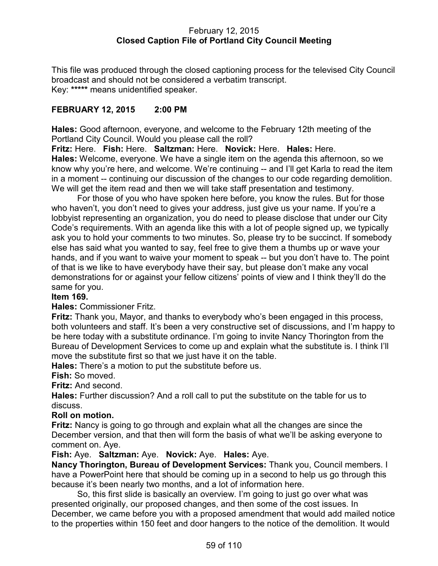### February 12, 2015 **Closed Caption File of Portland City Council Meeting**

This file was produced through the closed captioning process for the televised City Council broadcast and should not be considered a verbatim transcript. Key: **\*\*\*\*\*** means unidentified speaker.

# **FEBRUARY 12, 2015 2:00 PM**

**Hales:** Good afternoon, everyone, and welcome to the February 12th meeting of the Portland City Council. Would you please call the roll?

**Fritz:** Here. **Fish:** Here. **Saltzman:** Here. **Novick:** Here. **Hales:** Here. **Hales:** Welcome, everyone. We have a single item on the agenda this afternoon, so we know why you're here, and welcome. We're continuing -- and I'll get Karla to read the item in a moment -- continuing our discussion of the changes to our code regarding demolition. We will get the item read and then we will take staff presentation and testimony.

For those of you who have spoken here before, you know the rules. But for those who haven't, you don't need to gives your address, just give us your name. If you're a lobbyist representing an organization, you do need to please disclose that under our City Code's requirements. With an agenda like this with a lot of people signed up, we typically ask you to hold your comments to two minutes. So, please try to be succinct. If somebody else has said what you wanted to say, feel free to give them a thumbs up or wave your hands, and if you want to waive your moment to speak -- but you don't have to. The point of that is we like to have everybody have their say, but please don't make any vocal demonstrations for or against your fellow citizens' points of view and I think they'll do the same for you.

## **Item 169.**

**Hales:** Commissioner Fritz.

**Fritz:** Thank you, Mayor, and thanks to everybody who's been engaged in this process, both volunteers and staff. It's been a very constructive set of discussions, and I'm happy to be here today with a substitute ordinance. I'm going to invite Nancy Thorington from the Bureau of Development Services to come up and explain what the substitute is. I think I'll move the substitute first so that we just have it on the table.

**Hales:** There's a motion to put the substitute before us.

**Fish:** So moved.

**Fritz:** And second.

**Hales:** Further discussion? And a roll call to put the substitute on the table for us to discuss.

## **Roll on motion.**

**Fritz:** Nancy is going to go through and explain what all the changes are since the December version, and that then will form the basis of what we'll be asking everyone to comment on. Aye.

**Fish:** Aye. **Saltzman:** Aye. **Novick:** Aye. **Hales:** Aye.

**Nancy Thorington, Bureau of Development Services:** Thank you, Council members. I have a PowerPoint here that should be coming up in a second to help us go through this because it's been nearly two months, and a lot of information here.

So, this first slide is basically an overview. I'm going to just go over what was presented originally, our proposed changes, and then some of the cost issues. In December, we came before you with a proposed amendment that would add mailed notice to the properties within 150 feet and door hangers to the notice of the demolition. It would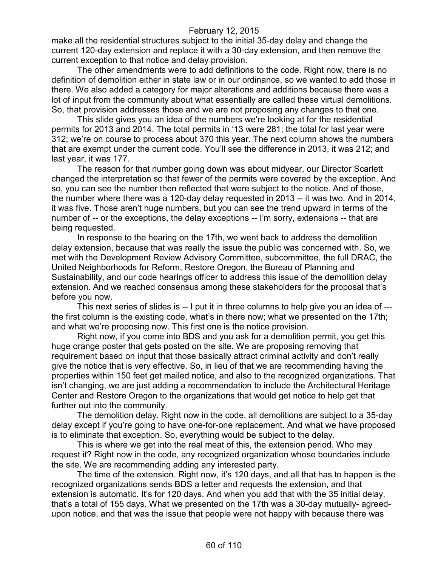make all the residential structures subject to the initial 35-day delay and change the current 120-day extension and replace it with a 30-day extension, and then remove the current exception to that notice and delay provision.

The other amendments were to add definitions to the code. Right now, there is no definition of demolition either in state law or in our ordinance, so we wanted to add those in there. We also added a category for major alterations and additions because there was a lot of input from the community about what essentially are called these virtual demolitions. So, that provision addresses those and we are not proposing any changes to that one.

This slide gives you an idea of the numbers we're looking at for the residential permits for 2013 and 2014. The total permits in '13 were 281; the total for last year were 312; we're on course to process about 370 this year. The next column shows the numbers that are exempt under the current code. You'll see the difference in 2013, it was 212; and last year, it was 177.

The reason for that number going down was about midyear, our Director Scarlett changed the interpretation so that fewer of the permits were covered by the exception. And so, you can see the number then reflected that were subject to the notice. And of those, the number where there was a 120-day delay requested in 2013 -- it was two. And in 2014, it was five. Those aren't huge numbers, but you can see the trend upward in terms of the number of -- or the exceptions, the delay exceptions -- I'm sorry, extensions -- that are being requested.

In response to the hearing on the 17th, we went back to address the demolition delay extension, because that was really the issue the public was concerned with. So, we met with the Development Review Advisory Committee, subcommittee, the full DRAC, the United Neighborhoods for Reform, Restore Oregon, the Bureau of Planning and Sustainability, and our code hearings officer to address this issue of the demolition delay extension. And we reached consensus among these stakeholders for the proposal that's before you now.

This next series of slides is -- I put it in three columns to help give you an idea of --the first column is the existing code, what's in there now; what we presented on the 17th; and what we're proposing now. This first one is the notice provision.

Right now, if you come into BDS and you ask for a demolition permit, you get this huge orange poster that gets posted on the site. We are proposing removing that requirement based on input that those basically attract criminal activity and don't really give the notice that is very effective. So, in lieu of that we are recommending having the properties within 150 feet get mailed notice, and also to the recognized organizations. That isn't changing, we are just adding a recommendation to include the Architectural Heritage Center and Restore Oregon to the organizations that would get notice to help get that further out into the community.

The demolition delay. Right now in the code, all demolitions are subject to a 35-day delay except if you're going to have one-for-one replacement. And what we have proposed is to eliminate that exception. So, everything would be subject to the delay.

This is where we get into the real meat of this, the extension period. Who may request it? Right now in the code, any recognized organization whose boundaries include the site. We are recommending adding any interested party.

The time of the extension. Right now, it's 120 days, and all that has to happen is the recognized organizations sends BDS a letter and requests the extension, and that extension is automatic. It's for 120 days. And when you add that with the 35 initial delay, that's a total of 155 days. What we presented on the 17th was a 30-day mutually- agreedupon notice, and that was the issue that people were not happy with because there was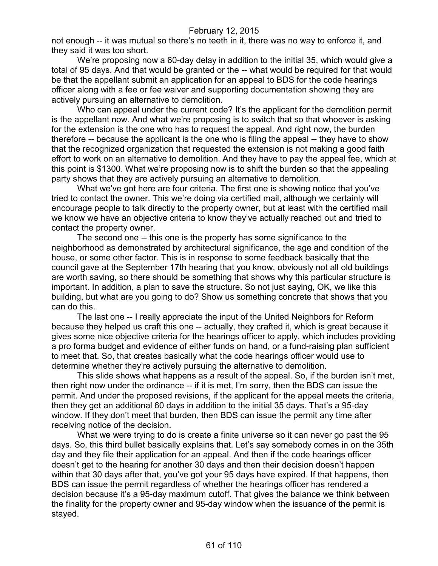not enough -- it was mutual so there's no teeth in it, there was no way to enforce it, and they said it was too short.

We're proposing now a 60-day delay in addition to the initial 35, which would give a total of 95 days. And that would be granted or the -- what would be required for that would be that the appellant submit an application for an appeal to BDS for the code hearings officer along with a fee or fee waiver and supporting documentation showing they are actively pursuing an alternative to demolition.

Who can appeal under the current code? It's the applicant for the demolition permit is the appellant now. And what we're proposing is to switch that so that whoever is asking for the extension is the one who has to request the appeal. And right now, the burden therefore -- because the applicant is the one who is filing the appeal -- they have to show that the recognized organization that requested the extension is not making a good faith effort to work on an alternative to demolition. And they have to pay the appeal fee, which at this point is \$1300. What we're proposing now is to shift the burden so that the appealing party shows that they are actively pursuing an alternative to demolition.

What we've got here are four criteria. The first one is showing notice that you've tried to contact the owner. This we're doing via certified mail, although we certainly will encourage people to talk directly to the property owner, but at least with the certified mail we know we have an objective criteria to know they've actually reached out and tried to contact the property owner.

The second one -- this one is the property has some significance to the neighborhood as demonstrated by architectural significance, the age and condition of the house, or some other factor. This is in response to some feedback basically that the council gave at the September 17th hearing that you know, obviously not all old buildings are worth saving, so there should be something that shows why this particular structure is important. In addition, a plan to save the structure. So not just saying, OK, we like this building, but what are you going to do? Show us something concrete that shows that you can do this.

The last one -- I really appreciate the input of the United Neighbors for Reform because they helped us craft this one -- actually, they crafted it, which is great because it gives some nice objective criteria for the hearings officer to apply, which includes providing a pro forma budget and evidence of either funds on hand, or a fund-raising plan sufficient to meet that. So, that creates basically what the code hearings officer would use to determine whether they're actively pursuing the alternative to demolition.

This slide shows what happens as a result of the appeal. So, if the burden isn't met, then right now under the ordinance -- if it is met, I'm sorry, then the BDS can issue the permit. And under the proposed revisions, if the applicant for the appeal meets the criteria, then they get an additional 60 days in addition to the initial 35 days. That's a 95-day window. If they don't meet that burden, then BDS can issue the permit any time after receiving notice of the decision.

What we were trying to do is create a finite universe so it can never go past the 95 days. So, this third bullet basically explains that. Let's say somebody comes in on the 35th day and they file their application for an appeal. And then if the code hearings officer doesn't get to the hearing for another 30 days and then their decision doesn't happen within that 30 days after that, you've got your 95 days have expired. If that happens, then BDS can issue the permit regardless of whether the hearings officer has rendered a decision because it's a 95-day maximum cutoff. That gives the balance we think between the finality for the property owner and 95-day window when the issuance of the permit is stayed.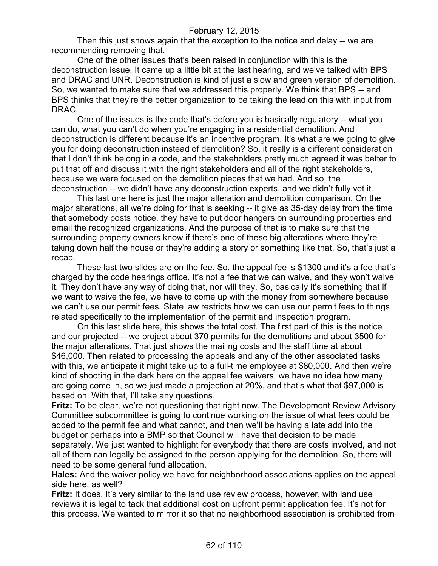Then this just shows again that the exception to the notice and delay -- we are recommending removing that.

One of the other issues that's been raised in conjunction with this is the deconstruction issue. It came up a little bit at the last hearing, and we've talked with BPS and DRAC and UNR. Deconstruction is kind of just a slow and green version of demolition. So, we wanted to make sure that we addressed this properly. We think that BPS -- and BPS thinks that they're the better organization to be taking the lead on this with input from DRAC.

One of the issues is the code that's before you is basically regulatory -- what you can do, what you can't do when you're engaging in a residential demolition. And deconstruction is different because it's an incentive program. It's what are we going to give you for doing deconstruction instead of demolition? So, it really is a different consideration that I don't think belong in a code, and the stakeholders pretty much agreed it was better to put that off and discuss it with the right stakeholders and all of the right stakeholders, because we were focused on the demolition pieces that we had. And so, the deconstruction -- we didn't have any deconstruction experts, and we didn't fully vet it.

This last one here is just the major alteration and demolition comparison. On the major alterations, all we're doing for that is seeking -- it give as 35-day delay from the time that somebody posts notice, they have to put door hangers on surrounding properties and email the recognized organizations. And the purpose of that is to make sure that the surrounding property owners know if there's one of these big alterations where they're taking down half the house or they're adding a story or something like that. So, that's just a recap.

These last two slides are on the fee. So, the appeal fee is \$1300 and it's a fee that's charged by the code hearings office. It's not a fee that we can waive, and they won't waive it. They don't have any way of doing that, nor will they. So, basically it's something that if we want to waive the fee, we have to come up with the money from somewhere because we can't use our permit fees. State law restricts how we can use our permit fees to things related specifically to the implementation of the permit and inspection program.

On this last slide here, this shows the total cost. The first part of this is the notice and our projected -- we project about 370 permits for the demolitions and about 3500 for the major alterations. That just shows the mailing costs and the staff time at about \$46,000. Then related to processing the appeals and any of the other associated tasks with this, we anticipate it might take up to a full-time employee at \$80,000. And then we're kind of shooting in the dark here on the appeal fee waivers, we have no idea how many are going come in, so we just made a projection at 20%, and that's what that \$97,000 is based on. With that, I'll take any questions.

**Fritz:** To be clear, we're not questioning that right now. The Development Review Advisory Committee subcommittee is going to continue working on the issue of what fees could be added to the permit fee and what cannot, and then we'll be having a late add into the budget or perhaps into a BMP so that Council will have that decision to be made separately. We just wanted to highlight for everybody that there are costs involved, and not all of them can legally be assigned to the person applying for the demolition. So, there will need to be some general fund allocation.

**Hales:** And the waiver policy we have for neighborhood associations applies on the appeal side here, as well?

**Fritz:** It does. It's very similar to the land use review process, however, with land use reviews it is legal to tack that additional cost on upfront permit application fee. It's not for this process. We wanted to mirror it so that no neighborhood association is prohibited from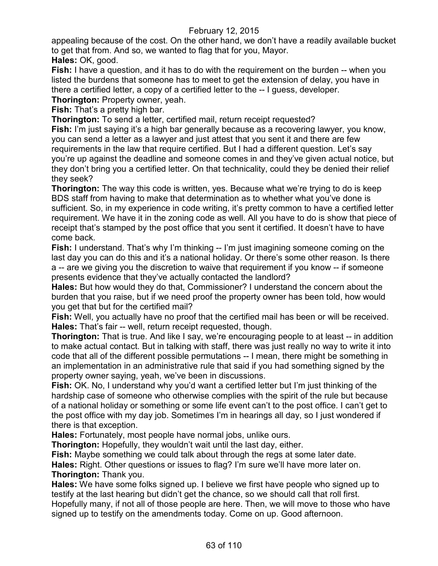appealing because of the cost. On the other hand, we don't have a readily available bucket to get that from. And so, we wanted to flag that for you, Mayor. **Hales:** OK, good.

**Fish:** I have a question, and it has to do with the requirement on the burden -- when you listed the burdens that someone has to meet to get the extension of delay, you have in there a certified letter, a copy of a certified letter to the -- I guess, developer.

**Thorington:** Property owner, yeah.

**Fish:** That's a pretty high bar.

**Thorington:** To send a letter, certified mail, return receipt requested?

**Fish:** I'm just saying it's a high bar generally because as a recovering lawyer, you know, you can send a letter as a lawyer and just attest that you sent it and there are few requirements in the law that require certified. But I had a different question. Let's say you're up against the deadline and someone comes in and they've given actual notice, but they don't bring you a certified letter. On that technicality, could they be denied their relief they seek?

**Thorington:** The way this code is written, yes. Because what we're trying to do is keep BDS staff from having to make that determination as to whether what you've done is sufficient. So, in my experience in code writing, it's pretty common to have a certified letter requirement. We have it in the zoning code as well. All you have to do is show that piece of receipt that's stamped by the post office that you sent it certified. It doesn't have to have come back.

**Fish:** I understand. That's why I'm thinking -- I'm just imagining someone coming on the last day you can do this and it's a national holiday. Or there's some other reason. Is there a -- are we giving you the discretion to waive that requirement if you know -- if someone presents evidence that they've actually contacted the landlord?

**Hales:** But how would they do that, Commissioner? I understand the concern about the burden that you raise, but if we need proof the property owner has been told, how would you get that but for the certified mail?

**Fish:** Well, you actually have no proof that the certified mail has been or will be received. **Hales:** That's fair -- well, return receipt requested, though.

**Thorington:** That is true. And like I say, we're encouraging people to at least -- in addition to make actual contact. But in talking with staff, there was just really no way to write it into code that all of the different possible permutations -- I mean, there might be something in an implementation in an administrative rule that said if you had something signed by the property owner saying, yeah, we've been in discussions.

**Fish:** OK. No, I understand why you'd want a certified letter but I'm just thinking of the hardship case of someone who otherwise complies with the spirit of the rule but because of a national holiday or something or some life event can't to the post office. I can't get to the post office with my day job. Sometimes I'm in hearings all day, so I just wondered if there is that exception.

**Hales:** Fortunately, most people have normal jobs, unlike ours.

**Thorington:** Hopefully, they wouldn't wait until the last day, either.

**Fish:** Maybe something we could talk about through the regs at some later date.

**Hales:** Right. Other questions or issues to flag? I'm sure we'll have more later on. **Thorington:** Thank you.

**Hales:** We have some folks signed up. I believe we first have people who signed up to testify at the last hearing but didn't get the chance, so we should call that roll first. Hopefully many, if not all of those people are here. Then, we will move to those who have signed up to testify on the amendments today. Come on up. Good afternoon.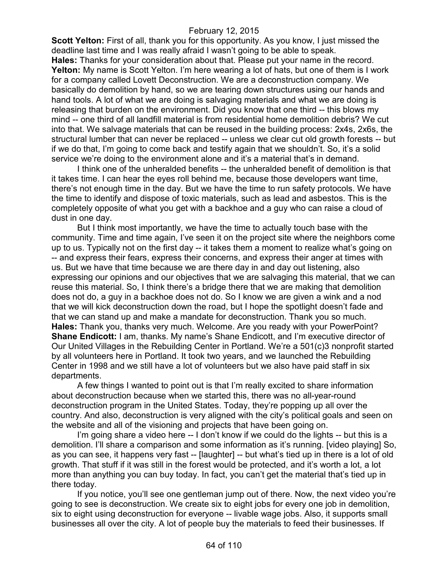**Scott Yelton:** First of all, thank you for this opportunity. As you know, I just missed the deadline last time and I was really afraid I wasn't going to be able to speak. **Hales:** Thanks for your consideration about that. Please put your name in the record. **Yelton:** My name is Scott Yelton. I'm here wearing a lot of hats, but one of them is I work for a company called Lovett Deconstruction. We are a deconstruction company. We basically do demolition by hand, so we are tearing down structures using our hands and hand tools. A lot of what we are doing is salvaging materials and what we are doing is releasing that burden on the environment. Did you know that one third -- this blows my mind -- one third of all landfill material is from residential home demolition debris? We cut into that. We salvage materials that can be reused in the building process: 2x4s, 2x6s, the structural lumber that can never be replaced -- unless we clear cut old growth forests -- but if we do that, I'm going to come back and testify again that we shouldn't. So, it's a solid service we're doing to the environment alone and it's a material that's in demand.

I think one of the unheralded benefits -- the unheralded benefit of demolition is that it takes time. I can hear the eyes roll behind me, because those developers want time, there's not enough time in the day. But we have the time to run safety protocols. We have the time to identify and dispose of toxic materials, such as lead and asbestos. This is the completely opposite of what you get with a backhoe and a guy who can raise a cloud of dust in one day.

But I think most importantly, we have the time to actually touch base with the community. Time and time again, I've seen it on the project site where the neighbors come up to us. Typically not on the first day -- it takes them a moment to realize what's going on -- and express their fears, express their concerns, and express their anger at times with us. But we have that time because we are there day in and day out listening, also expressing our opinions and our objectives that we are salvaging this material, that we can reuse this material. So, I think there's a bridge there that we are making that demolition does not do, a guy in a backhoe does not do. So I know we are given a wink and a nod that we will kick deconstruction down the road, but I hope the spotlight doesn't fade and that we can stand up and make a mandate for deconstruction. Thank you so much. **Hales:** Thank you, thanks very much. Welcome. Are you ready with your PowerPoint? **Shane Endicott:** I am, thanks. My name's Shane Endicott, and I'm executive director of Our United Villages in the Rebuilding Center in Portland. We're a 501(c)3 nonprofit started by all volunteers here in Portland. It took two years, and we launched the Rebuilding Center in 1998 and we still have a lot of volunteers but we also have paid staff in six departments.

A few things I wanted to point out is that I'm really excited to share information about deconstruction because when we started this, there was no all-year-round deconstruction program in the United States. Today, they're popping up all over the country. And also, deconstruction is very aligned with the city's political goals and seen on the website and all of the visioning and projects that have been going on.

I'm going share a video here -- I don't know if we could do the lights -- but this is a demolition. I'll share a comparison and some information as it's running. [video playing] So, as you can see, it happens very fast -- [laughter] -- but what's tied up in there is a lot of old growth. That stuff if it was still in the forest would be protected, and it's worth a lot, a lot more than anything you can buy today. In fact, you can't get the material that's tied up in there today.

If you notice, you'll see one gentleman jump out of there. Now, the next video you're going to see is deconstruction. We create six to eight jobs for every one job in demolition, six to eight using deconstruction for everyone -- livable wage jobs. Also, it supports small businesses all over the city. A lot of people buy the materials to feed their businesses. If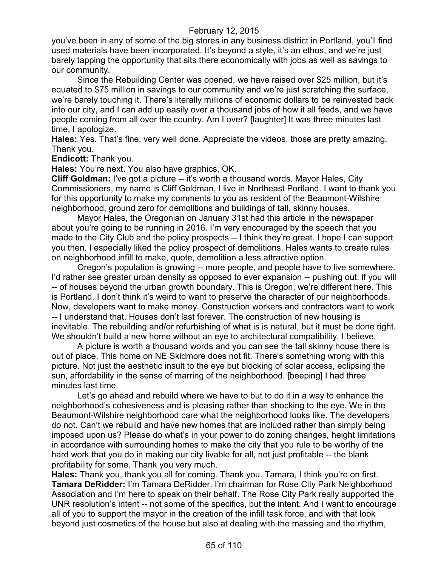you've been in any of some of the big stores in any business district in Portland, you'll find used materials have been incorporated. It's beyond a style, it's an ethos, and we're just barely tapping the opportunity that sits there economically with jobs as well as savings to our community.

Since the Rebuilding Center was opened, we have raised over \$25 million, but it's equated to \$75 million in savings to our community and we're just scratching the surface, we're barely touching it. There's literally millions of economic dollars to be reinvested back into our city, and I can add up easily over a thousand jobs of how it all feeds, and we have people coming from all over the country. Am I over? [laughter] It was three minutes last time, I apologize.

**Hales:** Yes. That's fine, very well done. Appreciate the videos, those are pretty amazing. Thank you.

**Endicott:** Thank you.

**Hales:** You're next. You also have graphics, OK.

**Cliff Goldman:** I've got a picture -- it's worth a thousand words. Mayor Hales, City Commissioners, my name is Cliff Goldman, I live in Northeast Portland. I want to thank you for this opportunity to make my comments to you as resident of the Beaumont-Wilshire neighborhood, ground zero for demolitions and buildings of tall, skinny houses.

Mayor Hales, the Oregonian on January 31st had this article in the newspaper about you're going to be running in 2016. I'm very encouraged by the speech that you made to the City Club and the policy prospects -- I think they're great. I hope I can support you then. I especially liked the policy prospect of demolitions. Hales wants to create rules on neighborhood infill to make, quote, demolition a less attractive option.

Oregon's population is growing -- more people, and people have to live somewhere. I'd rather see greater urban density as opposed to ever expansion -- pushing out, if you will -- of houses beyond the urban growth boundary. This is Oregon, we're different here. This is Portland. I don't think it's weird to want to preserve the character of our neighborhoods. Now, developers want to make money. Construction workers and contractors want to work -- I understand that. Houses don't last forever. The construction of new housing is inevitable. The rebuilding and/or refurbishing of what is is natural, but it must be done right. We shouldn't build a new home without an eye to architectural compatibility, I believe.

A picture is worth a thousand words and you can see the tall skinny house there is out of place. This home on NE Skidmore does not fit. There's something wrong with this picture. Not just the aesthetic insult to the eye but blocking of solar access, eclipsing the sun, affordability in the sense of marring of the neighborhood. [beeping] I had three minutes last time.

Let's go ahead and rebuild where we have to but to do it in a way to enhance the neighborhood's cohesiveness and is pleasing rather than shocking to the eye. We in the Beaumont-Wilshire neighborhood care what the neighborhood looks like. The developers do not. Can't we rebuild and have new homes that are included rather than simply being imposed upon us? Please do what's in your power to do zoning changes, height limitations in accordance with surrounding homes to make the city that you rule to be worthy of the hard work that you do in making our city livable for all, not just profitable -- the blank profitability for some. Thank you very much.

**Hales:** Thank you, thank you all for coming. Thank you. Tamara, I think you're on first. **Tamara DeRidder:** I'm Tamara DeRidder. I'm chairman for Rose City Park Neighborhood Association and I'm here to speak on their behalf. The Rose City Park really supported the UNR resolution's intent -- not some of the specifics, but the intent. And I want to encourage all of you to support the mayor in the creation of the infill task force, and with that look beyond just cosmetics of the house but also at dealing with the massing and the rhythm,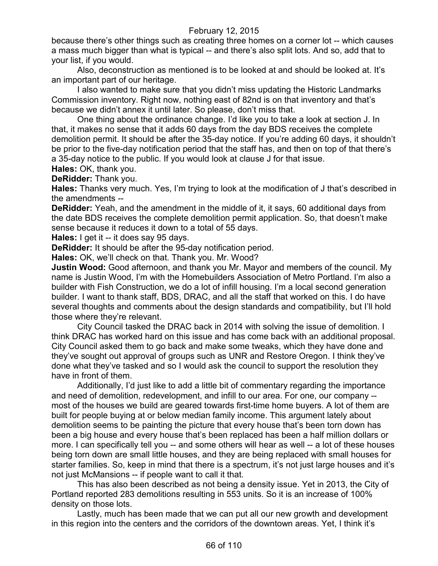because there's other things such as creating three homes on a corner lot -- which causes a mass much bigger than what is typical -- and there's also split lots. And so, add that to your list, if you would.

Also, deconstruction as mentioned is to be looked at and should be looked at. It's an important part of our heritage.

I also wanted to make sure that you didn't miss updating the Historic Landmarks Commission inventory. Right now, nothing east of 82nd is on that inventory and that's because we didn't annex it until later. So please, don't miss that.

One thing about the ordinance change. I'd like you to take a look at section J. In that, it makes no sense that it adds 60 days from the day BDS receives the complete demolition permit. It should be after the 35-day notice. If you're adding 60 days, it shouldn't be prior to the five-day notification period that the staff has, and then on top of that there's a 35-day notice to the public. If you would look at clause J for that issue.

**Hales:** OK, thank you. **DeRidder:** Thank you.

**Hales:** Thanks very much. Yes, I'm trying to look at the modification of J that's described in the amendments --

**DeRidder:** Yeah, and the amendment in the middle of it, it says, 60 additional days from the date BDS receives the complete demolition permit application. So, that doesn't make sense because it reduces it down to a total of 55 days.

**Hales:** I get it -- it does say 95 days.

**DeRidder:** It should be after the 95-day notification period.

**Hales:** OK, we'll check on that. Thank you. Mr. Wood?

**Justin Wood:** Good afternoon, and thank you Mr. Mayor and members of the council. My name is Justin Wood, I'm with the Homebuilders Association of Metro Portland. I'm also a builder with Fish Construction, we do a lot of infill housing. I'm a local second generation builder. I want to thank staff, BDS, DRAC, and all the staff that worked on this. I do have several thoughts and comments about the design standards and compatibility, but I'll hold those where they're relevant.

City Council tasked the DRAC back in 2014 with solving the issue of demolition. I think DRAC has worked hard on this issue and has come back with an additional proposal. City Council asked them to go back and make some tweaks, which they have done and they've sought out approval of groups such as UNR and Restore Oregon. I think they've done what they've tasked and so I would ask the council to support the resolution they have in front of them.

Additionally, I'd just like to add a little bit of commentary regarding the importance and need of demolition, redevelopment, and infill to our area. For one, our company - most of the houses we build are geared towards first-time home buyers. A lot of them are built for people buying at or below median family income. This argument lately about demolition seems to be painting the picture that every house that's been torn down has been a big house and every house that's been replaced has been a half million dollars or more. I can specifically tell you -- and some others will hear as well -- a lot of these houses being torn down are small little houses, and they are being replaced with small houses for starter families. So, keep in mind that there is a spectrum, it's not just large houses and it's not just McMansions -- if people want to call it that.

This has also been described as not being a density issue. Yet in 2013, the City of Portland reported 283 demolitions resulting in 553 units. So it is an increase of 100% density on those lots.

Lastly, much has been made that we can put all our new growth and development in this region into the centers and the corridors of the downtown areas. Yet, I think it's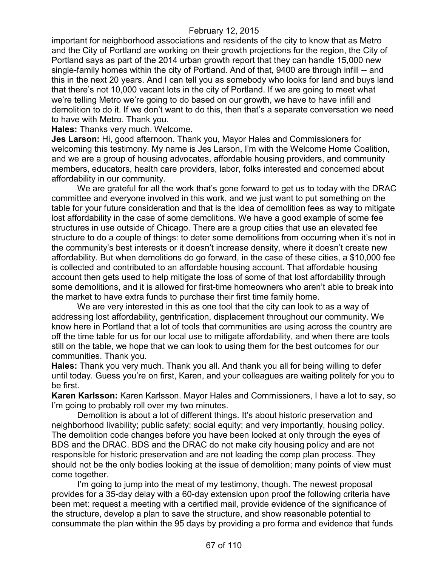important for neighborhood associations and residents of the city to know that as Metro and the City of Portland are working on their growth projections for the region, the City of Portland says as part of the 2014 urban growth report that they can handle 15,000 new single-family homes within the city of Portland. And of that, 9400 are through infill -- and this in the next 20 years. And I can tell you as somebody who looks for land and buys land that there's not 10,000 vacant lots in the city of Portland. If we are going to meet what we're telling Metro we're going to do based on our growth, we have to have infill and demolition to do it. If we don't want to do this, then that's a separate conversation we need to have with Metro. Thank you.

**Hales:** Thanks very much. Welcome.

**Jes Larson:** Hi, good afternoon. Thank you, Mayor Hales and Commissioners for welcoming this testimony. My name is Jes Larson, I'm with the Welcome Home Coalition, and we are a group of housing advocates, affordable housing providers, and community members, educators, health care providers, labor, folks interested and concerned about affordability in our community.

We are grateful for all the work that's gone forward to get us to today with the DRAC committee and everyone involved in this work, and we just want to put something on the table for your future consideration and that is the idea of demolition fees as way to mitigate lost affordability in the case of some demolitions. We have a good example of some fee structures in use outside of Chicago. There are a group cities that use an elevated fee structure to do a couple of things: to deter some demolitions from occurring when it's not in the community's best interests or it doesn't increase density, where it doesn't create new affordability. But when demolitions do go forward, in the case of these cities, a \$10,000 fee is collected and contributed to an affordable housing account. That affordable housing account then gets used to help mitigate the loss of some of that lost affordability through some demolitions, and it is allowed for first-time homeowners who aren't able to break into the market to have extra funds to purchase their first time family home.

We are very interested in this as one tool that the city can look to as a way of addressing lost affordability, gentrification, displacement throughout our community. We know here in Portland that a lot of tools that communities are using across the country are off the time table for us for our local use to mitigate affordability, and when there are tools still on the table, we hope that we can look to using them for the best outcomes for our communities. Thank you.

**Hales:** Thank you very much. Thank you all. And thank you all for being willing to defer until today. Guess you're on first, Karen, and your colleagues are waiting politely for you to be first.

**Karen Karlsson:** Karen Karlsson. Mayor Hales and Commissioners, I have a lot to say, so I'm going to probably roll over my two minutes.

Demolition is about a lot of different things. It's about historic preservation and neighborhood livability; public safety; social equity; and very importantly, housing policy. The demolition code changes before you have been looked at only through the eyes of BDS and the DRAC. BDS and the DRAC do not make city housing policy and are not responsible for historic preservation and are not leading the comp plan process. They should not be the only bodies looking at the issue of demolition; many points of view must come together.

I'm going to jump into the meat of my testimony, though. The newest proposal provides for a 35-day delay with a 60-day extension upon proof the following criteria have been met: request a meeting with a certified mail, provide evidence of the significance of the structure, develop a plan to save the structure, and show reasonable potential to consummate the plan within the 95 days by providing a pro forma and evidence that funds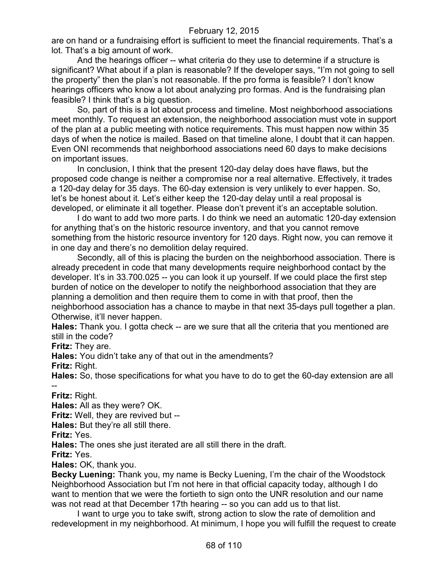are on hand or a fundraising effort is sufficient to meet the financial requirements. That's a lot. That's a big amount of work.

And the hearings officer -- what criteria do they use to determine if a structure is significant? What about if a plan is reasonable? If the developer says, "I'm not going to sell the property" then the plan's not reasonable. If the pro forma is feasible? I don't know hearings officers who know a lot about analyzing pro formas. And is the fundraising plan feasible? I think that's a big question.

So, part of this is a lot about process and timeline. Most neighborhood associations meet monthly. To request an extension, the neighborhood association must vote in support of the plan at a public meeting with notice requirements. This must happen now within 35 days of when the notice is mailed. Based on that timeline alone, I doubt that it can happen. Even ONI recommends that neighborhood associations need 60 days to make decisions on important issues.

In conclusion, I think that the present 120-day delay does have flaws, but the proposed code change is neither a compromise nor a real alternative. Effectively, it trades a 120-day delay for 35 days. The 60-day extension is very unlikely to ever happen. So, let's be honest about it. Let's either keep the 120-day delay until a real proposal is developed, or eliminate it all together. Please don't prevent it's an acceptable solution.

I do want to add two more parts. I do think we need an automatic 120-day extension for anything that's on the historic resource inventory, and that you cannot remove something from the historic resource inventory for 120 days. Right now, you can remove it in one day and there's no demolition delay required.

Secondly, all of this is placing the burden on the neighborhood association. There is already precedent in code that many developments require neighborhood contact by the developer. It's in 33.700.025 -- you can look it up yourself. If we could place the first step burden of notice on the developer to notify the neighborhood association that they are planning a demolition and then require them to come in with that proof, then the neighborhood association has a chance to maybe in that next 35-days pull together a plan. Otherwise, it'll never happen.

**Hales:** Thank you. I gotta check -- are we sure that all the criteria that you mentioned are still in the code?

**Fritz:** They are.

**Hales:** You didn't take any of that out in the amendments?

**Fritz:** Right.

**Hales:** So, those specifications for what you have to do to get the 60-day extension are all --

**Fritz:** Right.

**Hales:** All as they were? OK.

**Fritz:** Well, they are revived but --

**Hales:** But they're all still there.

**Fritz:** Yes.

**Hales:** The ones she just iterated are all still there in the draft.

**Fritz:** Yes.

**Hales:** OK, thank you.

**Becky Luening:** Thank you, my name is Becky Luening, I'm the chair of the Woodstock Neighborhood Association but I'm not here in that official capacity today, although I do want to mention that we were the fortieth to sign onto the UNR resolution and our name was not read at that December 17th hearing -- so you can add us to that list.

I want to urge you to take swift, strong action to slow the rate of demolition and redevelopment in my neighborhood. At minimum, I hope you will fulfill the request to create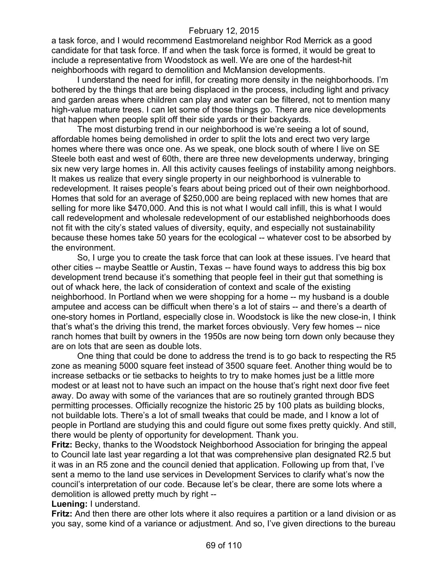a task force, and I would recommend Eastmoreland neighbor Rod Merrick as a good candidate for that task force. If and when the task force is formed, it would be great to include a representative from Woodstock as well. We are one of the hardest-hit neighborhoods with regard to demolition and McMansion developments.

I understand the need for infill, for creating more density in the neighborhoods. I'm bothered by the things that are being displaced in the process, including light and privacy and garden areas where children can play and water can be filtered, not to mention many high-value mature trees. I can let some of those things go. There are nice developments that happen when people split off their side yards or their backyards.

The most disturbing trend in our neighborhood is we're seeing a lot of sound, affordable homes being demolished in order to split the lots and erect two very large homes where there was once one. As we speak, one block south of where I live on SE Steele both east and west of 60th, there are three new developments underway, bringing six new very large homes in. All this activity causes feelings of instability among neighbors. It makes us realize that every single property in our neighborhood is vulnerable to redevelopment. It raises people's fears about being priced out of their own neighborhood. Homes that sold for an average of \$250,000 are being replaced with new homes that are selling for more like \$470,000. And this is not what I would call infill, this is what I would call redevelopment and wholesale redevelopment of our established neighborhoods does not fit with the city's stated values of diversity, equity, and especially not sustainability because these homes take 50 years for the ecological -- whatever cost to be absorbed by the environment.

So, I urge you to create the task force that can look at these issues. I've heard that other cities -- maybe Seattle or Austin, Texas -- have found ways to address this big box development trend because it's something that people feel in their gut that something is out of whack here, the lack of consideration of context and scale of the existing neighborhood. In Portland when we were shopping for a home -- my husband is a double amputee and access can be difficult when there's a lot of stairs -- and there's a dearth of one-story homes in Portland, especially close in. Woodstock is like the new close-in, I think that's what's the driving this trend, the market forces obviously. Very few homes -- nice ranch homes that built by owners in the 1950s are now being torn down only because they are on lots that are seen as double lots.

One thing that could be done to address the trend is to go back to respecting the R5 zone as meaning 5000 square feet instead of 3500 square feet. Another thing would be to increase setbacks or tie setbacks to heights to try to make homes just be a little more modest or at least not to have such an impact on the house that's right next door five feet away. Do away with some of the variances that are so routinely granted through BDS permitting processes. Officially recognize the historic 25 by 100 plats as building blocks, not buildable lots. There's a lot of small tweaks that could be made, and I know a lot of people in Portland are studying this and could figure out some fixes pretty quickly. And still, there would be plenty of opportunity for development. Thank you.

**Fritz:** Becky, thanks to the Woodstock Neighborhood Association for bringing the appeal to Council late last year regarding a lot that was comprehensive plan designated R2.5 but it was in an R5 zone and the council denied that application. Following up from that, I've sent a memo to the land use services in Development Services to clarify what's now the council's interpretation of our code. Because let's be clear, there are some lots where a demolition is allowed pretty much by right --

**Luening:** I understand.

**Fritz:** And then there are other lots where it also requires a partition or a land division or as you say, some kind of a variance or adjustment. And so, I've given directions to the bureau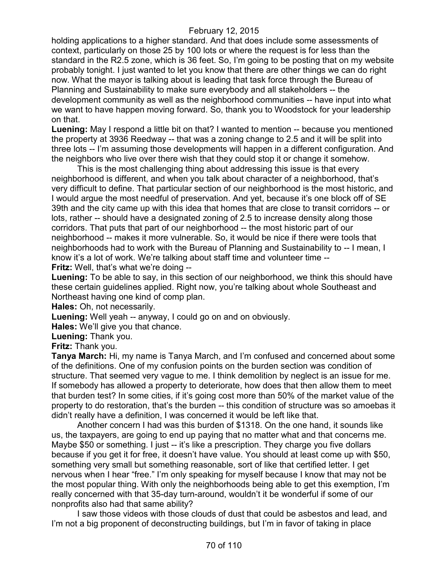holding applications to a higher standard. And that does include some assessments of context, particularly on those 25 by 100 lots or where the request is for less than the standard in the R2.5 zone, which is 36 feet. So, I'm going to be posting that on my website probably tonight. I just wanted to let you know that there are other things we can do right now. What the mayor is talking about is leading that task force through the Bureau of Planning and Sustainability to make sure everybody and all stakeholders -- the development community as well as the neighborhood communities -- have input into what we want to have happen moving forward. So, thank you to Woodstock for your leadership on that.

**Luening:** May I respond a little bit on that? I wanted to mention -- because you mentioned the property at 3936 Reedway -- that was a zoning change to 2.5 and it will be split into three lots -- I'm assuming those developments will happen in a different configuration. And the neighbors who live over there wish that they could stop it or change it somehow.

This is the most challenging thing about addressing this issue is that every neighborhood is different, and when you talk about character of a neighborhood, that's very difficult to define. That particular section of our neighborhood is the most historic, and I would argue the most needful of preservation. And yet, because it's one block off of SE 39th and the city came up with this idea that homes that are close to transit corridors -- or lots, rather -- should have a designated zoning of 2.5 to increase density along those corridors. That puts that part of our neighborhood -- the most historic part of our neighborhood -- makes it more vulnerable. So, it would be nice if there were tools that neighborhoods had to work with the Bureau of Planning and Sustainability to -- I mean, I know it's a lot of work. We're talking about staff time and volunteer time -- **Fritz:** Well, that's what we're doing --

**Luening:** To be able to say, in this section of our neighborhood, we think this should have these certain guidelines applied. Right now, you're talking about whole Southeast and Northeast having one kind of comp plan.

**Hales:** Oh, not necessarily.

**Luening:** Well yeah -- anyway, I could go on and on obviously.

**Hales:** We'll give you that chance.

**Luening:** Thank you.

**Fritz:** Thank you.

**Tanya March:** Hi, my name is Tanya March, and I'm confused and concerned about some of the definitions. One of my confusion points on the burden section was condition of structure. That seemed very vague to me. I think demolition by neglect is an issue for me. If somebody has allowed a property to deteriorate, how does that then allow them to meet that burden test? In some cities, if it's going cost more than 50% of the market value of the property to do restoration, that's the burden -- this condition of structure was so amoebas it didn't really have a definition, I was concerned it would be left like that.

Another concern I had was this burden of \$1318. On the one hand, it sounds like us, the taxpayers, are going to end up paying that no matter what and that concerns me. Maybe \$50 or something. I just -- it's like a prescription. They charge you five dollars because if you get it for free, it doesn't have value. You should at least come up with \$50, something very small but something reasonable, sort of like that certified letter. I get nervous when I hear "free." I'm only speaking for myself because I know that may not be the most popular thing. With only the neighborhoods being able to get this exemption, I'm really concerned with that 35-day turn-around, wouldn't it be wonderful if some of our nonprofits also had that same ability?

I saw those videos with those clouds of dust that could be asbestos and lead, and I'm not a big proponent of deconstructing buildings, but I'm in favor of taking in place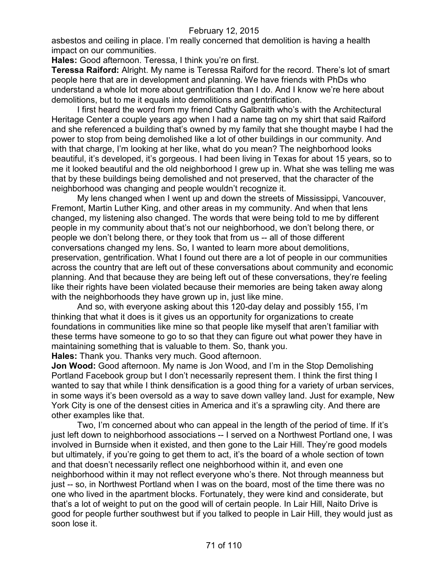asbestos and ceiling in place. I'm really concerned that demolition is having a health impact on our communities.

**Hales:** Good afternoon. Teressa, I think you're on first.

**Teressa Raiford:** Alright. My name is Teressa Raiford for the record. There's lot of smart people here that are in development and planning. We have friends with PhDs who understand a whole lot more about gentrification than I do. And I know we're here about demolitions, but to me it equals into demolitions and gentrification.

I first heard the word from my friend Cathy Galbraith who's with the Architectural Heritage Center a couple years ago when I had a name tag on my shirt that said Raiford and she referenced a building that's owned by my family that she thought maybe I had the power to stop from being demolished like a lot of other buildings in our community. And with that charge, I'm looking at her like, what do you mean? The neighborhood looks beautiful, it's developed, it's gorgeous. I had been living in Texas for about 15 years, so to me it looked beautiful and the old neighborhood I grew up in. What she was telling me was that by these buildings being demolished and not preserved, that the character of the neighborhood was changing and people wouldn't recognize it.

My lens changed when I went up and down the streets of Mississippi, Vancouver, Fremont, Martin Luther King, and other areas in my community. And when that lens changed, my listening also changed. The words that were being told to me by different people in my community about that's not our neighborhood, we don't belong there, or people we don't belong there, or they took that from us -- all of those different conversations changed my lens. So, I wanted to learn more about demolitions, preservation, gentrification. What I found out there are a lot of people in our communities across the country that are left out of these conversations about community and economic planning. And that because they are being left out of these conversations, they're feeling like their rights have been violated because their memories are being taken away along with the neighborhoods they have grown up in, just like mine.

And so, with everyone asking about this 120-day delay and possibly 155, I'm thinking that what it does is it gives us an opportunity for organizations to create foundations in communities like mine so that people like myself that aren't familiar with these terms have someone to go to so that they can figure out what power they have in maintaining something that is valuable to them. So, thank you.

**Hales:** Thank you. Thanks very much. Good afternoon.

**Jon Wood:** Good afternoon. My name is Jon Wood, and I'm in the Stop Demolishing Portland Facebook group but I don't necessarily represent them. I think the first thing I wanted to say that while I think densification is a good thing for a variety of urban services, in some ways it's been oversold as a way to save down valley land. Just for example, New York City is one of the densest cities in America and it's a sprawling city. And there are other examples like that.

Two, I'm concerned about who can appeal in the length of the period of time. If it's just left down to neighborhood associations -- I served on a Northwest Portland one, I was involved in Burnside when it existed, and then gone to the Lair Hill. They're good models but ultimately, if you're going to get them to act, it's the board of a whole section of town and that doesn't necessarily reflect one neighborhood within it, and even one neighborhood within it may not reflect everyone who's there. Not through meanness but just -- so, in Northwest Portland when I was on the board, most of the time there was no one who lived in the apartment blocks. Fortunately, they were kind and considerate, but that's a lot of weight to put on the good will of certain people. In Lair Hill, Naito Drive is good for people further southwest but if you talked to people in Lair Hill, they would just as soon lose it.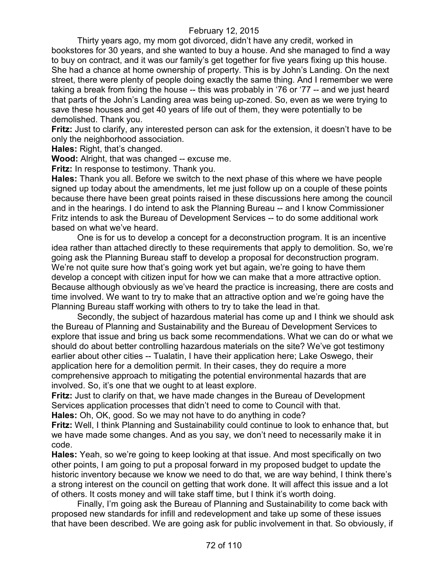Thirty years ago, my mom got divorced, didn't have any credit, worked in bookstores for 30 years, and she wanted to buy a house. And she managed to find a way to buy on contract, and it was our family's get together for five years fixing up this house. She had a chance at home ownership of property. This is by John's Landing. On the next street, there were plenty of people doing exactly the same thing. And I remember we were taking a break from fixing the house -- this was probably in '76 or '77 -- and we just heard that parts of the John's Landing area was being up-zoned. So, even as we were trying to save these houses and get 40 years of life out of them, they were potentially to be demolished. Thank you.

**Fritz:** Just to clarify, any interested person can ask for the extension, it doesn't have to be only the neighborhood association.

**Hales:** Right, that's changed.

**Wood:** Alright, that was changed -- excuse me.

**Fritz:** In response to testimony. Thank you.

**Hales:** Thank you all. Before we switch to the next phase of this where we have people signed up today about the amendments, let me just follow up on a couple of these points because there have been great points raised in these discussions here among the council and in the hearings. I do intend to ask the Planning Bureau -- and I know Commissioner Fritz intends to ask the Bureau of Development Services -- to do some additional work based on what we've heard.

One is for us to develop a concept for a deconstruction program. It is an incentive idea rather than attached directly to these requirements that apply to demolition. So, we're going ask the Planning Bureau staff to develop a proposal for deconstruction program. We're not quite sure how that's going work yet but again, we're going to have them develop a concept with citizen input for how we can make that a more attractive option. Because although obviously as we've heard the practice is increasing, there are costs and time involved. We want to try to make that an attractive option and we're going have the Planning Bureau staff working with others to try to take the lead in that.

Secondly, the subject of hazardous material has come up and I think we should ask the Bureau of Planning and Sustainability and the Bureau of Development Services to explore that issue and bring us back some recommendations. What we can do or what we should do about better controlling hazardous materials on the site? We've got testimony earlier about other cities -- Tualatin, I have their application here; Lake Oswego, their application here for a demolition permit. In their cases, they do require a more comprehensive approach to mitigating the potential environmental hazards that are involved. So, it's one that we ought to at least explore.

**Fritz:** Just to clarify on that, we have made changes in the Bureau of Development Services application processes that didn't need to come to Council with that.

**Hales:** Oh, OK, good. So we may not have to do anything in code?

**Fritz:** Well, I think Planning and Sustainability could continue to look to enhance that, but we have made some changes. And as you say, we don't need to necessarily make it in code.

**Hales:** Yeah, so we're going to keep looking at that issue. And most specifically on two other points, I am going to put a proposal forward in my proposed budget to update the historic inventory because we know we need to do that, we are way behind, I think there's a strong interest on the council on getting that work done. It will affect this issue and a lot of others. It costs money and will take staff time, but I think it's worth doing.

Finally, I'm going ask the Bureau of Planning and Sustainability to come back with proposed new standards for infill and redevelopment and take up some of these issues that have been described. We are going ask for public involvement in that. So obviously, if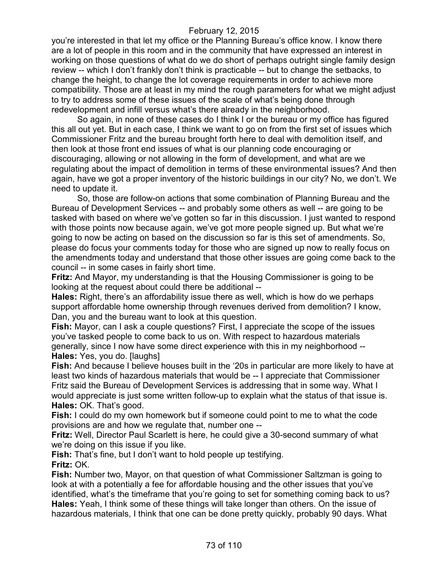you're interested in that let my office or the Planning Bureau's office know. I know there are a lot of people in this room and in the community that have expressed an interest in working on those questions of what do we do short of perhaps outright single family design review -- which I don't frankly don't think is practicable -- but to change the setbacks, to change the height, to change the lot coverage requirements in order to achieve more compatibility. Those are at least in my mind the rough parameters for what we might adjust to try to address some of these issues of the scale of what's being done through redevelopment and infill versus what's there already in the neighborhood.

So again, in none of these cases do I think I or the bureau or my office has figured this all out yet. But in each case, I think we want to go on from the first set of issues which Commissioner Fritz and the bureau brought forth here to deal with demolition itself, and then look at those front end issues of what is our planning code encouraging or discouraging, allowing or not allowing in the form of development, and what are we regulating about the impact of demolition in terms of these environmental issues? And then again, have we got a proper inventory of the historic buildings in our city? No, we don't. We need to update it.

So, those are follow-on actions that some combination of Planning Bureau and the Bureau of Development Services -- and probably some others as well -- are going to be tasked with based on where we've gotten so far in this discussion. I just wanted to respond with those points now because again, we've got more people signed up. But what we're going to now be acting on based on the discussion so far is this set of amendments. So, please do focus your comments today for those who are signed up now to really focus on the amendments today and understand that those other issues are going come back to the council -- in some cases in fairly short time.

**Fritz:** And Mayor, my understanding is that the Housing Commissioner is going to be looking at the request about could there be additional --

**Hales:** Right, there's an affordability issue there as well, which is how do we perhaps support affordable home ownership through revenues derived from demolition? I know, Dan, you and the bureau want to look at this question.

**Fish:** Mayor, can I ask a couple questions? First, I appreciate the scope of the issues you've tasked people to come back to us on. With respect to hazardous materials generally, since I now have some direct experience with this in my neighborhood -- **Hales:** Yes, you do. [laughs]

**Fish:** And because I believe houses built in the '20s in particular are more likely to have at least two kinds of hazardous materials that would be -- I appreciate that Commissioner Fritz said the Bureau of Development Services is addressing that in some way. What I would appreciate is just some written follow-up to explain what the status of that issue is. **Hales:** OK. That's good.

**Fish:** I could do my own homework but if someone could point to me to what the code provisions are and how we regulate that, number one --

**Fritz:** Well, Director Paul Scarlett is here, he could give a 30-second summary of what we're doing on this issue if you like.

**Fish:** That's fine, but I don't want to hold people up testifying. **Fritz:** OK.

**Fish:** Number two, Mayor, on that question of what Commissioner Saltzman is going to look at with a potentially a fee for affordable housing and the other issues that you've identified, what's the timeframe that you're going to set for something coming back to us? **Hales:** Yeah, I think some of these things will take longer than others. On the issue of hazardous materials, I think that one can be done pretty quickly, probably 90 days. What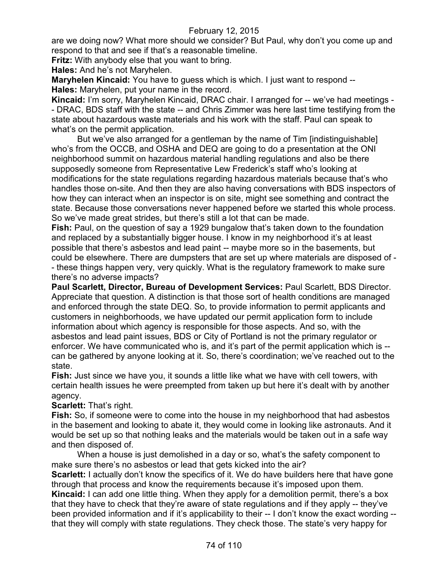are we doing now? What more should we consider? But Paul, why don't you come up and respond to that and see if that's a reasonable timeline.

**Fritz:** With anybody else that you want to bring.

**Hales:** And he's not Maryhelen.

**Maryhelen Kincaid:** You have to guess which is which. I just want to respond --**Hales:** Maryhelen, put your name in the record.

**Kincaid:** I'm sorry, Maryhelen Kincaid, DRAC chair. I arranged for -- we've had meetings - - DRAC, BDS staff with the state -- and Chris Zimmer was here last time testifying from the state about hazardous waste materials and his work with the staff. Paul can speak to what's on the permit application.

But we've also arranged for a gentleman by the name of Tim [indistinguishable] who's from the OCCB, and OSHA and DEQ are going to do a presentation at the ONI neighborhood summit on hazardous material handling regulations and also be there supposedly someone from Representative Lew Frederick's staff who's looking at modifications for the state regulations regarding hazardous materials because that's who handles those on-site. And then they are also having conversations with BDS inspectors of how they can interact when an inspector is on site, might see something and contract the state. Because those conversations never happened before we started this whole process. So we've made great strides, but there's still a lot that can be made.

**Fish:** Paul, on the question of say a 1929 bungalow that's taken down to the foundation and replaced by a substantially bigger house. I know in my neighborhood it's at least possible that there's asbestos and lead paint -- maybe more so in the basements, but could be elsewhere. There are dumpsters that are set up where materials are disposed of - - these things happen very, very quickly. What is the regulatory framework to make sure there's no adverse impacts?

**Paul Scarlett, Director, Bureau of Development Services:** Paul Scarlett, BDS Director. Appreciate that question. A distinction is that those sort of health conditions are managed and enforced through the state DEQ. So, to provide information to permit applicants and customers in neighborhoods, we have updated our permit application form to include information about which agency is responsible for those aspects. And so, with the asbestos and lead paint issues, BDS or City of Portland is not the primary regulator or enforcer. We have communicated who is, and it's part of the permit application which is - can be gathered by anyone looking at it. So, there's coordination; we've reached out to the state.

**Fish:** Just since we have you, it sounds a little like what we have with cell towers, with certain health issues he were preempted from taken up but here it's dealt with by another agency.

**Scarlett:** That's right.

**Fish:** So, if someone were to come into the house in my neighborhood that had asbestos in the basement and looking to abate it, they would come in looking like astronauts. And it would be set up so that nothing leaks and the materials would be taken out in a safe way and then disposed of.

When a house is just demolished in a day or so, what's the safety component to make sure there's no asbestos or lead that gets kicked into the air?

**Scarlett:** I actually don't know the specifics of it. We do have builders here that have gone through that process and know the requirements because it's imposed upon them.

**Kincaid:** I can add one little thing. When they apply for a demolition permit, there's a box that they have to check that they're aware of state regulations and if they apply -- they've been provided information and if it's applicability to their -- I don't know the exact wording - that they will comply with state regulations. They check those. The state's very happy for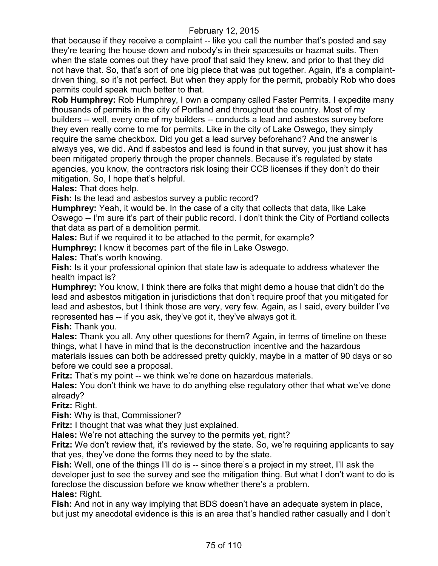that because if they receive a complaint -- like you call the number that's posted and say they're tearing the house down and nobody's in their spacesuits or hazmat suits. Then when the state comes out they have proof that said they knew, and prior to that they did not have that. So, that's sort of one big piece that was put together. Again, it's a complaintdriven thing, so it's not perfect. But when they apply for the permit, probably Rob who does permits could speak much better to that.

**Rob Humphrey:** Rob Humphrey, I own a company called Faster Permits. I expedite many thousands of permits in the city of Portland and throughout the country. Most of my builders -- well, every one of my builders -- conducts a lead and asbestos survey before they even really come to me for permits. Like in the city of Lake Oswego, they simply require the same checkbox. Did you get a lead survey beforehand? And the answer is always yes, we did. And if asbestos and lead is found in that survey, you just show it has been mitigated properly through the proper channels. Because it's regulated by state agencies, you know, the contractors risk losing their CCB licenses if they don't do their mitigation. So, I hope that's helpful.

**Hales:** That does help.

**Fish:** Is the lead and asbestos survey a public record?

**Humphrey:** Yeah, it would be. In the case of a city that collects that data, like Lake Oswego -- I'm sure it's part of their public record. I don't think the City of Portland collects that data as part of a demolition permit.

**Hales:** But if we required it to be attached to the permit, for example?

**Humphrey:** I know it becomes part of the file in Lake Oswego.

**Hales:** That's worth knowing.

**Fish:** Is it your professional opinion that state law is adequate to address whatever the health impact is?

**Humphrey:** You know, I think there are folks that might demo a house that didn't do the lead and asbestos mitigation in jurisdictions that don't require proof that you mitigated for lead and asbestos, but I think those are very, very few. Again, as I said, every builder I've represented has -- if you ask, they've got it, they've always got it.

**Fish:** Thank you.

**Hales:** Thank you all. Any other questions for them? Again, in terms of timeline on these things, what I have in mind that is the deconstruction incentive and the hazardous materials issues can both be addressed pretty quickly, maybe in a matter of 90 days or so before we could see a proposal.

**Fritz:** That's my point -- we think we're done on hazardous materials.

**Hales:** You don't think we have to do anything else regulatory other that what we've done already?

**Fritz:** Right.

**Fish:** Why is that, Commissioner?

**Fritz:** I thought that was what they just explained.

**Hales:** We're not attaching the survey to the permits yet, right?

Fritz: We don't review that, it's reviewed by the state. So, we're requiring applicants to say that yes, they've done the forms they need to by the state.

**Fish:** Well, one of the things I'll do is -- since there's a project in my street, I'll ask the developer just to see the survey and see the mitigation thing. But what I don't want to do is foreclose the discussion before we know whether there's a problem. **Hales:** Right.

**Fish:** And not in any way implying that BDS doesn't have an adequate system in place, but just my anecdotal evidence is this is an area that's handled rather casually and I don't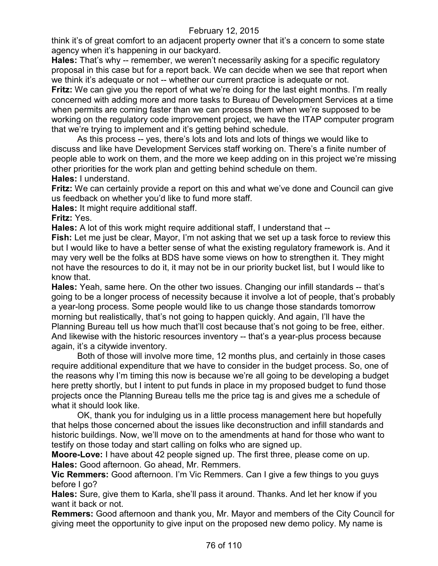think it's of great comfort to an adjacent property owner that it's a concern to some state agency when it's happening in our backyard.

**Hales:** That's why -- remember, we weren't necessarily asking for a specific regulatory proposal in this case but for a report back. We can decide when we see that report when we think it's adequate or not -- whether our current practice is adequate or not.

**Fritz:** We can give you the report of what we're doing for the last eight months. I'm really concerned with adding more and more tasks to Bureau of Development Services at a time when permits are coming faster than we can process them when we're supposed to be working on the regulatory code improvement project, we have the ITAP computer program that we're trying to implement and it's getting behind schedule.

As this process -- yes, there's lots and lots and lots of things we would like to discuss and like have Development Services staff working on. There's a finite number of people able to work on them, and the more we keep adding on in this project we're missing other priorities for the work plan and getting behind schedule on them. **Hales:** I understand.

**Fritz:** We can certainly provide a report on this and what we've done and Council can give us feedback on whether you'd like to fund more staff.

**Hales:** It might require additional staff.

**Fritz:** Yes.

**Hales:** A lot of this work might require additional staff, I understand that --

**Fish:** Let me just be clear, Mayor, I'm not asking that we set up a task force to review this but I would like to have a better sense of what the existing regulatory framework is. And it may very well be the folks at BDS have some views on how to strengthen it. They might not have the resources to do it, it may not be in our priority bucket list, but I would like to know that.

**Hales:** Yeah, same here. On the other two issues. Changing our infill standards -- that's going to be a longer process of necessity because it involve a lot of people, that's probably a year-long process. Some people would like to us change those standards tomorrow morning but realistically, that's not going to happen quickly. And again, I'll have the Planning Bureau tell us how much that'll cost because that's not going to be free, either. And likewise with the historic resources inventory -- that's a year-plus process because again, it's a citywide inventory.

Both of those will involve more time, 12 months plus, and certainly in those cases require additional expenditure that we have to consider in the budget process. So, one of the reasons why I'm timing this now is because we're all going to be developing a budget here pretty shortly, but I intent to put funds in place in my proposed budget to fund those projects once the Planning Bureau tells me the price tag is and gives me a schedule of what it should look like.

OK, thank you for indulging us in a little process management here but hopefully that helps those concerned about the issues like deconstruction and infill standards and historic buildings. Now, we'll move on to the amendments at hand for those who want to testify on those today and start calling on folks who are signed up.

**Moore-Love:** I have about 42 people signed up. The first three, please come on up. **Hales:** Good afternoon. Go ahead, Mr. Remmers.

**Vic Remmers:** Good afternoon. I'm Vic Remmers. Can I give a few things to you guys before I go?

**Hales:** Sure, give them to Karla, she'll pass it around. Thanks. And let her know if you want it back or not.

**Remmers:** Good afternoon and thank you, Mr. Mayor and members of the City Council for giving meet the opportunity to give input on the proposed new demo policy. My name is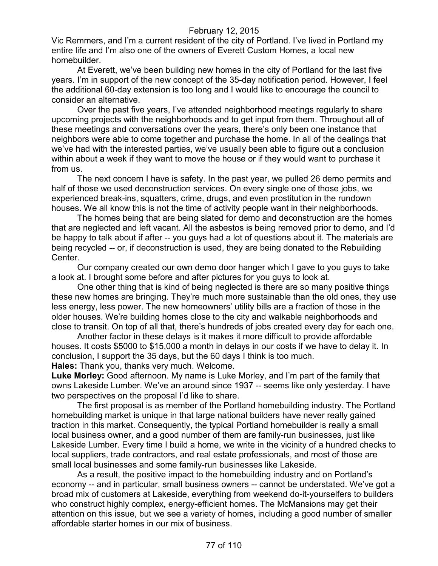Vic Remmers, and I'm a current resident of the city of Portland. I've lived in Portland my entire life and I'm also one of the owners of Everett Custom Homes, a local new homebuilder.

At Everett, we've been building new homes in the city of Portland for the last five years. I'm in support of the new concept of the 35-day notification period. However, I feel the additional 60-day extension is too long and I would like to encourage the council to consider an alternative.

Over the past five years, I've attended neighborhood meetings regularly to share upcoming projects with the neighborhoods and to get input from them. Throughout all of these meetings and conversations over the years, there's only been one instance that neighbors were able to come together and purchase the home. In all of the dealings that we've had with the interested parties, we've usually been able to figure out a conclusion within about a week if they want to move the house or if they would want to purchase it from us.

The next concern I have is safety. In the past year, we pulled 26 demo permits and half of those we used deconstruction services. On every single one of those jobs, we experienced break-ins, squatters, crime, drugs, and even prostitution in the rundown houses. We all know this is not the time of activity people want in their neighborhoods.

The homes being that are being slated for demo and deconstruction are the homes that are neglected and left vacant. All the asbestos is being removed prior to demo, and I'd be happy to talk about if after -- you guys had a lot of questions about it. The materials are being recycled -- or, if deconstruction is used, they are being donated to the Rebuilding Center.

Our company created our own demo door hanger which I gave to you guys to take a look at. I brought some before and after pictures for you guys to look at.

One other thing that is kind of being neglected is there are so many positive things these new homes are bringing. They're much more sustainable than the old ones, they use less energy, less power. The new homeowners' utility bills are a fraction of those in the older houses. We're building homes close to the city and walkable neighborhoods and close to transit. On top of all that, there's hundreds of jobs created every day for each one.

Another factor in these delays is it makes it more difficult to provide affordable houses. It costs \$5000 to \$15,000 a month in delays in our costs if we have to delay it. In conclusion, I support the 35 days, but the 60 days I think is too much.

**Hales:** Thank you, thanks very much. Welcome.

**Luke Morley:** Good afternoon. My name is Luke Morley, and I'm part of the family that owns Lakeside Lumber. We've an around since 1937 -- seems like only yesterday. I have two perspectives on the proposal I'd like to share.

The first proposal is as member of the Portland homebuilding industry. The Portland homebuilding market is unique in that large national builders have never really gained traction in this market. Consequently, the typical Portland homebuilder is really a small local business owner, and a good number of them are family-run businesses, just like Lakeside Lumber. Every time I build a home, we write in the vicinity of a hundred checks to local suppliers, trade contractors, and real estate professionals, and most of those are small local businesses and some family-run businesses like Lakeside.

As a result, the positive impact to the homebuilding industry and on Portland's economy -- and in particular, small business owners -- cannot be understated. We've got a broad mix of customers at Lakeside, everything from weekend do-it-yourselfers to builders who construct highly complex, energy-efficient homes. The McMansions may get their attention on this issue, but we see a variety of homes, including a good number of smaller affordable starter homes in our mix of business.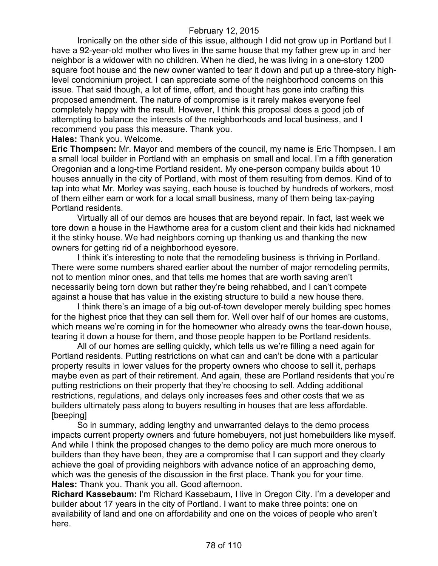Ironically on the other side of this issue, although I did not grow up in Portland but I have a 92-year-old mother who lives in the same house that my father grew up in and her neighbor is a widower with no children. When he died, he was living in a one-story 1200 square foot house and the new owner wanted to tear it down and put up a three-story highlevel condominium project. I can appreciate some of the neighborhood concerns on this issue. That said though, a lot of time, effort, and thought has gone into crafting this proposed amendment. The nature of compromise is it rarely makes everyone feel completely happy with the result. However, I think this proposal does a good job of attempting to balance the interests of the neighborhoods and local business, and I recommend you pass this measure. Thank you.

**Hales:** Thank you. Welcome.

**Eric Thompsen:** Mr. Mayor and members of the council, my name is Eric Thompsen. I am a small local builder in Portland with an emphasis on small and local. I'm a fifth generation Oregonian and a long-time Portland resident. My one-person company builds about 10 houses annually in the city of Portland, with most of them resulting from demos. Kind of to tap into what Mr. Morley was saying, each house is touched by hundreds of workers, most of them either earn or work for a local small business, many of them being tax-paying Portland residents.

Virtually all of our demos are houses that are beyond repair. In fact, last week we tore down a house in the Hawthorne area for a custom client and their kids had nicknamed it the stinky house. We had neighbors coming up thanking us and thanking the new owners for getting rid of a neighborhood eyesore.

I think it's interesting to note that the remodeling business is thriving in Portland. There were some numbers shared earlier about the number of major remodeling permits, not to mention minor ones, and that tells me homes that are worth saving aren't necessarily being torn down but rather they're being rehabbed, and I can't compete against a house that has value in the existing structure to build a new house there.

I think there's an image of a big out-of-town developer merely building spec homes for the highest price that they can sell them for. Well over half of our homes are customs, which means we're coming in for the homeowner who already owns the tear-down house, tearing it down a house for them, and those people happen to be Portland residents.

All of our homes are selling quickly, which tells us we're filling a need again for Portland residents. Putting restrictions on what can and can't be done with a particular property results in lower values for the property owners who choose to sell it, perhaps maybe even as part of their retirement. And again, these are Portland residents that you're putting restrictions on their property that they're choosing to sell. Adding additional restrictions, regulations, and delays only increases fees and other costs that we as builders ultimately pass along to buyers resulting in houses that are less affordable. [beeping]

So in summary, adding lengthy and unwarranted delays to the demo process impacts current property owners and future homebuyers, not just homebuilders like myself. And while I think the proposed changes to the demo policy are much more onerous to builders than they have been, they are a compromise that I can support and they clearly achieve the goal of providing neighbors with advance notice of an approaching demo, which was the genesis of the discussion in the first place. Thank you for your time. **Hales:** Thank you. Thank you all. Good afternoon.

**Richard Kassebaum:** I'm Richard Kassebaum, I live in Oregon City. I'm a developer and builder about 17 years in the city of Portland. I want to make three points: one on availability of land and one on affordability and one on the voices of people who aren't here.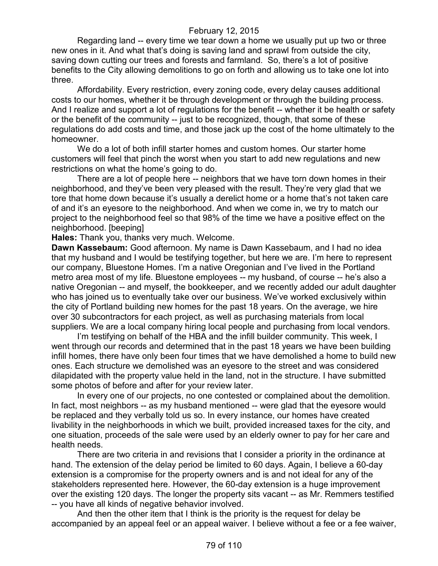Regarding land -- every time we tear down a home we usually put up two or three new ones in it. And what that's doing is saving land and sprawl from outside the city, saving down cutting our trees and forests and farmland. So, there's a lot of positive benefits to the City allowing demolitions to go on forth and allowing us to take one lot into three.

Affordability. Every restriction, every zoning code, every delay causes additional costs to our homes, whether it be through development or through the building process. And I realize and support a lot of regulations for the benefit -- whether it be health or safety or the benefit of the community -- just to be recognized, though, that some of these regulations do add costs and time, and those jack up the cost of the home ultimately to the homeowner.

We do a lot of both infill starter homes and custom homes. Our starter home customers will feel that pinch the worst when you start to add new regulations and new restrictions on what the home's going to do.

There are a lot of people here -- neighbors that we have torn down homes in their neighborhood, and they've been very pleased with the result. They're very glad that we tore that home down because it's usually a derelict home or a home that's not taken care of and it's an eyesore to the neighborhood. And when we come in, we try to match our project to the neighborhood feel so that 98% of the time we have a positive effect on the neighborhood. [beeping]

**Hales:** Thank you, thanks very much. Welcome.

**Dawn Kassebaum:** Good afternoon. My name is Dawn Kassebaum, and I had no idea that my husband and I would be testifying together, but here we are. I'm here to represent our company, Bluestone Homes. I'm a native Oregonian and I've lived in the Portland metro area most of my life. Bluestone employees -- my husband, of course -- he's also a native Oregonian -- and myself, the bookkeeper, and we recently added our adult daughter who has joined us to eventually take over our business. We've worked exclusively within the city of Portland building new homes for the past 18 years. On the average, we hire over 30 subcontractors for each project, as well as purchasing materials from local suppliers. We are a local company hiring local people and purchasing from local vendors.

I'm testifying on behalf of the HBA and the infill builder community. This week, I went through our records and determined that in the past 18 years we have been building infill homes, there have only been four times that we have demolished a home to build new ones. Each structure we demolished was an eyesore to the street and was considered dilapidated with the property value held in the land, not in the structure. I have submitted some photos of before and after for your review later.

In every one of our projects, no one contested or complained about the demolition. In fact, most neighbors -- as my husband mentioned -- were glad that the eyesore would be replaced and they verbally told us so. In every instance, our homes have created livability in the neighborhoods in which we built, provided increased taxes for the city, and one situation, proceeds of the sale were used by an elderly owner to pay for her care and health needs.

There are two criteria in and revisions that I consider a priority in the ordinance at hand. The extension of the delay period be limited to 60 days. Again, I believe a 60-day extension is a compromise for the property owners and is and not ideal for any of the stakeholders represented here. However, the 60-day extension is a huge improvement over the existing 120 days. The longer the property sits vacant -- as Mr. Remmers testified -- you have all kinds of negative behavior involved.

And then the other item that I think is the priority is the request for delay be accompanied by an appeal feel or an appeal waiver. I believe without a fee or a fee waiver,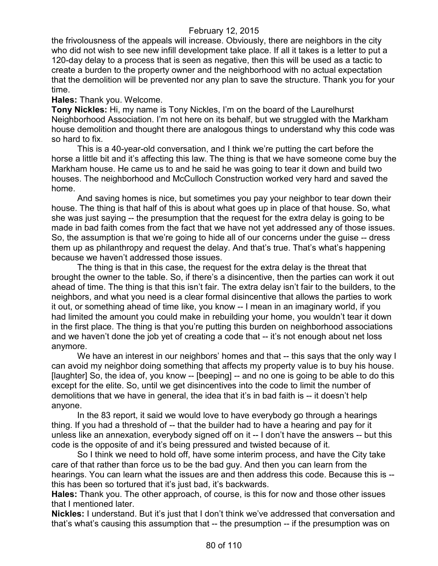the frivolousness of the appeals will increase. Obviously, there are neighbors in the city who did not wish to see new infill development take place. If all it takes is a letter to put a 120-day delay to a process that is seen as negative, then this will be used as a tactic to create a burden to the property owner and the neighborhood with no actual expectation that the demolition will be prevented nor any plan to save the structure. Thank you for your time.

#### **Hales:** Thank you. Welcome.

**Tony Nickles:** Hi, my name is Tony Nickles, I'm on the board of the Laurelhurst Neighborhood Association. I'm not here on its behalf, but we struggled with the Markham house demolition and thought there are analogous things to understand why this code was so hard to fix.

This is a 40-year-old conversation, and I think we're putting the cart before the horse a little bit and it's affecting this law. The thing is that we have someone come buy the Markham house. He came us to and he said he was going to tear it down and build two houses. The neighborhood and McCulloch Construction worked very hard and saved the home.

And saving homes is nice, but sometimes you pay your neighbor to tear down their house. The thing is that half of this is about what goes up in place of that house. So, what she was just saying -- the presumption that the request for the extra delay is going to be made in bad faith comes from the fact that we have not yet addressed any of those issues. So, the assumption is that we're going to hide all of our concerns under the guise -- dress them up as philanthropy and request the delay. And that's true. That's what's happening because we haven't addressed those issues.

The thing is that in this case, the request for the extra delay is the threat that brought the owner to the table. So, if there's a disincentive, then the parties can work it out ahead of time. The thing is that this isn't fair. The extra delay isn't fair to the builders, to the neighbors, and what you need is a clear formal disincentive that allows the parties to work it out, or something ahead of time like, you know -- I mean in an imaginary world, if you had limited the amount you could make in rebuilding your home, you wouldn't tear it down in the first place. The thing is that you're putting this burden on neighborhood associations and we haven't done the job yet of creating a code that -- it's not enough about net loss anymore.

We have an interest in our neighbors' homes and that -- this says that the only way I can avoid my neighbor doing something that affects my property value is to buy his house. [laughter] So, the idea of, you know -- [beeping] -- and no one is going to be able to do this except for the elite. So, until we get disincentives into the code to limit the number of demolitions that we have in general, the idea that it's in bad faith is -- it doesn't help anyone.

In the 83 report, it said we would love to have everybody go through a hearings thing. If you had a threshold of -- that the builder had to have a hearing and pay for it unless like an annexation, everybody signed off on it -- I don't have the answers -- but this code is the opposite of and it's being pressured and twisted because of it.

So I think we need to hold off, have some interim process, and have the City take care of that rather than force us to be the bad guy. And then you can learn from the hearings. You can learn what the issues are and then address this code. Because this is - this has been so tortured that it's just bad, it's backwards.

**Hales:** Thank you. The other approach, of course, is this for now and those other issues that I mentioned later.

**Nickles:** I understand. But it's just that I don't think we've addressed that conversation and that's what's causing this assumption that -- the presumption -- if the presumption was on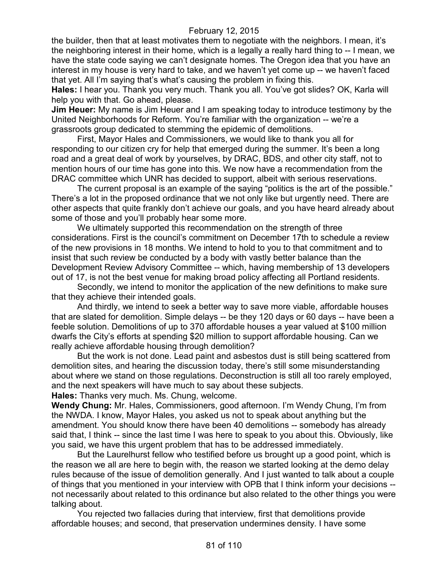the builder, then that at least motivates them to negotiate with the neighbors. I mean, it's the neighboring interest in their home, which is a legally a really hard thing to -- I mean, we have the state code saying we can't designate homes. The Oregon idea that you have an interest in my house is very hard to take, and we haven't yet come up -- we haven't faced that yet. All I'm saying that's what's causing the problem in fixing this.

**Hales:** I hear you. Thank you very much. Thank you all. You've got slides? OK, Karla will help you with that. Go ahead, please.

**Jim Heuer:** My name is Jim Heuer and I am speaking today to introduce testimony by the United Neighborhoods for Reform. You're familiar with the organization -- we're a grassroots group dedicated to stemming the epidemic of demolitions.

First, Mayor Hales and Commissioners, we would like to thank you all for responding to our citizen cry for help that emerged during the summer. It's been a long road and a great deal of work by yourselves, by DRAC, BDS, and other city staff, not to mention hours of our time has gone into this. We now have a recommendation from the DRAC committee which UNR has decided to support, albeit with serious reservations.

The current proposal is an example of the saying "politics is the art of the possible." There's a lot in the proposed ordinance that we not only like but urgently need. There are other aspects that quite frankly don't achieve our goals, and you have heard already about some of those and you'll probably hear some more.

We ultimately supported this recommendation on the strength of three considerations. First is the council's commitment on December 17th to schedule a review of the new provisions in 18 months. We intend to hold to you to that commitment and to insist that such review be conducted by a body with vastly better balance than the Development Review Advisory Committee -- which, having membership of 13 developers out of 17, is not the best venue for making broad policy affecting all Portland residents.

Secondly, we intend to monitor the application of the new definitions to make sure that they achieve their intended goals.

And thirdly, we intend to seek a better way to save more viable, affordable houses that are slated for demolition. Simple delays -- be they 120 days or 60 days -- have been a feeble solution. Demolitions of up to 370 affordable houses a year valued at \$100 million dwarfs the City's efforts at spending \$20 million to support affordable housing. Can we really achieve affordable housing through demolition?

But the work is not done. Lead paint and asbestos dust is still being scattered from demolition sites, and hearing the discussion today, there's still some misunderstanding about where we stand on those regulations. Deconstruction is still all too rarely employed, and the next speakers will have much to say about these subjects.

**Hales:** Thanks very much. Ms. Chung, welcome.

**Wendy Chung:** Mr. Hales, Commissioners, good afternoon. I'm Wendy Chung, I'm from the NWDA. I know, Mayor Hales, you asked us not to speak about anything but the amendment. You should know there have been 40 demolitions -- somebody has already said that, I think -- since the last time I was here to speak to you about this. Obviously, like you said, we have this urgent problem that has to be addressed immediately.

But the Laurelhurst fellow who testified before us brought up a good point, which is the reason we all are here to begin with, the reason we started looking at the demo delay rules because of the issue of demolition generally. And I just wanted to talk about a couple of things that you mentioned in your interview with OPB that I think inform your decisions - not necessarily about related to this ordinance but also related to the other things you were talking about.

You rejected two fallacies during that interview, first that demolitions provide affordable houses; and second, that preservation undermines density. I have some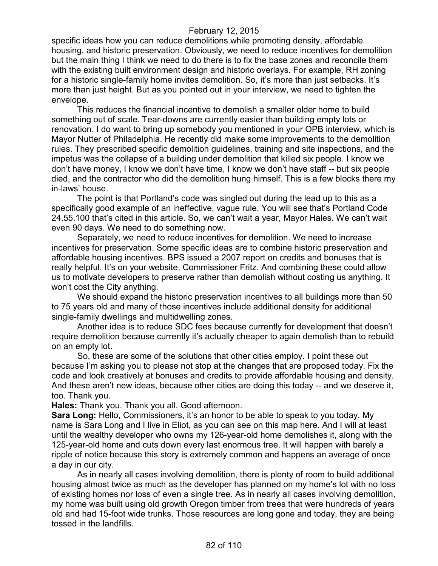specific ideas how you can reduce demolitions while promoting density, affordable housing, and historic preservation. Obviously, we need to reduce incentives for demolition but the main thing I think we need to do there is to fix the base zones and reconcile them with the existing built environment design and historic overlays. For example, RH zoning for a historic single-family home invites demolition. So, it's more than just setbacks. It's more than just height. But as you pointed out in your interview, we need to tighten the envelope.

This reduces the financial incentive to demolish a smaller older home to build something out of scale. Tear-downs are currently easier than building empty lots or renovation. I do want to bring up somebody you mentioned in your OPB interview, which is Mayor Nutter of Philadelphia. He recently did make some improvements to the demolition rules. They prescribed specific demolition guidelines, training and site inspections, and the impetus was the collapse of a building under demolition that killed six people. I know we don't have money, I know we don't have time, I know we don't have staff -- but six people died, and the contractor who did the demolition hung himself. This is a few blocks there my in-laws' house.

The point is that Portland's code was singled out during the lead up to this as a specifically good example of an ineffective, vague rule. You will see that's Portland Code 24.55.100 that's cited in this article. So, we can't wait a year, Mayor Hales. We can't wait even 90 days. We need to do something now.

Separately, we need to reduce incentives for demolition. We need to increase incentives for preservation. Some specific ideas are to combine historic preservation and affordable housing incentives. BPS issued a 2007 report on credits and bonuses that is really helpful. It's on your website, Commissioner Fritz. And combining these could allow us to motivate developers to preserve rather than demolish without costing us anything. It won't cost the City anything.

We should expand the historic preservation incentives to all buildings more than 50 to 75 years old and many of those incentives include additional density for additional single-family dwellings and multidwelling zones.

Another idea is to reduce SDC fees because currently for development that doesn't require demolition because currently it's actually cheaper to again demolish than to rebuild on an empty lot.

So, these are some of the solutions that other cities employ. I point these out because I'm asking you to please not stop at the changes that are proposed today. Fix the code and look creatively at bonuses and credits to provide affordable housing and density. And these aren't new ideas, because other cities are doing this today -- and we deserve it, too. Thank you.

**Hales:** Thank you. Thank you all. Good afternoon.

**Sara Long:** Hello, Commissioners, it's an honor to be able to speak to you today. My name is Sara Long and I live in Eliot, as you can see on this map here. And I will at least until the wealthy developer who owns my 126-year-old home demolishes it, along with the 125-year-old home and cuts down every last enormous tree. It will happen with barely a ripple of notice because this story is extremely common and happens an average of once a day in our city.

As in nearly all cases involving demolition, there is plenty of room to build additional housing almost twice as much as the developer has planned on my home's lot with no loss of existing homes nor loss of even a single tree. As in nearly all cases involving demolition, my home was built using old growth Oregon timber from trees that were hundreds of years old and had 15-foot wide trunks. Those resources are long gone and today, they are being tossed in the landfills.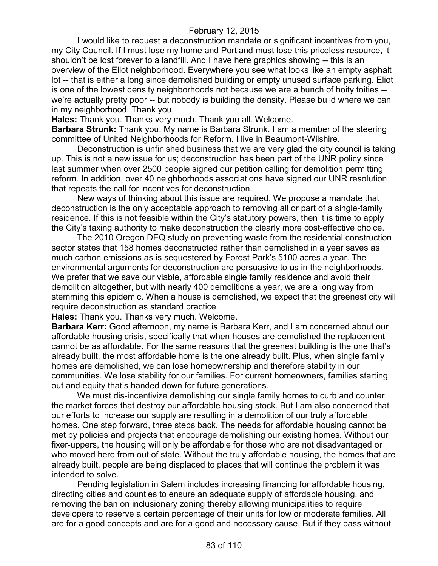I would like to request a deconstruction mandate or significant incentives from you, my City Council. If I must lose my home and Portland must lose this priceless resource, it shouldn't be lost forever to a landfill. And I have here graphics showing -- this is an overview of the Eliot neighborhood. Everywhere you see what looks like an empty asphalt lot -- that is either a long since demolished building or empty unused surface parking. Eliot is one of the lowest density neighborhoods not because we are a bunch of hoity toities - we're actually pretty poor -- but nobody is building the density. Please build where we can in my neighborhood. Thank you.

**Hales:** Thank you. Thanks very much. Thank you all. Welcome.

**Barbara Strunk:** Thank you. My name is Barbara Strunk. I am a member of the steering committee of United Neighborhoods for Reform. I live in Beaumont-Wilshire.

Deconstruction is unfinished business that we are very glad the city council is taking up. This is not a new issue for us; deconstruction has been part of the UNR policy since last summer when over 2500 people signed our petition calling for demolition permitting reform. In addition, over 40 neighborhoods associations have signed our UNR resolution that repeats the call for incentives for deconstruction.

New ways of thinking about this issue are required. We propose a mandate that deconstruction is the only acceptable approach to removing all or part of a single-family residence. If this is not feasible within the City's statutory powers, then it is time to apply the City's taxing authority to make deconstruction the clearly more cost-effective choice.

The 2010 Oregon DEQ study on preventing waste from the residential construction sector states that 158 homes deconstructed rather than demolished in a year saves as much carbon emissions as is sequestered by Forest Park's 5100 acres a year. The environmental arguments for deconstruction are persuasive to us in the neighborhoods. We prefer that we save our viable, affordable single family residence and avoid their demolition altogether, but with nearly 400 demolitions a year, we are a long way from stemming this epidemic. When a house is demolished, we expect that the greenest city will require deconstruction as standard practice.

**Hales:** Thank you. Thanks very much. Welcome.

**Barbara Kerr:** Good afternoon, my name is Barbara Kerr, and I am concerned about our affordable housing crisis, specifically that when houses are demolished the replacement cannot be as affordable. For the same reasons that the greenest building is the one that's already built, the most affordable home is the one already built. Plus, when single family homes are demolished, we can lose homeownership and therefore stability in our communities. We lose stability for our families. For current homeowners, families starting out and equity that's handed down for future generations.

We must dis-incentivize demolishing our single family homes to curb and counter the market forces that destroy our affordable housing stock. But I am also concerned that our efforts to increase our supply are resulting in a demolition of our truly affordable homes. One step forward, three steps back. The needs for affordable housing cannot be met by policies and projects that encourage demolishing our existing homes. Without our fixer-uppers, the housing will only be affordable for those who are not disadvantaged or who moved here from out of state. Without the truly affordable housing, the homes that are already built, people are being displaced to places that will continue the problem it was intended to solve.

Pending legislation in Salem includes increasing financing for affordable housing, directing cities and counties to ensure an adequate supply of affordable housing, and removing the ban on inclusionary zoning thereby allowing municipalities to require developers to reserve a certain percentage of their units for low or moderate families. All are for a good concepts and are for a good and necessary cause. But if they pass without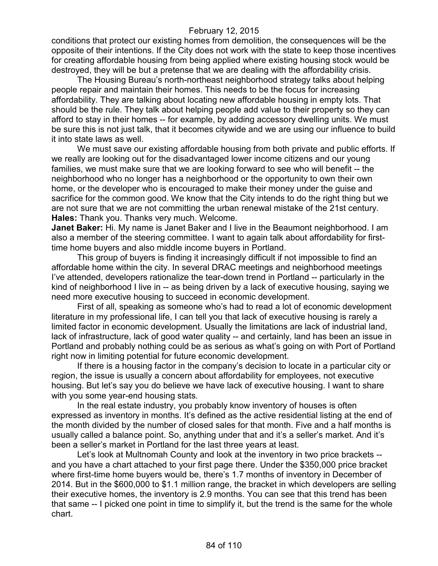conditions that protect our existing homes from demolition, the consequences will be the opposite of their intentions. If the City does not work with the state to keep those incentives for creating affordable housing from being applied where existing housing stock would be destroyed, they will be but a pretense that we are dealing with the affordability crisis.

The Housing Bureau's north-northeast neighborhood strategy talks about helping people repair and maintain their homes. This needs to be the focus for increasing affordability. They are talking about locating new affordable housing in empty lots. That should be the rule. They talk about helping people add value to their property so they can afford to stay in their homes -- for example, by adding accessory dwelling units. We must be sure this is not just talk, that it becomes citywide and we are using our influence to build it into state laws as well.

We must save our existing affordable housing from both private and public efforts. If we really are looking out for the disadvantaged lower income citizens and our young families, we must make sure that we are looking forward to see who will benefit -- the neighborhood who no longer has a neighborhood or the opportunity to own their own home, or the developer who is encouraged to make their money under the guise and sacrifice for the common good. We know that the City intends to do the right thing but we are not sure that we are not committing the urban renewal mistake of the 21st century. **Hales:** Thank you. Thanks very much. Welcome.

**Janet Baker:** Hi. My name is Janet Baker and I live in the Beaumont neighborhood. I am also a member of the steering committee. I want to again talk about affordability for firsttime home buyers and also middle income buyers in Portland.

This group of buyers is finding it increasingly difficult if not impossible to find an affordable home within the city. In several DRAC meetings and neighborhood meetings I've attended, developers rationalize the tear-down trend in Portland -- particularly in the kind of neighborhood I live in -- as being driven by a lack of executive housing, saying we need more executive housing to succeed in economic development.

First of all, speaking as someone who's had to read a lot of economic development literature in my professional life, I can tell you that lack of executive housing is rarely a limited factor in economic development. Usually the limitations are lack of industrial land, lack of infrastructure, lack of good water quality -- and certainly, land has been an issue in Portland and probably nothing could be as serious as what's going on with Port of Portland right now in limiting potential for future economic development.

If there is a housing factor in the company's decision to locate in a particular city or region, the issue is usually a concern about affordability for employees, not executive housing. But let's say you do believe we have lack of executive housing. I want to share with you some year-end housing stats.

In the real estate industry, you probably know inventory of houses is often expressed as inventory in months. It's defined as the active residential listing at the end of the month divided by the number of closed sales for that month. Five and a half months is usually called a balance point. So, anything under that and it's a seller's market. And it's been a seller's market in Portland for the last three years at least.

Let's look at Multnomah County and look at the inventory in two price brackets - and you have a chart attached to your first page there. Under the \$350,000 price bracket where first-time home buyers would be, there's 1.7 months of inventory in December of 2014. But in the \$600,000 to \$1.1 million range, the bracket in which developers are selling their executive homes, the inventory is 2.9 months. You can see that this trend has been that same -- I picked one point in time to simplify it, but the trend is the same for the whole chart.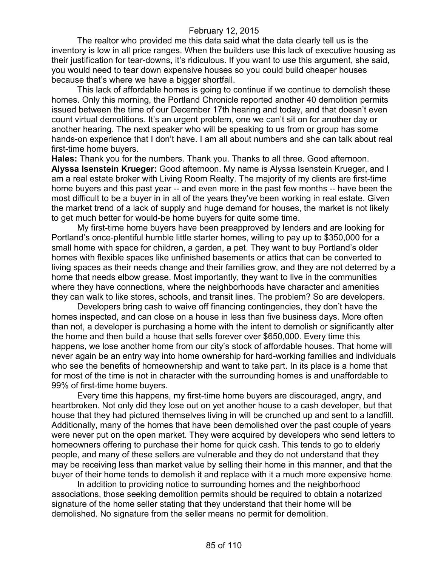The realtor who provided me this data said what the data clearly tell us is the inventory is low in all price ranges. When the builders use this lack of executive housing as their justification for tear-downs, it's ridiculous. If you want to use this argument, she said, you would need to tear down expensive houses so you could build cheaper houses because that's where we have a bigger shortfall.

This lack of affordable homes is going to continue if we continue to demolish these homes. Only this morning, the Portland Chronicle reported another 40 demolition permits issued between the time of our December 17th hearing and today, and that doesn't even count virtual demolitions. It's an urgent problem, one we can't sit on for another day or another hearing. The next speaker who will be speaking to us from or group has some hands-on experience that I don't have. I am all about numbers and she can talk about real first-time home buyers.

**Hales:** Thank you for the numbers. Thank you. Thanks to all three. Good afternoon. **Alyssa Isenstein Krueger:** Good afternoon. My name is Alyssa Isenstein Krueger, and I am a real estate broker with Living Room Realty. The majority of my clients are first-time home buyers and this past year -- and even more in the past few months -- have been the most difficult to be a buyer in in all of the years they've been working in real estate. Given the market trend of a lack of supply and huge demand for houses, the market is not likely to get much better for would-be home buyers for quite some time.

My first-time home buyers have been preapproved by lenders and are looking for Portland's once-plentiful humble little starter homes, willing to pay up to \$350,000 for a small home with space for children, a garden, a pet. They want to buy Portland's older homes with flexible spaces like unfinished basements or attics that can be converted to living spaces as their needs change and their families grow, and they are not deterred by a home that needs elbow grease. Most importantly, they want to live in the communities where they have connections, where the neighborhoods have character and amenities they can walk to like stores, schools, and transit lines. The problem? So are developers.

Developers bring cash to waive off financing contingencies, they don't have the homes inspected, and can close on a house in less than five business days. More often than not, a developer is purchasing a home with the intent to demolish or significantly alter the home and then build a house that sells forever over \$650,000. Every time this happens, we lose another home from our city's stock of affordable houses. That home will never again be an entry way into home ownership for hard-working families and individuals who see the benefits of homeownership and want to take part. In its place is a home that for most of the time is not in character with the surrounding homes is and unaffordable to 99% of first-time home buyers.

Every time this happens, my first-time home buyers are discouraged, angry, and heartbroken. Not only did they lose out on yet another house to a cash developer, but that house that they had pictured themselves living in will be crunched up and sent to a landfill. Additionally, many of the homes that have been demolished over the past couple of years were never put on the open market. They were acquired by developers who send letters to homeowners offering to purchase their home for quick cash. This tends to go to elderly people, and many of these sellers are vulnerable and they do not understand that they may be receiving less than market value by selling their home in this manner, and that the buyer of their home tends to demolish it and replace with it a much more expensive home.

In addition to providing notice to surrounding homes and the neighborhood associations, those seeking demolition permits should be required to obtain a notarized signature of the home seller stating that they understand that their home will be demolished. No signature from the seller means no permit for demolition.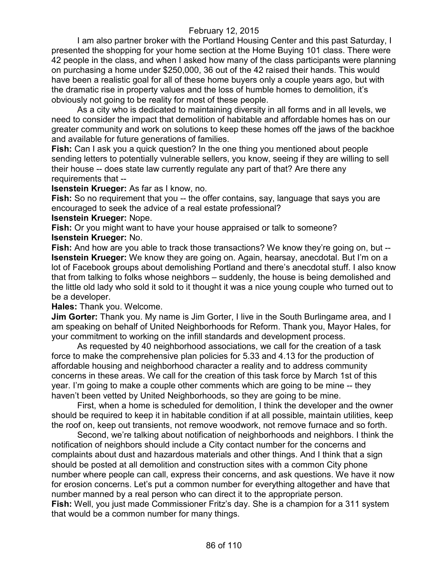I am also partner broker with the Portland Housing Center and this past Saturday, I presented the shopping for your home section at the Home Buying 101 class. There were 42 people in the class, and when I asked how many of the class participants were planning on purchasing a home under \$250,000, 36 out of the 42 raised their hands. This would have been a realistic goal for all of these home buyers only a couple years ago, but with the dramatic rise in property values and the loss of humble homes to demolition, it's obviously not going to be reality for most of these people.

As a city who is dedicated to maintaining diversity in all forms and in all levels, we need to consider the impact that demolition of habitable and affordable homes has on our greater community and work on solutions to keep these homes off the jaws of the backhoe and available for future generations of families.

**Fish:** Can I ask you a quick question? In the one thing you mentioned about people sending letters to potentially vulnerable sellers, you know, seeing if they are willing to sell their house -- does state law currently regulate any part of that? Are there any requirements that --

#### **Isenstein Krueger:** As far as I know, no.

**Fish:** So no requirement that you -- the offer contains, say, language that says you are encouraged to seek the advice of a real estate professional?

#### **Isenstein Krueger:** Nope.

**Fish:** Or you might want to have your house appraised or talk to someone? **Isenstein Krueger:** No.

**Fish:** And how are you able to track those transactions? We know they're going on, but -- **Isenstein Krueger:** We know they are going on. Again, hearsay, anecdotal. But I'm on a lot of Facebook groups about demolishing Portland and there's anecdotal stuff. I also know that from talking to folks whose neighbors – suddenly, the house is being demolished and the little old lady who sold it sold to it thought it was a nice young couple who turned out to be a developer.

**Hales:** Thank you. Welcome.

**Jim Gorter:** Thank you. My name is Jim Gorter, I live in the South Burlingame area, and I am speaking on behalf of United Neighborhoods for Reform. Thank you, Mayor Hales, for your commitment to working on the infill standards and development process.

As requested by 40 neighborhood associations, we call for the creation of a task force to make the comprehensive plan policies for 5.33 and 4.13 for the production of affordable housing and neighborhood character a reality and to address community concerns in these areas. We call for the creation of this task force by March 1st of this year. I'm going to make a couple other comments which are going to be mine -- they haven't been vetted by United Neighborhoods, so they are going to be mine.

First, when a home is scheduled for demolition, I think the developer and the owner should be required to keep it in habitable condition if at all possible, maintain utilities, keep the roof on, keep out transients, not remove woodwork, not remove furnace and so forth.

Second, we're talking about notification of neighborhoods and neighbors. I think the notification of neighbors should include a City contact number for the concerns and complaints about dust and hazardous materials and other things. And I think that a sign should be posted at all demolition and construction sites with a common City phone number where people can call, express their concerns, and ask questions. We have it now for erosion concerns. Let's put a common number for everything altogether and have that number manned by a real person who can direct it to the appropriate person. **Fish:** Well, you just made Commissioner Fritz's day. She is a champion for a 311 system that would be a common number for many things.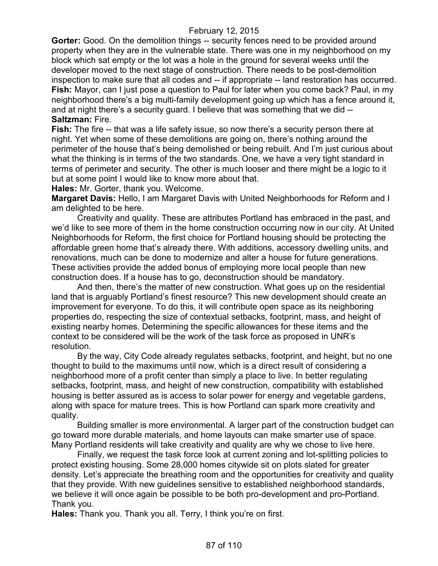**Gorter:** Good. On the demolition things -- security fences need to be provided around property when they are in the vulnerable state. There was one in my neighborhood on my block which sat empty or the lot was a hole in the ground for several weeks until the developer moved to the next stage of construction. There needs to be post-demolition inspection to make sure that all codes and -- if appropriate -- land restoration has occurred. **Fish:** Mayor, can I just pose a question to Paul for later when you come back? Paul, in my neighborhood there's a big multi-family development going up which has a fence around it, and at night there's a security guard. I believe that was something that we did -- **Saltzman:** Fire.

**Fish:** The fire -- that was a life safety issue, so now there's a security person there at night. Yet when some of these demolitions are going on, there's nothing around the perimeter of the house that's being demolished or being rebuilt. And I'm just curious about what the thinking is in terms of the two standards. One, we have a very tight standard in terms of perimeter and security. The other is much looser and there might be a logic to it but at some point I would like to know more about that.

**Hales:** Mr. Gorter, thank you. Welcome.

**Margaret Davis:** Hello, I am Margaret Davis with United Neighborhoods for Reform and I am delighted to be here.

Creativity and quality. These are attributes Portland has embraced in the past, and we'd like to see more of them in the home construction occurring now in our city. At United Neighborhoods for Reform, the first choice for Portland housing should be protecting the affordable green home that's already there. With additions, accessory dwelling units, and renovations, much can be done to modernize and alter a house for future generations. These activities provide the added bonus of employing more local people than new construction does. If a house has to go, deconstruction should be mandatory.

And then, there's the matter of new construction. What goes up on the residential land that is arguably Portland's finest resource? This new development should create an improvement for everyone. To do this, it will contribute open space as its neighboring properties do, respecting the size of contextual setbacks, footprint, mass, and height of existing nearby homes. Determining the specific allowances for these items and the context to be considered will be the work of the task force as proposed in UNR's resolution.

By the way, City Code already regulates setbacks, footprint, and height, but no one thought to build to the maximums until now, which is a direct result of considering a neighborhood more of a profit center than simply a place to live. In better regulating setbacks, footprint, mass, and height of new construction, compatibility with established housing is better assured as is access to solar power for energy and vegetable gardens, along with space for mature trees. This is how Portland can spark more creativity and quality.

Building smaller is more environmental. A larger part of the construction budget can go toward more durable materials, and home layouts can make smarter use of space. Many Portland residents will take creativity and quality are why we chose to live here.

Finally, we request the task force look at current zoning and lot-splitting policies to protect existing housing. Some 28,000 homes citywide sit on plots slated for greater density. Let's appreciate the breathing room and the opportunities for creativity and quality that they provide. With new guidelines sensitive to established neighborhood standards, we believe it will once again be possible to be both pro-development and pro-Portland. Thank you.

**Hales:** Thank you. Thank you all. Terry, I think you're on first.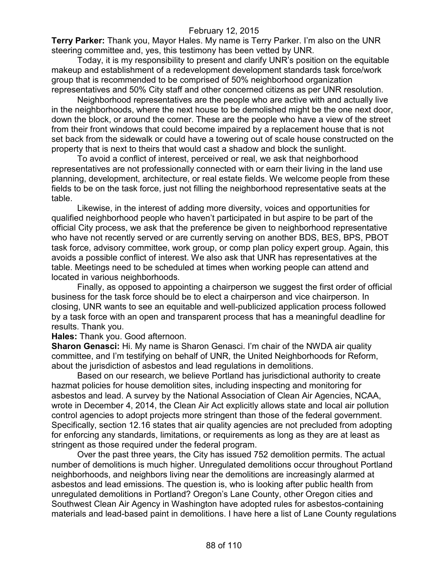**Terry Parker:** Thank you, Mayor Hales. My name is Terry Parker. I'm also on the UNR steering committee and, yes, this testimony has been vetted by UNR.

Today, it is my responsibility to present and clarify UNR's position on the equitable makeup and establishment of a redevelopment development standards task force/work group that is recommended to be comprised of 50% neighborhood organization representatives and 50% City staff and other concerned citizens as per UNR resolution.

Neighborhood representatives are the people who are active with and actually live in the neighborhoods, where the next house to be demolished might be the one next door, down the block, or around the corner. These are the people who have a view of the street from their front windows that could become impaired by a replacement house that is not set back from the sidewalk or could have a towering out of scale house constructed on the property that is next to theirs that would cast a shadow and block the sunlight.

To avoid a conflict of interest, perceived or real, we ask that neighborhood representatives are not professionally connected with or earn their living in the land use planning, development, architecture, or real estate fields. We welcome people from these fields to be on the task force, just not filling the neighborhood representative seats at the table.

Likewise, in the interest of adding more diversity, voices and opportunities for qualified neighborhood people who haven't participated in but aspire to be part of the official City process, we ask that the preference be given to neighborhood representative who have not recently served or are currently serving on another BDS, BES, BPS, PBOT task force, advisory committee, work group, or comp plan policy expert group. Again, this avoids a possible conflict of interest. We also ask that UNR has representatives at the table. Meetings need to be scheduled at times when working people can attend and located in various neighborhoods.

Finally, as opposed to appointing a chairperson we suggest the first order of official business for the task force should be to elect a chairperson and vice chairperson. In closing, UNR wants to see an equitable and well-publicized application process followed by a task force with an open and transparent process that has a meaningful deadline for results. Thank you.

**Hales:** Thank you. Good afternoon.

**Sharon Genasci:** Hi. My name is Sharon Genasci. I'm chair of the NWDA air quality committee, and I'm testifying on behalf of UNR, the United Neighborhoods for Reform, about the jurisdiction of asbestos and lead regulations in demolitions.

Based on our research, we believe Portland has jurisdictional authority to create hazmat policies for house demolition sites, including inspecting and monitoring for asbestos and lead. A survey by the National Association of Clean Air Agencies, NCAA, wrote in December 4, 2014, the Clean Air Act explicitly allows state and local air pollution control agencies to adopt projects more stringent than those of the federal government. Specifically, section 12.16 states that air quality agencies are not precluded from adopting for enforcing any standards, limitations, or requirements as long as they are at least as stringent as those required under the federal program.

Over the past three years, the City has issued 752 demolition permits. The actual number of demolitions is much higher. Unregulated demolitions occur throughout Portland neighborhoods, and neighbors living near the demolitions are increasingly alarmed at asbestos and lead emissions. The question is, who is looking after public health from unregulated demolitions in Portland? Oregon's Lane County, other Oregon cities and Southwest Clean Air Agency in Washington have adopted rules for asbestos-containing materials and lead-based paint in demolitions. I have here a list of Lane County regulations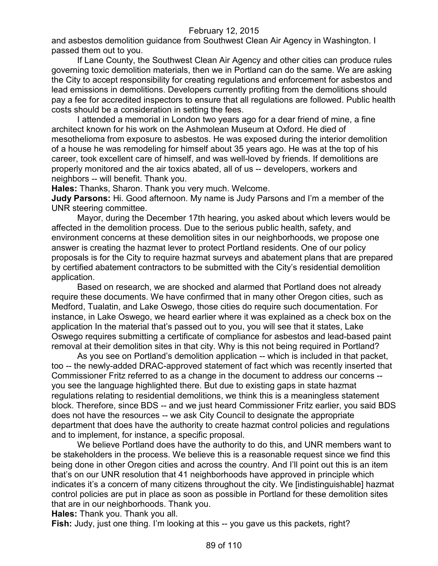and asbestos demolition guidance from Southwest Clean Air Agency in Washington. I passed them out to you.

If Lane County, the Southwest Clean Air Agency and other cities can produce rules governing toxic demolition materials, then we in Portland can do the same. We are asking the City to accept responsibility for creating regulations and enforcement for asbestos and lead emissions in demolitions. Developers currently profiting from the demolitions should pay a fee for accredited inspectors to ensure that all regulations are followed. Public health costs should be a consideration in setting the fees.

I attended a memorial in London two years ago for a dear friend of mine, a fine architect known for his work on the Ashmolean Museum at Oxford. He died of mesothelioma from exposure to asbestos. He was exposed during the interior demolition of a house he was remodeling for himself about 35 years ago. He was at the top of his career, took excellent care of himself, and was well-loved by friends. If demolitions are properly monitored and the air toxics abated, all of us -- developers, workers and neighbors -- will benefit. Thank you.

**Hales:** Thanks, Sharon. Thank you very much. Welcome.

**Judy Parsons:** Hi. Good afternoon. My name is Judy Parsons and I'm a member of the UNR steering committee.

Mayor, during the December 17th hearing, you asked about which levers would be affected in the demolition process. Due to the serious public health, safety, and environment concerns at these demolition sites in our neighborhoods, we propose one answer is creating the hazmat lever to protect Portland residents. One of our policy proposals is for the City to require hazmat surveys and abatement plans that are prepared by certified abatement contractors to be submitted with the City's residential demolition application.

Based on research, we are shocked and alarmed that Portland does not already require these documents. We have confirmed that in many other Oregon cities, such as Medford, Tualatin, and Lake Oswego, those cities do require such documentation. For instance, in Lake Oswego, we heard earlier where it was explained as a check box on the application In the material that's passed out to you, you will see that it states, Lake Oswego requires submitting a certificate of compliance for asbestos and lead-based paint removal at their demolition sites in that city. Why is this not being required in Portland?

As you see on Portland's demolition application -- which is included in that packet, too -- the newly-added DRAC-approved statement of fact which was recently inserted that Commissioner Fritz referred to as a change in the document to address our concerns - you see the language highlighted there. But due to existing gaps in state hazmat regulations relating to residential demolitions, we think this is a meaningless statement block. Therefore, since BDS -- and we just heard Commissioner Fritz earlier, you said BDS does not have the resources -- we ask City Council to designate the appropriate department that does have the authority to create hazmat control policies and regulations and to implement, for instance, a specific proposal.

We believe Portland does have the authority to do this, and UNR members want to be stakeholders in the process. We believe this is a reasonable request since we find this being done in other Oregon cities and across the country. And I'll point out this is an item that's on our UNR resolution that 41 neighborhoods have approved in principle which indicates it's a concern of many citizens throughout the city. We [indistinguishable] hazmat control policies are put in place as soon as possible in Portland for these demolition sites that are in our neighborhoods. Thank you.

**Hales:** Thank you. Thank you all.

**Fish:** Judy, just one thing. I'm looking at this -- you gave us this packets, right?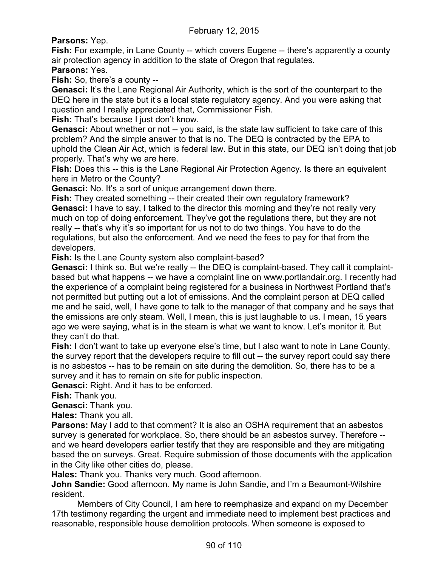**Parsons:** Yep.

**Fish:** For example, in Lane County -- which covers Eugene -- there's apparently a county air protection agency in addition to the state of Oregon that regulates. **Parsons:** Yes.

**Fish:** So, there's a county --

**Genasci:** It's the Lane Regional Air Authority, which is the sort of the counterpart to the DEQ here in the state but it's a local state regulatory agency. And you were asking that question and I really appreciated that, Commissioner Fish.

**Fish:** That's because I just don't know.

**Genasci:** About whether or not -- you said, is the state law sufficient to take care of this problem? And the simple answer to that is no. The DEQ is contracted by the EPA to uphold the Clean Air Act, which is federal law. But in this state, our DEQ isn't doing that job properly. That's why we are here.

**Fish:** Does this -- this is the Lane Regional Air Protection Agency. Is there an equivalent here in Metro or the County?

**Genasci:** No. It's a sort of unique arrangement down there.

**Fish:** They created something -- their created their own regulatory framework? **Genasci:** I have to say, I talked to the director this morning and they're not really very much on top of doing enforcement. They've got the regulations there, but they are not really -- that's why it's so important for us not to do two things. You have to do the regulations, but also the enforcement. And we need the fees to pay for that from the developers.

**Fish:** Is the Lane County system also complaint-based?

**Genasci:** I think so. But we're really -- the DEQ is complaint-based. They call it complaintbased but what happens -- we have a complaint line on www.portlandair.org. I recently had the experience of a complaint being registered for a business in Northwest Portland that's not permitted but putting out a lot of emissions. And the complaint person at DEQ called me and he said, well, I have gone to talk to the manager of that company and he says that the emissions are only steam. Well, I mean, this is just laughable to us. I mean, 15 years ago we were saying, what is in the steam is what we want to know. Let's monitor it. But they can't do that.

**Fish:** I don't want to take up everyone else's time, but I also want to note in Lane County, the survey report that the developers require to fill out -- the survey report could say there is no asbestos -- has to be remain on site during the demolition. So, there has to be a survey and it has to remain on site for public inspection.

**Genasci:** Right. And it has to be enforced.

**Fish:** Thank you.

**Genasci:** Thank you.

**Hales:** Thank you all.

**Parsons:** May I add to that comment? It is also an OSHA requirement that an asbestos survey is generated for workplace. So, there should be an asbestos survey. Therefore - and we heard developers earlier testify that they are responsible and they are mitigating based the on surveys. Great. Require submission of those documents with the application in the City like other cities do, please.

**Hales:** Thank you. Thanks very much. Good afternoon.

**John Sandie:** Good afternoon. My name is John Sandie, and I'm a Beaumont-Wilshire resident.

Members of City Council, I am here to reemphasize and expand on my December 17th testimony regarding the urgent and immediate need to implement best practices and reasonable, responsible house demolition protocols. When someone is exposed to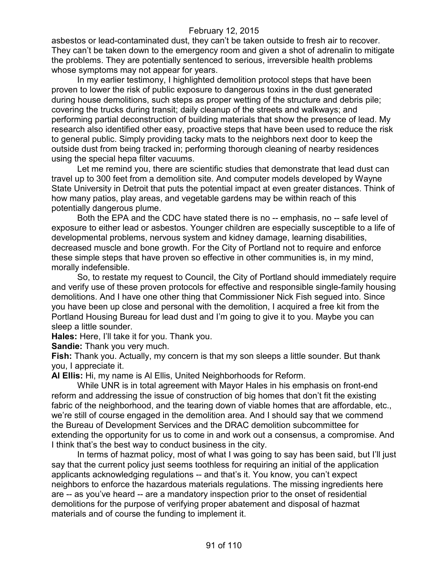asbestos or lead-contaminated dust, they can't be taken outside to fresh air to recover. They can't be taken down to the emergency room and given a shot of adrenalin to mitigate the problems. They are potentially sentenced to serious, irreversible health problems whose symptoms may not appear for years.

In my earlier testimony, I highlighted demolition protocol steps that have been proven to lower the risk of public exposure to dangerous toxins in the dust generated during house demolitions, such steps as proper wetting of the structure and debris pile; covering the trucks during transit; daily cleanup of the streets and walkways; and performing partial deconstruction of building materials that show the presence of lead. My research also identified other easy, proactive steps that have been used to reduce the risk to general public. Simply providing tacky mats to the neighbors next door to keep the outside dust from being tracked in; performing thorough cleaning of nearby residences using the special hepa filter vacuums.

Let me remind you, there are scientific studies that demonstrate that lead dust can travel up to 300 feet from a demolition site. And computer models developed by Wayne State University in Detroit that puts the potential impact at even greater distances. Think of how many patios, play areas, and vegetable gardens may be within reach of this potentially dangerous plume.

Both the EPA and the CDC have stated there is no -- emphasis, no -- safe level of exposure to either lead or asbestos. Younger children are especially susceptible to a life of developmental problems, nervous system and kidney damage, learning disabilities, decreased muscle and bone growth. For the City of Portland not to require and enforce these simple steps that have proven so effective in other communities is, in my mind, morally indefensible.

So, to restate my request to Council, the City of Portland should immediately require and verify use of these proven protocols for effective and responsible single-family housing demolitions. And I have one other thing that Commissioner Nick Fish segued into. Since you have been up close and personal with the demolition, I acquired a free kit from the Portland Housing Bureau for lead dust and I'm going to give it to you. Maybe you can sleep a little sounder.

**Hales:** Here, I'll take it for you. Thank you.

**Sandie:** Thank you very much.

**Fish:** Thank you. Actually, my concern is that my son sleeps a little sounder. But thank you, I appreciate it.

**Al Ellis:** Hi, my name is Al Ellis, United Neighborhoods for Reform.

While UNR is in total agreement with Mayor Hales in his emphasis on front-end reform and addressing the issue of construction of big homes that don't fit the existing fabric of the neighborhood, and the tearing down of viable homes that are affordable, etc., we're still of course engaged in the demolition area. And I should say that we commend the Bureau of Development Services and the DRAC demolition subcommittee for extending the opportunity for us to come in and work out a consensus, a compromise. And I think that's the best way to conduct business in the city.

In terms of hazmat policy, most of what I was going to say has been said, but I'll just say that the current policy just seems toothless for requiring an initial of the application applicants acknowledging regulations -- and that's it. You know, you can't expect neighbors to enforce the hazardous materials regulations. The missing ingredients here are -- as you've heard -- are a mandatory inspection prior to the onset of residential demolitions for the purpose of verifying proper abatement and disposal of hazmat materials and of course the funding to implement it.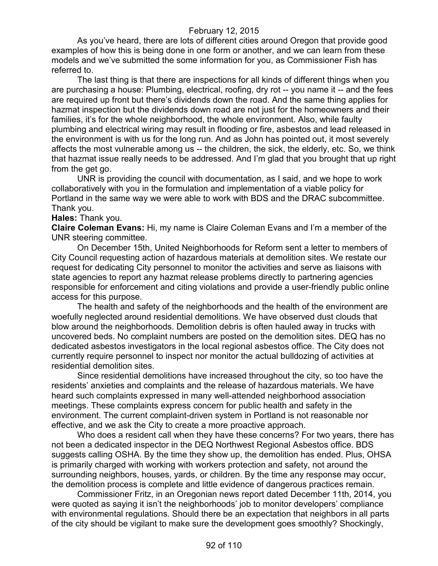As you've heard, there are lots of different cities around Oregon that provide good examples of how this is being done in one form or another, and we can learn from these models and we've submitted the some information for you, as Commissioner Fish has referred to.

The last thing is that there are inspections for all kinds of different things when you are purchasing a house: Plumbing, electrical, roofing, dry rot -- you name it -- and the fees are required up front but there's dividends down the road. And the same thing applies for hazmat inspection but the dividends down road are not just for the homeowners and their families, it's for the whole neighborhood, the whole environment. Also, while faulty plumbing and electrical wiring may result in flooding or fire, asbestos and lead released in the environment is with us for the long run. And as John has pointed out, it most severely affects the most vulnerable among us -- the children, the sick, the elderly, etc. So, we think that hazmat issue really needs to be addressed. And I'm glad that you brought that up right from the get go.

UNR is providing the council with documentation, as I said, and we hope to work collaboratively with you in the formulation and implementation of a viable policy for Portland in the same way we were able to work with BDS and the DRAC subcommittee. Thank you.

#### **Hales:** Thank you.

**Claire Coleman Evans:** Hi, my name is Claire Coleman Evans and I'm a member of the UNR steering committee.

On December 15th, United Neighborhoods for Reform sent a letter to members of City Council requesting action of hazardous materials at demolition sites. We restate our request for dedicating City personnel to monitor the activities and serve as liaisons with state agencies to report any hazmat release problems directly to partnering agencies responsible for enforcement and citing violations and provide a user-friendly public online access for this purpose.

The health and safety of the neighborhoods and the health of the environment are woefully neglected around residential demolitions. We have observed dust clouds that blow around the neighborhoods. Demolition debris is often hauled away in trucks with uncovered beds. No complaint numbers are posted on the demolition sites. DEQ has no dedicated asbestos investigators in the local regional asbestos office. The City does not currently require personnel to inspect nor monitor the actual bulldozing of activities at residential demolition sites.

Since residential demolitions have increased throughout the city, so too have the residents' anxieties and complaints and the release of hazardous materials. We have heard such complaints expressed in many well-attended neighborhood association meetings. These complaints express concern for public health and safety in the environment. The current complaint-driven system in Portland is not reasonable nor effective, and we ask the City to create a more proactive approach.

Who does a resident call when they have these concerns? For two years, there has not been a dedicated inspector in the DEQ Northwest Regional Asbestos office. BDS suggests calling OSHA. By the time they show up, the demolition has ended. Plus, OHSA is primarily charged with working with workers protection and safety, not around the surrounding neighbors, houses, yards, or children. By the time any response may occur, the demolition process is complete and little evidence of dangerous practices remain.

Commissioner Fritz, in an Oregonian news report dated December 11th, 2014, you were quoted as saying it isn't the neighborhoods' job to monitor developers' compliance with environmental regulations. Should there be an expectation that neighbors in all parts of the city should be vigilant to make sure the development goes smoothly? Shockingly,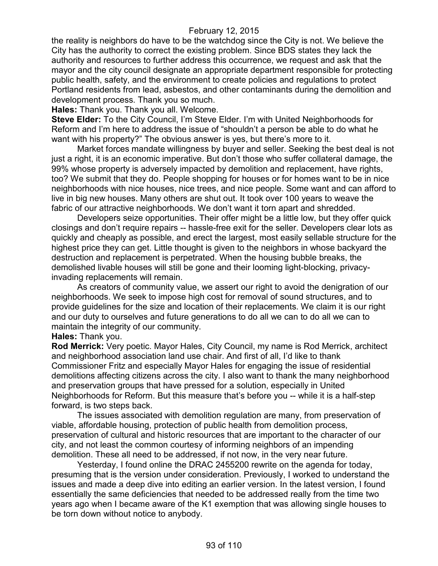the reality is neighbors do have to be the watchdog since the City is not. We believe the City has the authority to correct the existing problem. Since BDS states they lack the authority and resources to further address this occurrence, we request and ask that the mayor and the city council designate an appropriate department responsible for protecting public health, safety, and the environment to create policies and regulations to protect Portland residents from lead, asbestos, and other contaminants during the demolition and development process. Thank you so much.

**Hales:** Thank you. Thank you all. Welcome.

**Steve Elder:** To the City Council, I'm Steve Elder. I'm with United Neighborhoods for Reform and I'm here to address the issue of "shouldn't a person be able to do what he want with his property?" The obvious answer is yes, but there's more to it.

Market forces mandate willingness by buyer and seller. Seeking the best deal is not just a right, it is an economic imperative. But don't those who suffer collateral damage, the 99% whose property is adversely impacted by demolition and replacement, have rights, too? We submit that they do. People shopping for houses or for homes want to be in nice neighborhoods with nice houses, nice trees, and nice people. Some want and can afford to live in big new houses. Many others are shut out. It took over 100 years to weave the fabric of our attractive neighborhoods. We don't want it torn apart and shredded.

Developers seize opportunities. Their offer might be a little low, but they offer quick closings and don't require repairs -- hassle-free exit for the seller. Developers clear lots as quickly and cheaply as possible, and erect the largest, most easily sellable structure for the highest price they can get. Little thought is given to the neighbors in whose backyard the destruction and replacement is perpetrated. When the housing bubble breaks, the demolished livable houses will still be gone and their looming light-blocking, privacyinvading replacements will remain.

As creators of community value, we assert our right to avoid the denigration of our neighborhoods. We seek to impose high cost for removal of sound structures, and to provide guidelines for the size and location of their replacements. We claim it is our right and our duty to ourselves and future generations to do all we can to do all we can to maintain the integrity of our community.

# **Hales:** Thank you.

**Rod Merrick:** Very poetic. Mayor Hales, City Council, my name is Rod Merrick, architect and neighborhood association land use chair. And first of all, I'd like to thank Commissioner Fritz and especially Mayor Hales for engaging the issue of residential demolitions affecting citizens across the city. I also want to thank the many neighborhood and preservation groups that have pressed for a solution, especially in United Neighborhoods for Reform. But this measure that's before you -- while it is a half-step forward, is two steps back.

The issues associated with demolition regulation are many, from preservation of viable, affordable housing, protection of public health from demolition process, preservation of cultural and historic resources that are important to the character of our city, and not least the common courtesy of informing neighbors of an impending demolition. These all need to be addressed, if not now, in the very near future.

Yesterday, I found online the DRAC 2455200 rewrite on the agenda for today, presuming that is the version under consideration. Previously, I worked to understand the issues and made a deep dive into editing an earlier version. In the latest version, I found essentially the same deficiencies that needed to be addressed really from the time two years ago when I became aware of the K1 exemption that was allowing single houses to be torn down without notice to anybody.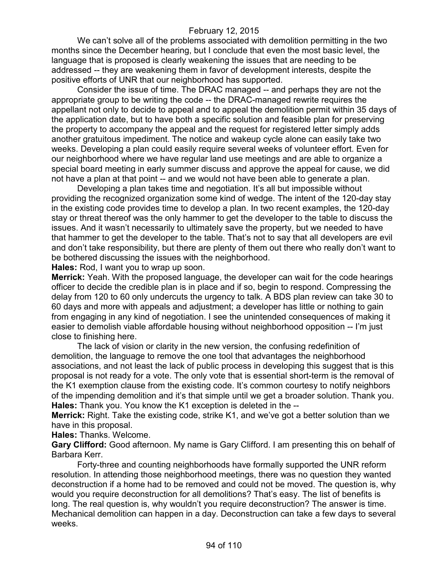We can't solve all of the problems associated with demolition permitting in the two months since the December hearing, but I conclude that even the most basic level, the language that is proposed is clearly weakening the issues that are needing to be addressed -- they are weakening them in favor of development interests, despite the positive efforts of UNR that our neighborhood has supported.

Consider the issue of time. The DRAC managed -- and perhaps they are not the appropriate group to be writing the code -- the DRAC-managed rewrite requires the appellant not only to decide to appeal and to appeal the demolition permit within 35 days of the application date, but to have both a specific solution and feasible plan for preserving the property to accompany the appeal and the request for registered letter simply adds another gratuitous impediment. The notice and wakeup cycle alone can easily take two weeks. Developing a plan could easily require several weeks of volunteer effort. Even for our neighborhood where we have regular land use meetings and are able to organize a special board meeting in early summer discuss and approve the appeal for cause, we did not have a plan at that point -- and we would not have been able to generate a plan.

Developing a plan takes time and negotiation. It's all but impossible without providing the recognized organization some kind of wedge. The intent of the 120-day stay in the existing code provides time to develop a plan. In two recent examples, the 120-day stay or threat thereof was the only hammer to get the developer to the table to discuss the issues. And it wasn't necessarily to ultimately save the property, but we needed to have that hammer to get the developer to the table. That's not to say that all developers are evil and don't take responsibility, but there are plenty of them out there who really don't want to be bothered discussing the issues with the neighborhood.

**Hales:** Rod, I want you to wrap up soon.

**Merrick:** Yeah. With the proposed language, the developer can wait for the code hearings officer to decide the credible plan is in place and if so, begin to respond. Compressing the delay from 120 to 60 only undercuts the urgency to talk. A BDS plan review can take 30 to 60 days and more with appeals and adjustment; a developer has little or nothing to gain from engaging in any kind of negotiation. I see the unintended consequences of making it easier to demolish viable affordable housing without neighborhood opposition -- I'm just close to finishing here.

The lack of vision or clarity in the new version, the confusing redefinition of demolition, the language to remove the one tool that advantages the neighborhood associations, and not least the lack of public process in developing this suggest that is this proposal is not ready for a vote. The only vote that is essential short-term is the removal of the K1 exemption clause from the existing code. It's common courtesy to notify neighbors of the impending demolition and it's that simple until we get a broader solution. Thank you. **Hales:** Thank you. You know the K1 exception is deleted in the --

**Merrick:** Right. Take the existing code, strike K1, and we've got a better solution than we have in this proposal.

**Hales:** Thanks. Welcome.

**Gary Clifford:** Good afternoon. My name is Gary Clifford. I am presenting this on behalf of Barbara Kerr.

Forty-three and counting neighborhoods have formally supported the UNR reform resolution. In attending those neighborhood meetings, there was no question they wanted deconstruction if a home had to be removed and could not be moved. The question is, why would you require deconstruction for all demolitions? That's easy. The list of benefits is long. The real question is, why wouldn't you require deconstruction? The answer is time. Mechanical demolition can happen in a day. Deconstruction can take a few days to several weeks.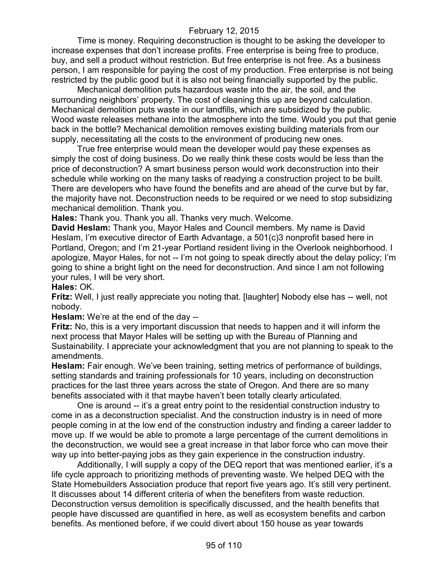Time is money. Requiring deconstruction is thought to be asking the developer to increase expenses that don't increase profits. Free enterprise is being free to produce, buy, and sell a product without restriction. But free enterprise is not free. As a business person, I am responsible for paying the cost of my production. Free enterprise is not being restricted by the public good but it is also not being financially supported by the public.

Mechanical demolition puts hazardous waste into the air, the soil, and the surrounding neighbors' property. The cost of cleaning this up are beyond calculation. Mechanical demolition puts waste in our landfills, which are subsidized by the public. Wood waste releases methane into the atmosphere into the time. Would you put that genie back in the bottle? Mechanical demolition removes existing building materials from our supply, necessitating all the costs to the environment of producing new ones.

True free enterprise would mean the developer would pay these expenses as simply the cost of doing business. Do we really think these costs would be less than the price of deconstruction? A smart business person would work deconstruction into their schedule while working on the many tasks of readying a construction project to be built. There are developers who have found the benefits and are ahead of the curve but by far, the majority have not. Deconstruction needs to be required or we need to stop subsidizing mechanical demolition. Thank you.

**Hales:** Thank you. Thank you all. Thanks very much. Welcome.

**David Heslam:** Thank you, Mayor Hales and Council members. My name is David Heslam, I'm executive director of Earth Advantage, a 501(c)3 nonprofit based here in Portland, Oregon; and I'm 21-year Portland resident living in the Overlook neighborhood. I apologize, Mayor Hales, for not -- I'm not going to speak directly about the delay policy; I'm going to shine a bright light on the need for deconstruction. And since I am not following your rules, I will be very short.

**Hales:** OK.

**Fritz:** Well, I just really appreciate you noting that. [laughter] Nobody else has -- well, not nobody.

**Heslam:** We're at the end of the day --

**Fritz:** No, this is a very important discussion that needs to happen and it will inform the next process that Mayor Hales will be setting up with the Bureau of Planning and Sustainability. I appreciate your acknowledgment that you are not planning to speak to the amendments.

**Heslam:** Fair enough. We've been training, setting metrics of performance of buildings, setting standards and training professionals for 10 years, including on deconstruction practices for the last three years across the state of Oregon. And there are so many benefits associated with it that maybe haven't been totally clearly articulated.

One is around -- it's a great entry point to the residential construction industry to come in as a deconstruction specialist. And the construction industry is in need of more people coming in at the low end of the construction industry and finding a career ladder to move up. If we would be able to promote a large percentage of the current demolitions in the deconstruction, we would see a great increase in that labor force who can move their way up into better-paying jobs as they gain experience in the construction industry.

Additionally, I will supply a copy of the DEQ report that was mentioned earlier, it's a life cycle approach to prioritizing methods of preventing waste. We helped DEQ with the State Homebuilders Association produce that report five years ago. It's still very pertinent. It discusses about 14 different criteria of when the benefiters from waste reduction. Deconstruction versus demolition is specifically discussed, and the health benefits that people have discussed are quantified in here, as well as ecosystem benefits and carbon benefits. As mentioned before, if we could divert about 150 house as year towards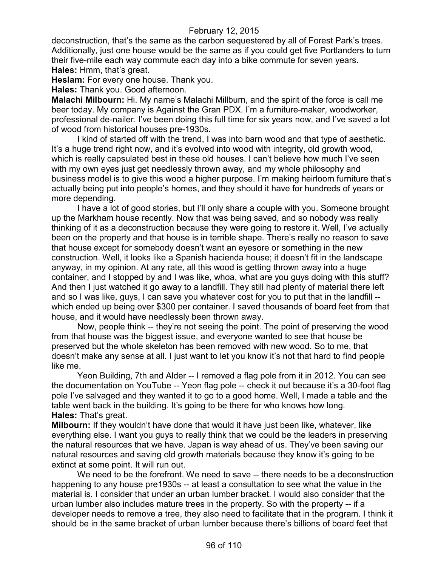deconstruction, that's the same as the carbon sequestered by all of Forest Park's trees. Additionally, just one house would be the same as if you could get five Portlanders to turn their five-mile each way commute each day into a bike commute for seven years. **Hales:** Hmm, that's great.

**Heslam:** For every one house. Thank you.

**Hales:** Thank you. Good afternoon.

**Malachi Milbourn:** Hi. My name's Malachi Millburn, and the spirit of the force is call me beer today. My company is Against the Gran PDX. I'm a furniture-maker, woodworker, professional de-nailer. I've been doing this full time for six years now, and I've saved a lot of wood from historical houses pre-1930s.

I kind of started off with the trend, I was into barn wood and that type of aesthetic. It's a huge trend right now, and it's evolved into wood with integrity, old growth wood, which is really capsulated best in these old houses. I can't believe how much I've seen with my own eyes just get needlessly thrown away, and my whole philosophy and business model is to give this wood a higher purpose. I'm making heirloom furniture that's actually being put into people's homes, and they should it have for hundreds of years or more depending.

I have a lot of good stories, but I'll only share a couple with you. Someone brought up the Markham house recently. Now that was being saved, and so nobody was really thinking of it as a deconstruction because they were going to restore it. Well, I've actually been on the property and that house is in terrible shape. There's really no reason to save that house except for somebody doesn't want an eyesore or something in the new construction. Well, it looks like a Spanish hacienda house; it doesn't fit in the landscape anyway, in my opinion. At any rate, all this wood is getting thrown away into a huge container, and I stopped by and I was like, whoa, what are you guys doing with this stuff? And then I just watched it go away to a landfill. They still had plenty of material there left and so I was like, guys, I can save you whatever cost for you to put that in the landfill - which ended up being over \$300 per container. I saved thousands of board feet from that house, and it would have needlessly been thrown away.

Now, people think -- they're not seeing the point. The point of preserving the wood from that house was the biggest issue, and everyone wanted to see that house be preserved but the whole skeleton has been removed with new wood. So to me, that doesn't make any sense at all. I just want to let you know it's not that hard to find people like me.

Yeon Building, 7th and Alder -- I removed a flag pole from it in 2012. You can see the documentation on YouTube -- Yeon flag pole -- check it out because it's a 30-foot flag pole I've salvaged and they wanted it to go to a good home. Well, I made a table and the table went back in the building. It's going to be there for who knows how long. **Hales:** That's great.

**Milbourn:** If they wouldn't have done that would it have just been like, whatever, like everything else. I want you guys to really think that we could be the leaders in preserving the natural resources that we have. Japan is way ahead of us. They've been saving our natural resources and saving old growth materials because they know it's going to be extinct at some point. It will run out.

We need to be the forefront. We need to save -- there needs to be a deconstruction happening to any house pre1930s -- at least a consultation to see what the value in the material is. I consider that under an urban lumber bracket. I would also consider that the urban lumber also includes mature trees in the property. So with the property -- if a developer needs to remove a tree, they also need to facilitate that in the program. I think it should be in the same bracket of urban lumber because there's billions of board feet that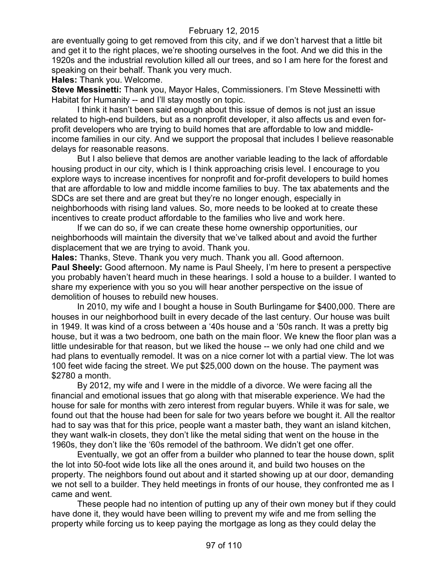are eventually going to get removed from this city, and if we don't harvest that a little bit and get it to the right places, we're shooting ourselves in the foot. And we did this in the 1920s and the industrial revolution killed all our trees, and so I am here for the forest and speaking on their behalf. Thank you very much.

**Hales:** Thank you. Welcome.

**Steve Messinetti:** Thank you, Mayor Hales, Commissioners. I'm Steve Messinetti with Habitat for Humanity -- and I'll stay mostly on topic.

I think it hasn't been said enough about this issue of demos is not just an issue related to high-end builders, but as a nonprofit developer, it also affects us and even forprofit developers who are trying to build homes that are affordable to low and middleincome families in our city. And we support the proposal that includes I believe reasonable delays for reasonable reasons.

But I also believe that demos are another variable leading to the lack of affordable housing product in our city, which is I think approaching crisis level. I encourage to you explore ways to increase incentives for nonprofit and for-profit developers to build homes that are affordable to low and middle income families to buy. The tax abatements and the SDCs are set there and are great but they're no longer enough, especially in neighborhoods with rising land values. So, more needs to be looked at to create these incentives to create product affordable to the families who live and work here.

If we can do so, if we can create these home ownership opportunities, our neighborhoods will maintain the diversity that we've talked about and avoid the further displacement that we are trying to avoid. Thank you.

**Hales:** Thanks, Steve. Thank you very much. Thank you all. Good afternoon. **Paul Sheely:** Good afternoon. My name is Paul Sheely, I'm here to present a perspective you probably haven't heard much in these hearings. I sold a house to a builder. I wanted to share my experience with you so you will hear another perspective on the issue of demolition of houses to rebuild new houses.

In 2010, my wife and I bought a house in South Burlingame for \$400,000. There are houses in our neighborhood built in every decade of the last century. Our house was built in 1949. It was kind of a cross between a '40s house and a '50s ranch. It was a pretty big house, but it was a two bedroom, one bath on the main floor. We knew the floor plan was a little undesirable for that reason, but we liked the house -- we only had one child and we had plans to eventually remodel. It was on a nice corner lot with a partial view. The lot was 100 feet wide facing the street. We put \$25,000 down on the house. The payment was \$2780 a month.

By 2012, my wife and I were in the middle of a divorce. We were facing all the financial and emotional issues that go along with that miserable experience. We had the house for sale for months with zero interest from regular buyers. While it was for sale, we found out that the house had been for sale for two years before we bought it. All the realtor had to say was that for this price, people want a master bath, they want an island kitchen, they want walk-in closets, they don't like the metal siding that went on the house in the 1960s, they don't like the '60s remodel of the bathroom. We didn't get one offer.

Eventually, we got an offer from a builder who planned to tear the house down, split the lot into 50-foot wide lots like all the ones around it, and build two houses on the property. The neighbors found out about and it started showing up at our door, demanding we not sell to a builder. They held meetings in fronts of our house, they confronted me as I came and went.

These people had no intention of putting up any of their own money but if they could have done it, they would have been willing to prevent my wife and me from selling the property while forcing us to keep paying the mortgage as long as they could delay the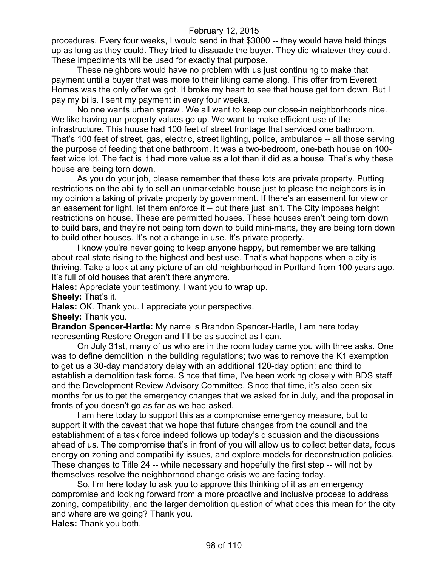procedures. Every four weeks, I would send in that \$3000 -- they would have held things up as long as they could. They tried to dissuade the buyer. They did whatever they could. These impediments will be used for exactly that purpose.

These neighbors would have no problem with us just continuing to make that payment until a buyer that was more to their liking came along. This offer from Everett Homes was the only offer we got. It broke my heart to see that house get torn down. But I pay my bills. I sent my payment in every four weeks.

No one wants urban sprawl. We all want to keep our close-in neighborhoods nice. We like having our property values go up. We want to make efficient use of the infrastructure. This house had 100 feet of street frontage that serviced one bathroom. That's 100 feet of street, gas, electric, street lighting, police, ambulance -- all those serving the purpose of feeding that one bathroom. It was a two-bedroom, one-bath house on 100 feet wide lot. The fact is it had more value as a lot than it did as a house. That's why these house are being torn down.

As you do your job, please remember that these lots are private property. Putting restrictions on the ability to sell an unmarketable house just to please the neighbors is in my opinion a taking of private property by government. If there's an easement for view or an easement for light, let them enforce it -- but there just isn't. The City imposes height restrictions on house. These are permitted houses. These houses aren't being torn down to build bars, and they're not being torn down to build mini-marts, they are being torn down to build other houses. It's not a change in use. It's private property.

I know you're never going to keep anyone happy, but remember we are talking about real state rising to the highest and best use. That's what happens when a city is thriving. Take a look at any picture of an old neighborhood in Portland from 100 years ago. It's full of old houses that aren't there anymore.

**Hales:** Appreciate your testimony, I want you to wrap up.

**Sheely:** That's it.

**Hales:** OK. Thank you. I appreciate your perspective.

**Sheely:** Thank you.

**Brandon Spencer-Hartle:** My name is Brandon Spencer-Hartle, I am here today representing Restore Oregon and I'll be as succinct as I can.

On July 31st, many of us who are in the room today came you with three asks. One was to define demolition in the building regulations; two was to remove the K1 exemption to get us a 30-day mandatory delay with an additional 120-day option; and third to establish a demolition task force. Since that time, I've been working closely with BDS staff and the Development Review Advisory Committee. Since that time, it's also been six months for us to get the emergency changes that we asked for in July, and the proposal in fronts of you doesn't go as far as we had asked.

I am here today to support this as a compromise emergency measure, but to support it with the caveat that we hope that future changes from the council and the establishment of a task force indeed follows up today's discussion and the discussions ahead of us. The compromise that's in front of you will allow us to collect better data, focus energy on zoning and compatibility issues, and explore models for deconstruction policies. These changes to Title 24 -- while necessary and hopefully the first step -- will not by themselves resolve the neighborhood change crisis we are facing today.

So, I'm here today to ask you to approve this thinking of it as an emergency compromise and looking forward from a more proactive and inclusive process to address zoning, compatibility, and the larger demolition question of what does this mean for the city and where are we going? Thank you.

**Hales:** Thank you both.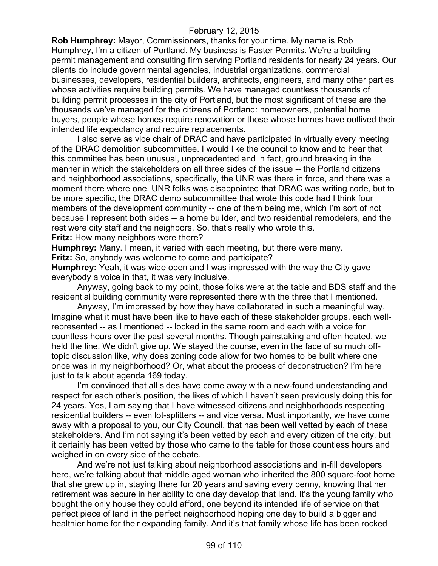**Rob Humphrey:** Mayor, Commissioners, thanks for your time. My name is Rob Humphrey, I'm a citizen of Portland. My business is Faster Permits. We're a building permit management and consulting firm serving Portland residents for nearly 24 years. Our clients do include governmental agencies, industrial organizations, commercial businesses, developers, residential builders, architects, engineers, and many other parties whose activities require building permits. We have managed countless thousands of building permit processes in the city of Portland, but the most significant of these are the thousands we've managed for the citizens of Portland: homeowners, potential home buyers, people whose homes require renovation or those whose homes have outlived their intended life expectancy and require replacements.

I also serve as vice chair of DRAC and have participated in virtually every meeting of the DRAC demolition subcommittee. I would like the council to know and to hear that this committee has been unusual, unprecedented and in fact, ground breaking in the manner in which the stakeholders on all three sides of the issue -- the Portland citizens and neighborhood associations, specifically, the UNR was there in force, and there was a moment there where one. UNR folks was disappointed that DRAC was writing code, but to be more specific, the DRAC demo subcommittee that wrote this code had I think four members of the development community -- one of them being me, which I'm sort of not because I represent both sides -- a home builder, and two residential remodelers, and the rest were city staff and the neighbors. So, that's really who wrote this.

**Fritz:** How many neighbors were there?

**Humphrey:** Many. I mean, it varied with each meeting, but there were many.

**Fritz:** So, anybody was welcome to come and participate?

**Humphrey:** Yeah, it was wide open and I was impressed with the way the City gave everybody a voice in that, it was very inclusive.

Anyway, going back to my point, those folks were at the table and BDS staff and the residential building community were represented there with the three that I mentioned.

Anyway, I'm impressed by how they have collaborated in such a meaningful way. Imagine what it must have been like to have each of these stakeholder groups, each wellrepresented -- as I mentioned -- locked in the same room and each with a voice for countless hours over the past several months. Though painstaking and often heated, we held the line. We didn't give up. We stayed the course, even in the face of so much offtopic discussion like, why does zoning code allow for two homes to be built where one once was in my neighborhood? Or, what about the process of deconstruction? I'm here just to talk about agenda 169 today.

I'm convinced that all sides have come away with a new-found understanding and respect for each other's position, the likes of which I haven't seen previously doing this for 24 years. Yes, I am saying that I have witnessed citizens and neighborhoods respecting residential builders -- even lot-splitters -- and vice versa. Most importantly, we have come away with a proposal to you, our City Council, that has been well vetted by each of these stakeholders. And I'm not saying it's been vetted by each and every citizen of the city, but it certainly has been vetted by those who came to the table for those countless hours and weighed in on every side of the debate.

And we're not just talking about neighborhood associations and in-fill developers here, we're talking about that middle aged woman who inherited the 800 square-foot home that she grew up in, staying there for 20 years and saving every penny, knowing that her retirement was secure in her ability to one day develop that land. It's the young family who bought the only house they could afford, one beyond its intended life of service on that perfect piece of land in the perfect neighborhood hoping one day to build a bigger and healthier home for their expanding family. And it's that family whose life has been rocked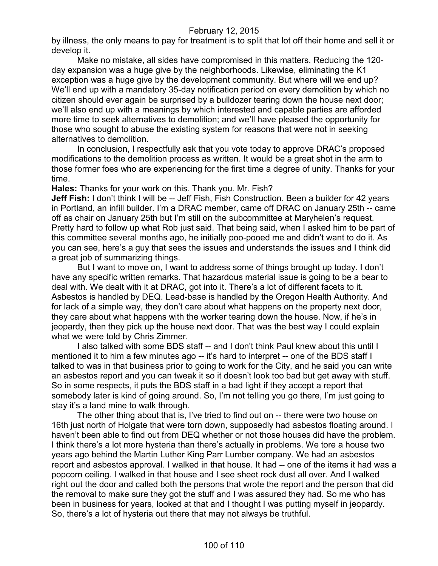by illness, the only means to pay for treatment is to split that lot off their home and sell it or develop it.

Make no mistake, all sides have compromised in this matters. Reducing the 120 day expansion was a huge give by the neighborhoods. Likewise, eliminating the K1 exception was a huge give by the development community. But where will we end up? We'll end up with a mandatory 35-day notification period on every demolition by which no citizen should ever again be surprised by a bulldozer tearing down the house next door; we'll also end up with a meanings by which interested and capable parties are afforded more time to seek alternatives to demolition; and we'll have pleased the opportunity for those who sought to abuse the existing system for reasons that were not in seeking alternatives to demolition.

In conclusion, I respectfully ask that you vote today to approve DRAC's proposed modifications to the demolition process as written. It would be a great shot in the arm to those former foes who are experiencing for the first time a degree of unity. Thanks for your time.

**Hales:** Thanks for your work on this. Thank you. Mr. Fish?

**Jeff Fish:** I don't think I will be -- Jeff Fish, Fish Construction. Been a builder for 42 years in Portland, an infill builder. I'm a DRAC member, came off DRAC on January 25th -- came off as chair on January 25th but I'm still on the subcommittee at Maryhelen's request. Pretty hard to follow up what Rob just said. That being said, when I asked him to be part of this committee several months ago, he initially poo-pooed me and didn't want to do it. As you can see, here's a guy that sees the issues and understands the issues and I think did a great job of summarizing things.

But I want to move on, I want to address some of things brought up today. I don't have any specific written remarks. That hazardous material issue is going to be a bear to deal with. We dealt with it at DRAC, got into it. There's a lot of different facets to it. Asbestos is handled by DEQ. Lead-base is handled by the Oregon Health Authority. And for lack of a simple way, they don't care about what happens on the property next door, they care about what happens with the worker tearing down the house. Now, if he's in jeopardy, then they pick up the house next door. That was the best way I could explain what we were told by Chris Zimmer.

I also talked with some BDS staff -- and I don't think Paul knew about this until I mentioned it to him a few minutes ago -- it's hard to interpret -- one of the BDS staff I talked to was in that business prior to going to work for the City, and he said you can write an asbestos report and you can tweak it so it doesn't look too bad but get away with stuff. So in some respects, it puts the BDS staff in a bad light if they accept a report that somebody later is kind of going around. So, I'm not telling you go there, I'm just going to stay it's a land mine to walk through.

The other thing about that is, I've tried to find out on -- there were two house on 16th just north of Holgate that were torn down, supposedly had asbestos floating around. I haven't been able to find out from DEQ whether or not those houses did have the problem. I think there's a lot more hysteria than there's actually in problems. We tore a house two years ago behind the Martin Luther King Parr Lumber company. We had an asbestos report and asbestos approval. I walked in that house. It had -- one of the items it had was a popcorn ceiling. I walked in that house and I see sheet rock dust all over. And I walked right out the door and called both the persons that wrote the report and the person that did the removal to make sure they got the stuff and I was assured they had. So me who has been in business for years, looked at that and I thought I was putting myself in jeopardy. So, there's a lot of hysteria out there that may not always be truthful.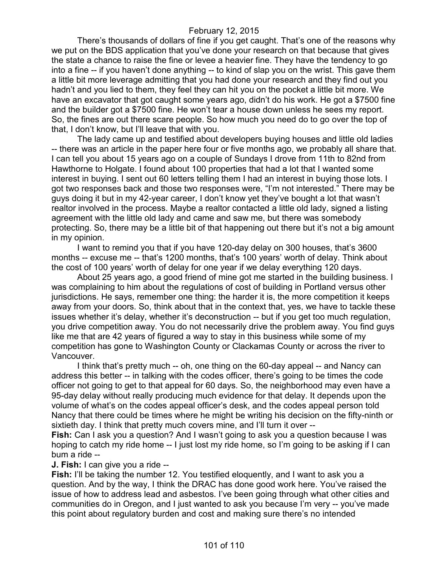There's thousands of dollars of fine if you get caught. That's one of the reasons why we put on the BDS application that you've done your research on that because that gives the state a chance to raise the fine or levee a heavier fine. They have the tendency to go into a fine -- if you haven't done anything -- to kind of slap you on the wrist. This gave them a little bit more leverage admitting that you had done your research and they find out you hadn't and you lied to them, they feel they can hit you on the pocket a little bit more. We have an excavator that got caught some years ago, didn't do his work. He got a \$7500 fine and the builder got a \$7500 fine. He won't tear a house down unless he sees my report. So, the fines are out there scare people. So how much you need do to go over the top of that, I don't know, but I'll leave that with you.

The lady came up and testified about developers buying houses and little old ladies -- there was an article in the paper here four or five months ago, we probably all share that. I can tell you about 15 years ago on a couple of Sundays I drove from 11th to 82nd from Hawthorne to Holgate. I found about 100 properties that had a lot that I wanted some interest in buying. I sent out 60 letters telling them I had an interest in buying those lots. I got two responses back and those two responses were, "I'm not interested." There may be guys doing it but in my 42-year career, I don't know yet they've bought a lot that wasn't realtor involved in the process. Maybe a realtor contacted a little old lady, signed a listing agreement with the little old lady and came and saw me, but there was somebody protecting. So, there may be a little bit of that happening out there but it's not a big amount in my opinion.

I want to remind you that if you have 120-day delay on 300 houses, that's 3600 months -- excuse me -- that's 1200 months, that's 100 years' worth of delay. Think about the cost of 100 years' worth of delay for one year if we delay everything 120 days.

About 25 years ago, a good friend of mine got me started in the building business. I was complaining to him about the regulations of cost of building in Portland versus other jurisdictions. He says, remember one thing: the harder it is, the more competition it keeps away from your doors. So, think about that in the context that, yes, we have to tackle these issues whether it's delay, whether it's deconstruction -- but if you get too much regulation, you drive competition away. You do not necessarily drive the problem away. You find guys like me that are 42 years of figured a way to stay in this business while some of my competition has gone to Washington County or Clackamas County or across the river to Vancouver.

I think that's pretty much -- oh, one thing on the 60-day appeal -- and Nancy can address this better -- in talking with the codes officer, there's going to be times the code officer not going to get to that appeal for 60 days. So, the neighborhood may even have a 95-day delay without really producing much evidence for that delay. It depends upon the volume of what's on the codes appeal officer's desk, and the codes appeal person told Nancy that there could be times where he might be writing his decision on the fifty-ninth or sixtieth day. I think that pretty much covers mine, and I'll turn it over --

**Fish:** Can I ask you a question? And I wasn't going to ask you a question because I was hoping to catch my ride home -- I just lost my ride home, so I'm going to be asking if I can bum a ride --

**J. Fish:** I can give you a ride --

**Fish:** I'll be taking the number 12. You testified eloquently, and I want to ask you a question. And by the way, I think the DRAC has done good work here. You've raised the issue of how to address lead and asbestos. I've been going through what other cities and communities do in Oregon, and I just wanted to ask you because I'm very -- you've made this point about regulatory burden and cost and making sure there's no intended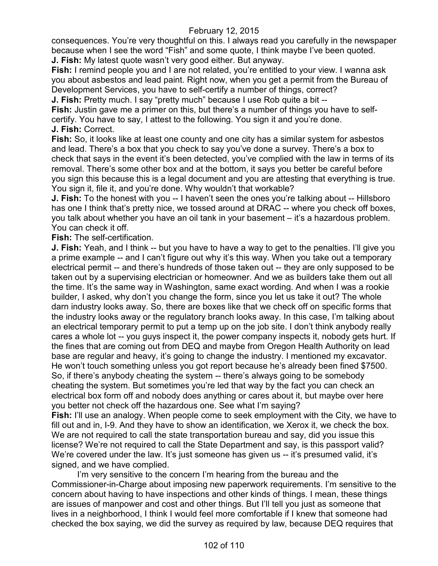consequences. You're very thoughtful on this. I always read you carefully in the newspaper because when I see the word "Fish" and some quote, I think maybe I've been quoted. **J. Fish:** My latest quote wasn't very good either. But anyway.

**Fish:** I remind people you and I are not related, you're entitled to your view. I wanna ask you about asbestos and lead paint. Right now, when you get a permit from the Bureau of Development Services, you have to self-certify a number of things, correct?

**J. Fish:** Pretty much. I say "pretty much" because I use Rob quite a bit --

**Fish:** Justin gave me a primer on this, but there's a number of things you have to selfcertify. You have to say, I attest to the following. You sign it and you're done. **J. Fish:** Correct.

**Fish:** So, it looks like at least one county and one city has a similar system for asbestos and lead. There's a box that you check to say you've done a survey. There's a box to check that says in the event it's been detected, you've complied with the law in terms of its removal. There's some other box and at the bottom, it says you better be careful before you sign this because this is a legal document and you are attesting that everything is true. You sign it, file it, and you're done. Why wouldn't that workable?

**J. Fish:** To the honest with you -- I haven't seen the ones you're talking about -- Hillsboro has one I think that's pretty nice, we tossed around at DRAC -- where you check off boxes, you talk about whether you have an oil tank in your basement – it's a hazardous problem. You can check it off.

**Fish:** The self-certification.

**J. Fish:** Yeah, and I think -- but you have to have a way to get to the penalties. I'll give you a prime example -- and I can't figure out why it's this way. When you take out a temporary electrical permit -- and there's hundreds of those taken out -- they are only supposed to be taken out by a supervising electrician or homeowner. And we as builders take them out all the time. It's the same way in Washington, same exact wording. And when I was a rookie builder, I asked, why don't you change the form, since you let us take it out? The whole darn industry looks away. So, there are boxes like that we check off on specific forms that the industry looks away or the regulatory branch looks away. In this case, I'm talking about an electrical temporary permit to put a temp up on the job site. I don't think anybody really cares a whole lot -- you guys inspect it, the power company inspects it, nobody gets hurt. If the fines that are coming out from DEQ and maybe from Oregon Health Authority on lead base are regular and heavy, it's going to change the industry. I mentioned my excavator. He won't touch something unless you got report because he's already been fined \$7500. So, if there's anybody cheating the system -- there's always going to be somebody cheating the system. But sometimes you're led that way by the fact you can check an electrical box form off and nobody does anything or cares about it, but maybe over here you better not check off the hazardous one. See what I'm saying?

**Fish:** I'll use an analogy. When people come to seek employment with the City, we have to fill out and in, I-9. And they have to show an identification, we Xerox it, we check the box. We are not required to call the state transportation bureau and say, did you issue this license? We're not required to call the State Department and say, is this passport valid? We're covered under the law. It's just someone has given us -- it's presumed valid, it's signed, and we have complied.

I'm very sensitive to the concern I'm hearing from the bureau and the Commissioner-in-Charge about imposing new paperwork requirements. I'm sensitive to the concern about having to have inspections and other kinds of things. I mean, these things are issues of manpower and cost and other things. But I'll tell you just as someone that lives in a neighborhood, I think I would feel more comfortable if I knew that someone had checked the box saying, we did the survey as required by law, because DEQ requires that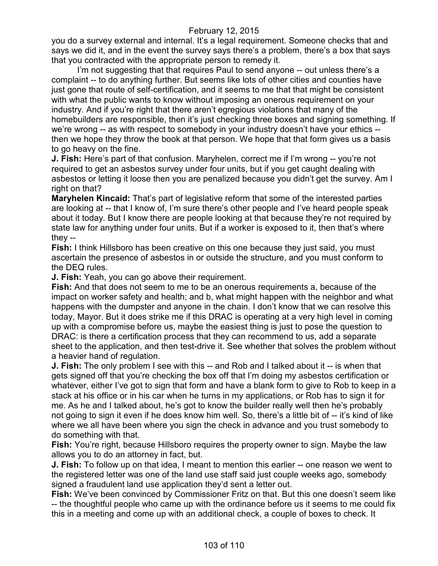you do a survey external and internal. It's a legal requirement. Someone checks that and says we did it, and in the event the survey says there's a problem, there's a box that says that you contracted with the appropriate person to remedy it.

I'm not suggesting that that requires Paul to send anyone -- out unless there's a complaint -- to do anything further. But seems like lots of other cities and counties have just gone that route of self-certification, and it seems to me that that might be consistent with what the public wants to know without imposing an onerous requirement on your industry. And if you're right that there aren't egregious violations that many of the homebuilders are responsible, then it's just checking three boxes and signing something. If we're wrong -- as with respect to somebody in your industry doesn't have your ethics - then we hope they throw the book at that person. We hope that that form gives us a basis to go heavy on the fine.

**J. Fish:** Here's part of that confusion. Maryhelen, correct me if I'm wrong -- you're not required to get an asbestos survey under four units, but if you get caught dealing with asbestos or letting it loose then you are penalized because you didn't get the survey. Am I right on that?

**Maryhelen Kincaid:** That's part of legislative reform that some of the interested parties are looking at -- that I know of, I'm sure there's other people and I've heard people speak about it today. But I know there are people looking at that because they're not required by state law for anything under four units. But if a worker is exposed to it, then that's where they --

**Fish:** I think Hillsboro has been creative on this one because they just said, you must ascertain the presence of asbestos in or outside the structure, and you must conform to the DEQ rules.

**J. Fish:** Yeah, you can go above their requirement.

**Fish:** And that does not seem to me to be an onerous requirements a, because of the impact on worker safety and health; and b, what might happen with the neighbor and what happens with the dumpster and anyone in the chain. I don't know that we can resolve this today, Mayor. But it does strike me if this DRAC is operating at a very high level in coming up with a compromise before us, maybe the easiest thing is just to pose the question to DRAC: is there a certification process that they can recommend to us, add a separate sheet to the application, and then test-drive it. See whether that solves the problem without a heavier hand of regulation.

**J. Fish:** The only problem I see with this -- and Rob and I talked about it -- is when that gets signed off that you're checking the box off that I'm doing my asbestos certification or whatever, either I've got to sign that form and have a blank form to give to Rob to keep in a stack at his office or in his car when he turns in my applications, or Rob has to sign it for me. As he and I talked about, he's got to know the builder really well then he's probably not going to sign it even if he does know him well. So, there's a little bit of -- it's kind of like where we all have been where you sign the check in advance and you trust somebody to do something with that.

**Fish:** You're right, because Hillsboro requires the property owner to sign. Maybe the law allows you to do an attorney in fact, but.

**J. Fish:** To follow up on that idea, I meant to mention this earlier -- one reason we went to the registered letter was one of the land use staff said just couple weeks ago, somebody signed a fraudulent land use application they'd sent a letter out.

**Fish:** We've been convinced by Commissioner Fritz on that. But this one doesn't seem like -- the thoughtful people who came up with the ordinance before us it seems to me could fix this in a meeting and come up with an additional check, a couple of boxes to check. It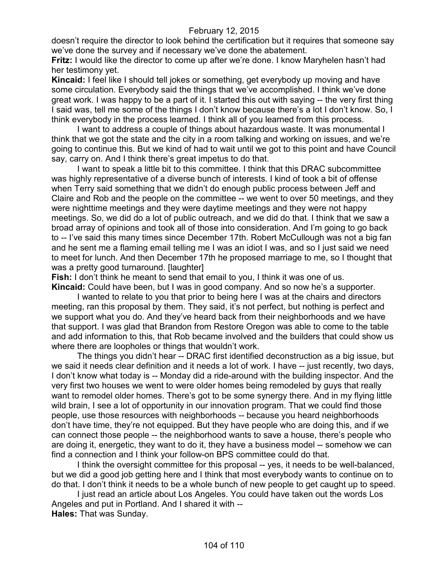doesn't require the director to look behind the certification but it requires that someone say we've done the survey and if necessary we've done the abatement.

**Fritz:** I would like the director to come up after we're done. I know Maryhelen hasn't had her testimony yet.

**Kincaid:** I feel like I should tell jokes or something, get everybody up moving and have some circulation. Everybody said the things that we've accomplished. I think we've done great work. I was happy to be a part of it. I started this out with saying -- the very first thing I said was, tell me some of the things I don't know because there's a lot I don't know. So, I think everybody in the process learned. I think all of you learned from this process.

I want to address a couple of things about hazardous waste. It was monumental I think that we got the state and the city in a room talking and working on issues, and we're going to continue this. But we kind of had to wait until we got to this point and have Council say, carry on. And I think there's great impetus to do that.

I want to speak a little bit to this committee. I think that this DRAC subcommittee was highly representative of a diverse bunch of interests. I kind of took a bit of offense when Terry said something that we didn't do enough public process between Jeff and Claire and Rob and the people on the committee -- we went to over 50 meetings, and they were nighttime meetings and they were daytime meetings and they were not happy meetings. So, we did do a lot of public outreach, and we did do that. I think that we saw a broad array of opinions and took all of those into consideration. And I'm going to go back to -- I've said this many times since December 17th. Robert McCullough was not a big fan and he sent me a flaming email telling me I was an idiot I was, and so I just said we need to meet for lunch. And then December 17th he proposed marriage to me, so I thought that was a pretty good turnaround. [laughter]

**Fish:** I don't think he meant to send that email to you, I think it was one of us. **Kincaid:** Could have been, but I was in good company. And so now he's a supporter.

I wanted to relate to you that prior to being here I was at the chairs and directors meeting, ran this proposal by them. They said, it's not perfect, but nothing is perfect and we support what you do. And they've heard back from their neighborhoods and we have that support. I was glad that Brandon from Restore Oregon was able to come to the table and add information to this, that Rob became involved and the builders that could show us where there are loopholes or things that wouldn't work.

The things you didn't hear -- DRAC first identified deconstruction as a big issue, but we said it needs clear definition and it needs a lot of work. I have -- just recently, two days, I don't know what today is -- Monday did a ride-around with the building inspector. And the very first two houses we went to were older homes being remodeled by guys that really want to remodel older homes. There's got to be some synergy there. And in my flying little wild brain, I see a lot of opportunity in our innovation program. That we could find those people, use those resources with neighborhoods -- because you heard neighborhoods don't have time, they're not equipped. But they have people who are doing this, and if we can connect those people -- the neighborhood wants to save a house, there's people who are doing it, energetic, they want to do it, they have a business model -- somehow we can find a connection and I think your follow-on BPS committee could do that.

I think the oversight committee for this proposal -- yes, it needs to be well-balanced, but we did a good job getting here and I think that most everybody wants to continue on to do that. I don't think it needs to be a whole bunch of new people to get caught up to speed.

I just read an article about Los Angeles. You could have taken out the words Los Angeles and put in Portland. And I shared it with -- **Hales:** That was Sunday.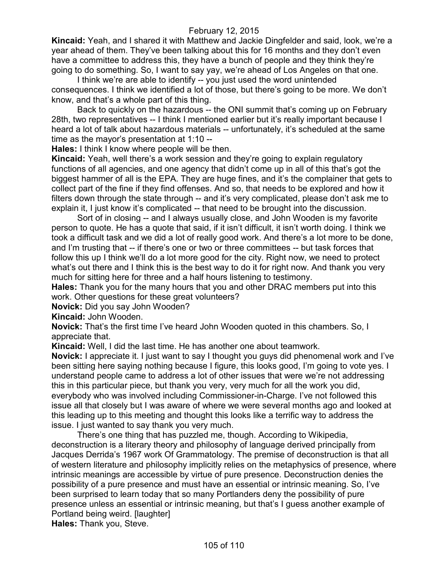**Kincaid:** Yeah, and I shared it with Matthew and Jackie Dingfelder and said, look, we're a year ahead of them. They've been talking about this for 16 months and they don't even have a committee to address this, they have a bunch of people and they think they're going to do something. So, I want to say yay, we're ahead of Los Angeles on that one.

I think we're are able to identify -- you just used the word unintended consequences. I think we identified a lot of those, but there's going to be more. We don't know, and that's a whole part of this thing.

Back to quickly on the hazardous -- the ONI summit that's coming up on February 28th, two representatives -- I think I mentioned earlier but it's really important because I heard a lot of talk about hazardous materials -- unfortunately, it's scheduled at the same time as the mayor's presentation at 1:10 --

**Hales:** I think I know where people will be then.

**Kincaid:** Yeah, well there's a work session and they're going to explain regulatory functions of all agencies, and one agency that didn't come up in all of this that's got the biggest hammer of all is the EPA. They are huge fines, and it's the complainer that gets to collect part of the fine if they find offenses. And so, that needs to be explored and how it filters down through the state through -- and it's very complicated, please don't ask me to explain it, I just know it's complicated -- that need to be brought into the discussion.

Sort of in closing -- and I always usually close, and John Wooden is my favorite person to quote. He has a quote that said, if it isn't difficult, it isn't worth doing. I think we took a difficult task and we did a lot of really good work. And there's a lot more to be done, and I'm trusting that -- if there's one or two or three committees -- but task forces that follow this up I think we'll do a lot more good for the city. Right now, we need to protect what's out there and I think this is the best way to do it for right now. And thank you very much for sitting here for three and a half hours listening to testimony.

**Hales:** Thank you for the many hours that you and other DRAC members put into this work. Other questions for these great volunteers?

**Novick:** Did you say John Wooden?

**Kincaid:** John Wooden.

**Novick:** That's the first time I've heard John Wooden quoted in this chambers. So, I appreciate that.

**Kincaid:** Well, I did the last time. He has another one about teamwork.

**Novick:** I appreciate it. I just want to say I thought you guys did phenomenal work and I've been sitting here saying nothing because I figure, this looks good, I'm going to vote yes. I understand people came to address a lot of other issues that were we're not addressing this in this particular piece, but thank you very, very much for all the work you did, everybody who was involved including Commissioner-in-Charge. I've not followed this issue all that closely but I was aware of where we were several months ago and looked at this leading up to this meeting and thought this looks like a terrific way to address the issue. I just wanted to say thank you very much.

There's one thing that has puzzled me, though. According to Wikipedia, deconstruction is a literary theory and philosophy of language derived principally from Jacques Derrida's 1967 work Of Grammatology. The premise of deconstruction is that all of western literature and philosophy implicitly relies on the metaphysics of presence, where intrinsic meanings are accessible by virtue of pure presence. Deconstruction denies the possibility of a pure presence and must have an essential or intrinsic meaning. So, I've been surprised to learn today that so many Portlanders deny the possibility of pure presence unless an essential or intrinsic meaning, but that's I guess another example of Portland being weird. [laughter]

**Hales:** Thank you, Steve.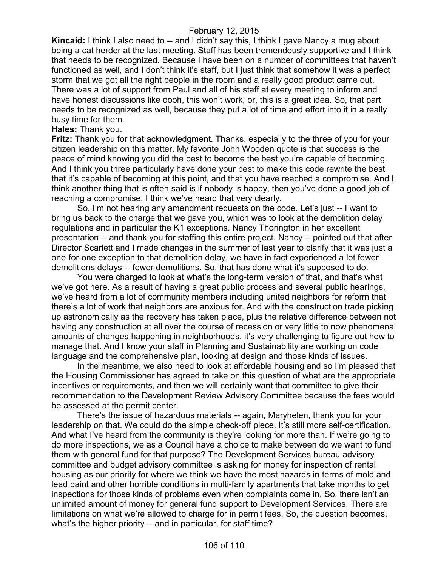**Kincaid:** I think I also need to -- and I didn't say this, I think I gave Nancy a mug about being a cat herder at the last meeting. Staff has been tremendously supportive and I think that needs to be recognized. Because I have been on a number of committees that haven't functioned as well, and I don't think it's staff, but I just think that somehow it was a perfect storm that we got all the right people in the room and a really good product came out. There was a lot of support from Paul and all of his staff at every meeting to inform and have honest discussions like oooh, this won't work, or, this is a great idea. So, that part needs to be recognized as well, because they put a lot of time and effort into it in a really busy time for them.

#### **Hales:** Thank you.

**Fritz:** Thank you for that acknowledgment. Thanks, especially to the three of you for your citizen leadership on this matter. My favorite John Wooden quote is that success is the peace of mind knowing you did the best to become the best you're capable of becoming. And I think you three particularly have done your best to make this code rewrite the best that it's capable of becoming at this point, and that you have reached a compromise. And I think another thing that is often said is if nobody is happy, then you've done a good job of reaching a compromise. I think we've heard that very clearly.

So, I'm not hearing any amendment requests on the code. Let's just -- I want to bring us back to the charge that we gave you, which was to look at the demolition delay regulations and in particular the K1 exceptions. Nancy Thorington in her excellent presentation -- and thank you for staffing this entire project, Nancy -- pointed out that after Director Scarlett and I made changes in the summer of last year to clarify that it was just a one-for-one exception to that demolition delay, we have in fact experienced a lot fewer demolitions delays -- fewer demolitions. So, that has done what it's supposed to do.

You were charged to look at what's the long-term version of that, and that's what we've got here. As a result of having a great public process and several public hearings, we've heard from a lot of community members including united neighbors for reform that there's a lot of work that neighbors are anxious for. And with the construction trade picking up astronomically as the recovery has taken place, plus the relative difference between not having any construction at all over the course of recession or very little to now phenomenal amounts of changes happening in neighborhoods, it's very challenging to figure out how to manage that. And I know your staff in Planning and Sustainability are working on code language and the comprehensive plan, looking at design and those kinds of issues.

In the meantime, we also need to look at affordable housing and so I'm pleased that the Housing Commissioner has agreed to take on this question of what are the appropriate incentives or requirements, and then we will certainly want that committee to give their recommendation to the Development Review Advisory Committee because the fees would be assessed at the permit center.

There's the issue of hazardous materials -- again, Maryhelen, thank you for your leadership on that. We could do the simple check-off piece. It's still more self-certification. And what I've heard from the community is they're looking for more than. If we're going to do more inspections, we as a Council have a choice to make between do we want to fund them with general fund for that purpose? The Development Services bureau advisory committee and budget advisory committee is asking for money for inspection of rental housing as our priority for where we think we have the most hazards in terms of mold and lead paint and other horrible conditions in multi-family apartments that take months to get inspections for those kinds of problems even when complaints come in. So, there isn't an unlimited amount of money for general fund support to Development Services. There are limitations on what we're allowed to charge for in permit fees. So, the question becomes, what's the higher priority -- and in particular, for staff time?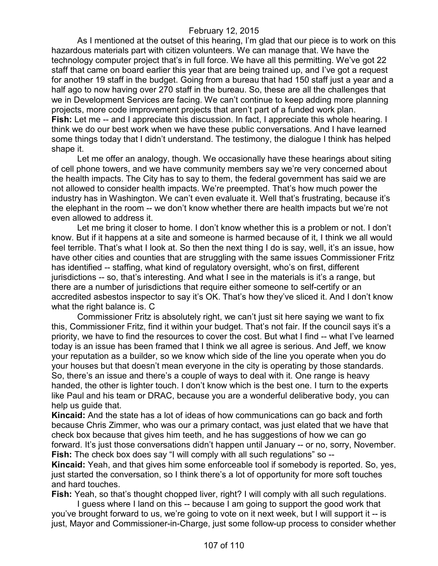As I mentioned at the outset of this hearing, I'm glad that our piece is to work on this hazardous materials part with citizen volunteers. We can manage that. We have the technology computer project that's in full force. We have all this permitting. We've got 22 staff that came on board earlier this year that are being trained up, and I've got a request for another 19 staff in the budget. Going from a bureau that had 150 staff just a year and a half ago to now having over 270 staff in the bureau. So, these are all the challenges that we in Development Services are facing. We can't continue to keep adding more planning projects, more code improvement projects that aren't part of a funded work plan. **Fish:** Let me -- and I appreciate this discussion. In fact, I appreciate this whole hearing. I think we do our best work when we have these public conversations. And I have learned some things today that I didn't understand. The testimony, the dialogue I think has helped shape it.

Let me offer an analogy, though. We occasionally have these hearings about siting of cell phone towers, and we have community members say we're very concerned about the health impacts. The City has to say to them, the federal government has said we are not allowed to consider health impacts. We're preempted. That's how much power the industry has in Washington. We can't even evaluate it. Well that's frustrating, because it's the elephant in the room -- we don't know whether there are health impacts but we're not even allowed to address it.

Let me bring it closer to home. I don't know whether this is a problem or not. I don't know. But if it happens at a site and someone is harmed because of it, I think we all would feel terrible. That's what I look at. So then the next thing I do is say, well, it's an issue, how have other cities and counties that are struggling with the same issues Commissioner Fritz has identified -- staffing, what kind of regulatory oversight, who's on first, different jurisdictions -- so, that's interesting. And what I see in the materials is it's a range, but there are a number of jurisdictions that require either someone to self-certify or an accredited asbestos inspector to say it's OK. That's how they've sliced it. And I don't know what the right balance is. C

Commissioner Fritz is absolutely right, we can't just sit here saying we want to fix this, Commissioner Fritz, find it within your budget. That's not fair. If the council says it's a priority, we have to find the resources to cover the cost. But what I find -- what I've learned today is an issue has been framed that I think we all agree is serious. And Jeff, we know your reputation as a builder, so we know which side of the line you operate when you do your houses but that doesn't mean everyone in the city is operating by those standards. So, there's an issue and there's a couple of ways to deal with it. One range is heavy handed, the other is lighter touch. I don't know which is the best one. I turn to the experts like Paul and his team or DRAC, because you are a wonderful deliberative body, you can help us quide that.

**Kincaid:** And the state has a lot of ideas of how communications can go back and forth because Chris Zimmer, who was our a primary contact, was just elated that we have that check box because that gives him teeth, and he has suggestions of how we can go forward. It's just those conversations didn't happen until January -- or no, sorry, November. **Fish:** The check box does say "I will comply with all such regulations" so --

**Kincaid:** Yeah, and that gives him some enforceable tool if somebody is reported. So, yes, just started the conversation, so I think there's a lot of opportunity for more soft touches and hard touches.

**Fish:** Yeah, so that's thought chopped liver, right? I will comply with all such regulations. I guess where I land on this -- because I am going to support the good work that

you've brought forward to us, we're going to vote on it next week, but I will support it -- is just, Mayor and Commissioner-in-Charge, just some follow-up process to consider whether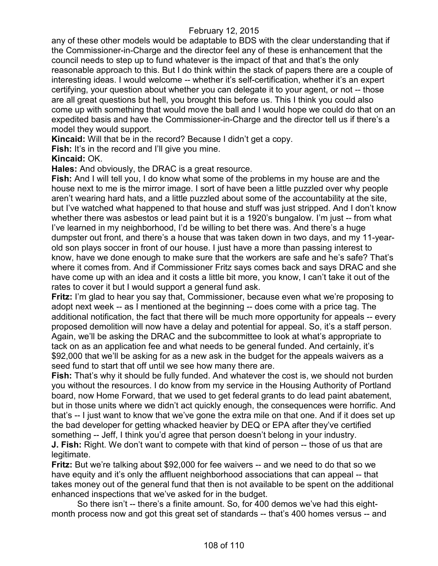any of these other models would be adaptable to BDS with the clear understanding that if the Commissioner-in-Charge and the director feel any of these is enhancement that the council needs to step up to fund whatever is the impact of that and that's the only reasonable approach to this. But I do think within the stack of papers there are a couple of interesting ideas. I would welcome -- whether it's self-certification, whether it's an expert certifying, your question about whether you can delegate it to your agent, or not -- those are all great questions but hell, you brought this before us. This I think you could also come up with something that would move the ball and I would hope we could do that on an expedited basis and have the Commissioner-in-Charge and the director tell us if there's a model they would support.

**Kincaid:** Will that be in the record? Because I didn't get a copy.

**Fish:** It's in the record and I'll give you mine.

#### **Kincaid:** OK.

**Hales:** And obviously, the DRAC is a great resource.

**Fish:** And I will tell you, I do know what some of the problems in my house are and the house next to me is the mirror image. I sort of have been a little puzzled over why people aren't wearing hard hats, and a little puzzled about some of the accountability at the site, but I've watched what happened to that house and stuff was just stripped. And I don't know whether there was asbestos or lead paint but it is a 1920's bungalow. I'm just -- from what I've learned in my neighborhood, I'd be willing to bet there was. And there's a huge dumpster out front, and there's a house that was taken down in two days, and my 11-yearold son plays soccer in front of our house. I just have a more than passing interest to know, have we done enough to make sure that the workers are safe and he's safe? That's where it comes from. And if Commissioner Fritz says comes back and says DRAC and she have come up with an idea and it costs a little bit more, you know, I can't take it out of the rates to cover it but I would support a general fund ask.

**Fritz:** I'm glad to hear you say that, Commissioner, because even what we're proposing to adopt next week -- as I mentioned at the beginning -- does come with a price tag. The additional notification, the fact that there will be much more opportunity for appeals -- every proposed demolition will now have a delay and potential for appeal. So, it's a staff person. Again, we'll be asking the DRAC and the subcommittee to look at what's appropriate to tack on as an application fee and what needs to be general funded. And certainly, it's \$92,000 that we'll be asking for as a new ask in the budget for the appeals waivers as a seed fund to start that off until we see how many there are.

**Fish:** That's why it should be fully funded. And whatever the cost is, we should not burden you without the resources. I do know from my service in the Housing Authority of Portland board, now Home Forward, that we used to get federal grants to do lead paint abatement, but in those units where we didn't act quickly enough, the consequences were horrific. And that's -- I just want to know that we've gone the extra mile on that one. And if it does set up the bad developer for getting whacked heavier by DEQ or EPA after they've certified something -- Jeff, I think you'd agree that person doesn't belong in your industry. **J. Fish:** Right. We don't want to compete with that kind of person -- those of us that are legitimate.

**Fritz:** But we're talking about \$92,000 for fee waivers -- and we need to do that so we have equity and it's only the affluent neighborhood associations that can appeal -- that takes money out of the general fund that then is not available to be spent on the additional enhanced inspections that we've asked for in the budget.

So there isn't -- there's a finite amount. So, for 400 demos we've had this eightmonth process now and got this great set of standards -- that's 400 homes versus -- and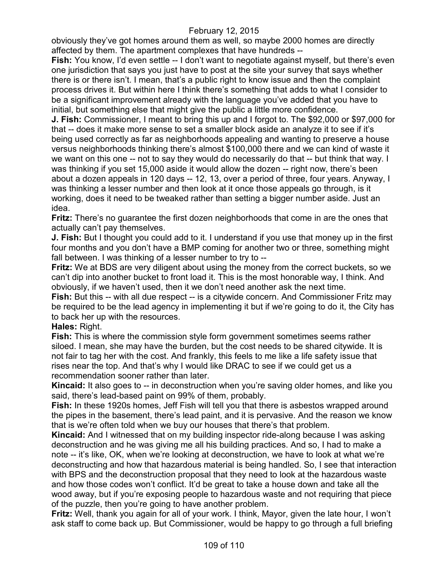obviously they've got homes around them as well, so maybe 2000 homes are directly affected by them. The apartment complexes that have hundreds --

**Fish:** You know, I'd even settle -- I don't want to negotiate against myself, but there's even one jurisdiction that says you just have to post at the site your survey that says whether there is or there isn't. I mean, that's a public right to know issue and then the complaint process drives it. But within here I think there's something that adds to what I consider to be a significant improvement already with the language you've added that you have to initial, but something else that might give the public a little more confidence.

**J. Fish:** Commissioner, I meant to bring this up and I forgot to. The \$92,000 or \$97,000 for that -- does it make more sense to set a smaller block aside an analyze it to see if it's being used correctly as far as neighborhoods appealing and wanting to preserve a house versus neighborhoods thinking there's almost \$100,000 there and we can kind of waste it we want on this one -- not to say they would do necessarily do that -- but think that way. I was thinking if you set 15,000 aside it would allow the dozen -- right now, there's been about a dozen appeals in 120 days -- 12, 13, over a period of three, four years. Anyway, I was thinking a lesser number and then look at it once those appeals go through, is it working, does it need to be tweaked rather than setting a bigger number aside. Just an idea.

**Fritz:** There's no guarantee the first dozen neighborhoods that come in are the ones that actually can't pay themselves.

**J. Fish:** But I thought you could add to it. I understand if you use that money up in the first four months and you don't have a BMP coming for another two or three, something might fall between. I was thinking of a lesser number to try to --

**Fritz:** We at BDS are very diligent about using the money from the correct buckets, so we can't dip into another bucket to front load it. This is the most honorable way, I think. And obviously, if we haven't used, then it we don't need another ask the next time.

**Fish:** But this -- with all due respect -- is a citywide concern. And Commissioner Fritz may be required to be the lead agency in implementing it but if we're going to do it, the City has to back her up with the resources.

## **Hales:** Right.

**Fish:** This is where the commission style form government sometimes seems rather siloed. I mean, she may have the burden, but the cost needs to be shared citywide. It is not fair to tag her with the cost. And frankly, this feels to me like a life safety issue that rises near the top. And that's why I would like DRAC to see if we could get us a recommendation sooner rather than later.

**Kincaid:** It also goes to -- in deconstruction when you're saving older homes, and like you said, there's lead-based paint on 99% of them, probably.

**Fish:** In these 1920s homes, Jeff Fish will tell you that there is asbestos wrapped around the pipes in the basement, there's lead paint, and it is pervasive. And the reason we know that is we're often told when we buy our houses that there's that problem.

**Kincaid:** And I witnessed that on my building inspector ride-along because I was asking deconstruction and he was giving me all his building practices. And so, I had to make a note -- it's like, OK, when we're looking at deconstruction, we have to look at what we're deconstructing and how that hazardous material is being handled. So, I see that interaction with BPS and the deconstruction proposal that they need to look at the hazardous waste and how those codes won't conflict. It'd be great to take a house down and take all the wood away, but if you're exposing people to hazardous waste and not requiring that piece of the puzzle, then you're going to have another problem.

**Fritz:** Well, thank you again for all of your work. I think, Mayor, given the late hour, I won't ask staff to come back up. But Commissioner, would be happy to go through a full briefing